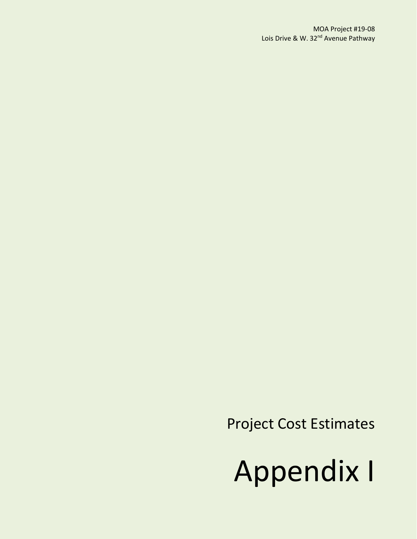Project Cost Estimates

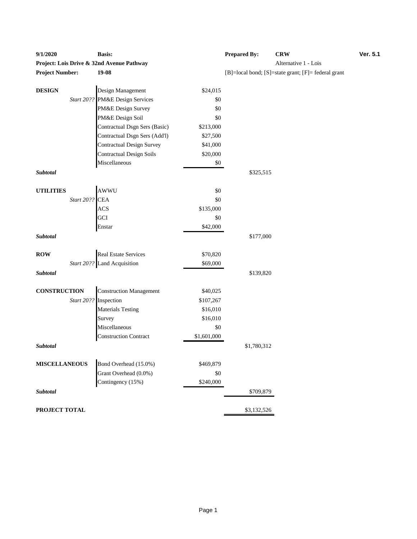| Project: Lois Drive & 32nd Avenue Pathway<br>Alternative 1 - Lois<br>$19-08$<br>[B]=local bond; [S]=state grant; [F]= federal grant<br><b>DESIGN</b><br>Design Management<br>\$24,015<br>PM&E Design Services<br>Start 20??<br>\$0<br>PM&E Design Survey<br>\$0<br>PM&E Design Soil<br>\$0<br>Contractual Dsgn Sers (Basic)<br>\$213,000<br>Contractual Dsgn Sers (Add'l)<br>\$27,500<br><b>Contractual Design Survey</b><br>\$41,000<br><b>Contractual Design Soils</b><br>\$20,000<br>Miscellaneous<br>$\$0$<br>\$325,515<br>AWWU<br><b>UTILITIES</b><br>\$0<br>Start 20??<br><b>CEA</b><br>\$0<br><b>ACS</b><br>\$135,000<br>GCI<br>\$0<br>\$42,000<br>Enstar<br>Subtotal<br>\$177,000<br><b>ROW</b><br><b>Real Estate Services</b><br>\$70,820<br>Start 20?? Land Acquisition<br>\$69,000<br>Subtotal<br>\$139,820<br><b>Construction Management</b><br><b>CONSTRUCTION</b><br>\$40,025<br>Start 20?? Inspection<br>\$107,267<br><b>Materials Testing</b><br>\$16,010<br>\$16,010<br>Survey<br>Miscellaneous<br>\$0<br><b>Construction Contract</b><br>\$1,601,000<br>Subtotal<br>\$1,780,312<br><b>MISCELLANEOUS</b><br>Bond Overhead (15.0%)<br>\$469,879<br>Grant Overhead (0.0%)<br>\$0<br>Contingency (15%)<br>\$240,000<br>Subtotal<br>\$709,879 | 9/1/2020               | <b>Basis:</b> | <b>Prepared By:</b> | <b>CRW</b> | Ver. 5.1 |
|------------------------------------------------------------------------------------------------------------------------------------------------------------------------------------------------------------------------------------------------------------------------------------------------------------------------------------------------------------------------------------------------------------------------------------------------------------------------------------------------------------------------------------------------------------------------------------------------------------------------------------------------------------------------------------------------------------------------------------------------------------------------------------------------------------------------------------------------------------------------------------------------------------------------------------------------------------------------------------------------------------------------------------------------------------------------------------------------------------------------------------------------------------------------------------------------------------------------------------------------------------|------------------------|---------------|---------------------|------------|----------|
|                                                                                                                                                                                                                                                                                                                                                                                                                                                                                                                                                                                                                                                                                                                                                                                                                                                                                                                                                                                                                                                                                                                                                                                                                                                            |                        |               |                     |            |          |
|                                                                                                                                                                                                                                                                                                                                                                                                                                                                                                                                                                                                                                                                                                                                                                                                                                                                                                                                                                                                                                                                                                                                                                                                                                                            | <b>Project Number:</b> |               |                     |            |          |
|                                                                                                                                                                                                                                                                                                                                                                                                                                                                                                                                                                                                                                                                                                                                                                                                                                                                                                                                                                                                                                                                                                                                                                                                                                                            |                        |               |                     |            |          |
|                                                                                                                                                                                                                                                                                                                                                                                                                                                                                                                                                                                                                                                                                                                                                                                                                                                                                                                                                                                                                                                                                                                                                                                                                                                            |                        |               |                     |            |          |
|                                                                                                                                                                                                                                                                                                                                                                                                                                                                                                                                                                                                                                                                                                                                                                                                                                                                                                                                                                                                                                                                                                                                                                                                                                                            |                        |               |                     |            |          |
|                                                                                                                                                                                                                                                                                                                                                                                                                                                                                                                                                                                                                                                                                                                                                                                                                                                                                                                                                                                                                                                                                                                                                                                                                                                            |                        |               |                     |            |          |
|                                                                                                                                                                                                                                                                                                                                                                                                                                                                                                                                                                                                                                                                                                                                                                                                                                                                                                                                                                                                                                                                                                                                                                                                                                                            |                        |               |                     |            |          |
|                                                                                                                                                                                                                                                                                                                                                                                                                                                                                                                                                                                                                                                                                                                                                                                                                                                                                                                                                                                                                                                                                                                                                                                                                                                            |                        |               |                     |            |          |
|                                                                                                                                                                                                                                                                                                                                                                                                                                                                                                                                                                                                                                                                                                                                                                                                                                                                                                                                                                                                                                                                                                                                                                                                                                                            |                        |               |                     |            |          |
|                                                                                                                                                                                                                                                                                                                                                                                                                                                                                                                                                                                                                                                                                                                                                                                                                                                                                                                                                                                                                                                                                                                                                                                                                                                            |                        |               |                     |            |          |
|                                                                                                                                                                                                                                                                                                                                                                                                                                                                                                                                                                                                                                                                                                                                                                                                                                                                                                                                                                                                                                                                                                                                                                                                                                                            |                        |               |                     |            |          |
|                                                                                                                                                                                                                                                                                                                                                                                                                                                                                                                                                                                                                                                                                                                                                                                                                                                                                                                                                                                                                                                                                                                                                                                                                                                            |                        |               |                     |            |          |
|                                                                                                                                                                                                                                                                                                                                                                                                                                                                                                                                                                                                                                                                                                                                                                                                                                                                                                                                                                                                                                                                                                                                                                                                                                                            | Subtotal               |               |                     |            |          |
|                                                                                                                                                                                                                                                                                                                                                                                                                                                                                                                                                                                                                                                                                                                                                                                                                                                                                                                                                                                                                                                                                                                                                                                                                                                            |                        |               |                     |            |          |
|                                                                                                                                                                                                                                                                                                                                                                                                                                                                                                                                                                                                                                                                                                                                                                                                                                                                                                                                                                                                                                                                                                                                                                                                                                                            |                        |               |                     |            |          |
|                                                                                                                                                                                                                                                                                                                                                                                                                                                                                                                                                                                                                                                                                                                                                                                                                                                                                                                                                                                                                                                                                                                                                                                                                                                            |                        |               |                     |            |          |
|                                                                                                                                                                                                                                                                                                                                                                                                                                                                                                                                                                                                                                                                                                                                                                                                                                                                                                                                                                                                                                                                                                                                                                                                                                                            |                        |               |                     |            |          |
|                                                                                                                                                                                                                                                                                                                                                                                                                                                                                                                                                                                                                                                                                                                                                                                                                                                                                                                                                                                                                                                                                                                                                                                                                                                            |                        |               |                     |            |          |
|                                                                                                                                                                                                                                                                                                                                                                                                                                                                                                                                                                                                                                                                                                                                                                                                                                                                                                                                                                                                                                                                                                                                                                                                                                                            |                        |               |                     |            |          |
|                                                                                                                                                                                                                                                                                                                                                                                                                                                                                                                                                                                                                                                                                                                                                                                                                                                                                                                                                                                                                                                                                                                                                                                                                                                            |                        |               |                     |            |          |
|                                                                                                                                                                                                                                                                                                                                                                                                                                                                                                                                                                                                                                                                                                                                                                                                                                                                                                                                                                                                                                                                                                                                                                                                                                                            |                        |               |                     |            |          |
|                                                                                                                                                                                                                                                                                                                                                                                                                                                                                                                                                                                                                                                                                                                                                                                                                                                                                                                                                                                                                                                                                                                                                                                                                                                            |                        |               |                     |            |          |
|                                                                                                                                                                                                                                                                                                                                                                                                                                                                                                                                                                                                                                                                                                                                                                                                                                                                                                                                                                                                                                                                                                                                                                                                                                                            |                        |               |                     |            |          |
|                                                                                                                                                                                                                                                                                                                                                                                                                                                                                                                                                                                                                                                                                                                                                                                                                                                                                                                                                                                                                                                                                                                                                                                                                                                            |                        |               |                     |            |          |
|                                                                                                                                                                                                                                                                                                                                                                                                                                                                                                                                                                                                                                                                                                                                                                                                                                                                                                                                                                                                                                                                                                                                                                                                                                                            |                        |               |                     |            |          |
|                                                                                                                                                                                                                                                                                                                                                                                                                                                                                                                                                                                                                                                                                                                                                                                                                                                                                                                                                                                                                                                                                                                                                                                                                                                            |                        |               |                     |            |          |
|                                                                                                                                                                                                                                                                                                                                                                                                                                                                                                                                                                                                                                                                                                                                                                                                                                                                                                                                                                                                                                                                                                                                                                                                                                                            |                        |               |                     |            |          |
|                                                                                                                                                                                                                                                                                                                                                                                                                                                                                                                                                                                                                                                                                                                                                                                                                                                                                                                                                                                                                                                                                                                                                                                                                                                            |                        |               |                     |            |          |
|                                                                                                                                                                                                                                                                                                                                                                                                                                                                                                                                                                                                                                                                                                                                                                                                                                                                                                                                                                                                                                                                                                                                                                                                                                                            |                        |               |                     |            |          |
|                                                                                                                                                                                                                                                                                                                                                                                                                                                                                                                                                                                                                                                                                                                                                                                                                                                                                                                                                                                                                                                                                                                                                                                                                                                            |                        |               |                     |            |          |
|                                                                                                                                                                                                                                                                                                                                                                                                                                                                                                                                                                                                                                                                                                                                                                                                                                                                                                                                                                                                                                                                                                                                                                                                                                                            |                        |               |                     |            |          |
|                                                                                                                                                                                                                                                                                                                                                                                                                                                                                                                                                                                                                                                                                                                                                                                                                                                                                                                                                                                                                                                                                                                                                                                                                                                            |                        |               |                     |            |          |
|                                                                                                                                                                                                                                                                                                                                                                                                                                                                                                                                                                                                                                                                                                                                                                                                                                                                                                                                                                                                                                                                                                                                                                                                                                                            |                        |               |                     |            |          |
|                                                                                                                                                                                                                                                                                                                                                                                                                                                                                                                                                                                                                                                                                                                                                                                                                                                                                                                                                                                                                                                                                                                                                                                                                                                            |                        |               |                     |            |          |
|                                                                                                                                                                                                                                                                                                                                                                                                                                                                                                                                                                                                                                                                                                                                                                                                                                                                                                                                                                                                                                                                                                                                                                                                                                                            |                        |               |                     |            |          |
|                                                                                                                                                                                                                                                                                                                                                                                                                                                                                                                                                                                                                                                                                                                                                                                                                                                                                                                                                                                                                                                                                                                                                                                                                                                            |                        |               |                     |            |          |
|                                                                                                                                                                                                                                                                                                                                                                                                                                                                                                                                                                                                                                                                                                                                                                                                                                                                                                                                                                                                                                                                                                                                                                                                                                                            | PROJECT TOTAL          |               | \$3,132,526         |            |          |

| <b>Prepared By:</b> | <b>CRW</b>                                                       | Ver. 5.1 |
|---------------------|------------------------------------------------------------------|----------|
|                     | Alternative 1 - Lois                                             |          |
|                     | $[B] = local bond$ ; $[S] = state grant$ ; $[F] = federal grant$ |          |
|                     |                                                                  |          |
|                     |                                                                  |          |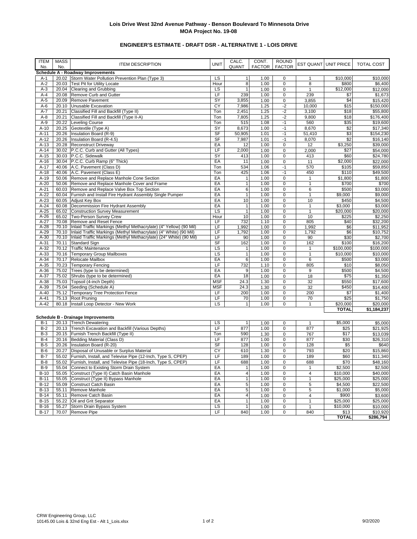# **ENGINEER'S ESTIMATE - DRAFT DSR - ALTERNATIVE 1 - LOIS DRIVE**

| <b>ITEM</b><br>No. | <b>MASS</b><br>No. | <b>ITEM DESCRIPTION</b>                                                                                                                 | <b>UNIT</b> | CALC.<br>QUANT                 | CONT.<br><b>FACTOR</b> | <b>ROUND</b><br><b>FACTOR</b> |                   | EST QUANT UNIT PRICE | <b>TOTAL COST</b>    |
|--------------------|--------------------|-----------------------------------------------------------------------------------------------------------------------------------------|-------------|--------------------------------|------------------------|-------------------------------|-------------------|----------------------|----------------------|
|                    |                    | Schedule A - Roadway Improvements                                                                                                       |             |                                |                        |                               |                   |                      |                      |
| A-1                |                    | 20.02 Storm Water Pollution Prevention Plan (Type 3)                                                                                    | <b>LS</b>   | 1                              | 1.00                   | 0                             | $\mathbf{1}$      | \$10,000             | \$10,000             |
| $A-2$              | 20.03              | Test Pit for Utility Locate                                                                                                             | Hour<br>LS  | $\overline{8}$<br>$\mathbf{1}$ | 1.00<br>1.00           | $\pmb{0}$<br>$\mathbf 0$      | 8<br>$\mathbf{1}$ | \$800                | \$6,400              |
| $A-3$<br>$A-4$     | 20.04              | <b>Clearing and Grubbing</b><br>20.08 Remove Curb and Gutter                                                                            | LF          | 239                            | 1.00                   | $\pmb{0}$                     | 239               | \$12,000<br>\$7      | \$12,000<br>\$1,673  |
| $A-5$              | 20.09              | <b>Remove Pavement</b>                                                                                                                  | SY          | 3,855                          | 1.00                   | $\mathbf 0$                   | 3,855             | \$4                  | \$15,420             |
| $A-6$              | 20.10              | Unusable Excavation                                                                                                                     | CY          | 7,986                          | 1.25                   | $-2$                          | 10,000            | \$15                 | \$150,000            |
| $A-7$              | 20.21              | Classified Fill and Backfill (Type II)                                                                                                  | Ton         | 2,451                          | 1.25                   | $-2$                          | 3,100             | \$18                 | \$55,800             |
| $A-8$              | 20.21              | Classified Fill and Backfill (Type II-A)                                                                                                | Ton         | 7,805                          | 1.25                   | $-2$                          | 9,800             | \$18                 | \$176,400            |
| $A-9$              | 20.22              | Leveling Course                                                                                                                         | Ton         | 515                            | 1.08                   | $-1$                          | 560               | \$35                 | \$19,600             |
| $A-10$             | 20.25              | Geotextile (Type A)                                                                                                                     | SY          | 8,673                          | 1.00                   | $-1$                          | 8,670             | \$2                  | $\overline{$}17,340$ |
| $A-11$             | 20.26              | Insulation Board (R-9)                                                                                                                  | SF          | 50,905                         | 1.01                   | $-1$                          | 51,410            | \$3                  | \$154,230            |
| $A-12$             | 20.26              | Insulation Board (R-4.5)                                                                                                                | SF          | 7,987                          | 1.01                   | $-1$                          | 8,070             | \$2                  | \$16,140             |
| $A-13$             |                    | 20.28 Reconstruct Driveway                                                                                                              | EA          | 12                             | 1.00                   | $\pmb{0}$                     | 12                | \$3,250              | \$39,000             |
| $A-14$             |                    | 30.02 P.C.C. Curb and Gutter (All Types)                                                                                                | LF          | 2,000                          | 1.00                   | $\mathbf 0$                   | 2,000             | \$27                 | \$54,000             |
| $A-15$             |                    | 30.03 P.C.C. Sidewalk                                                                                                                   | SY          | 413                            | 1.00                   | $\pmb{0}$                     | 413               | \$60                 | \$24,780             |
| $A-16$             |                    | 30.04 P.C.C. Curb Ramp (6" Thick)                                                                                                       | EA          | 11                             | 1.00                   | $\mathbf 0$                   | 11                | \$2,000              | \$22,000             |
| $A-17$             | 40.06              | A.C. Pavement (Class D)                                                                                                                 | Ton         | 534                            | 1.06                   | $-1$                          | 570               | \$105                | \$59,850             |
| $A-18$             |                    | 40.06 A.C. Pavement (Class E)                                                                                                           | Ton         | 425                            | 1.06                   | $-1$                          | 450               | \$110                | \$49,500             |
| $A-19$             | 50.06              | Remove and Replace Manhole Cone Section                                                                                                 | EA          | $\mathbf{1}$                   | 1.00                   | $\mathbf 0$                   | $\mathbf{1}$      | \$1,800              | \$1,800              |
| $A-20$             | 50.06              | Remove and Replace Manhole Cover and Frame                                                                                              | EA          | $\overline{1}$                 | 1.00                   | $\pmb{0}$                     | $\mathbf{1}$      | \$700                | \$700                |
| $A-21$             | 60.03              | Remove and Replace Valve Box Top Section                                                                                                | EA          | 6                              | 1.00                   | $\pmb{0}$                     | 6                 | \$500                | \$3,000              |
| $A-22$             | 60.04              | Furnish and Install Fire Hydrant Assembly Single Pumper                                                                                 | EA          | $\mathbf{1}$                   | 1.00                   | $\pmb{0}$                     | $\mathbf{1}$      | \$9,000              | \$9,000              |
| $A-23$             | 60.05              | Adjust Key Box                                                                                                                          | EA          | 10                             | 1.00                   | $\mathbf 0$                   | 10                | \$450                | \$4,500              |
| $A-24$             | 60.08              | Decommission Fire Hydrant Assembly                                                                                                      | EA          | $\mathbf{1}$                   | 1.00                   | $\pmb{0}$                     | $\mathbf{1}$      | \$3,000              | \$3,000              |
| $A-25$             | 65.02              | <b>Construction Survey Measurement</b>                                                                                                  | LS          | $\mathbf{1}$                   | 1.00                   | $\mathbf 0$                   | 1                 | \$20,000             | \$20,000             |
| $A-26$             | 65.02              | Two-Person Survey Crew                                                                                                                  | Hour        | 10                             | 1.00                   | $\mathbf 0$                   | 10                | \$225                | \$2,250              |
| $A-27$             | 70.08              | <b>Remove and Reset Fence</b>                                                                                                           | LF          | 732                            | 1.10                   | 0                             | 805               | \$40                 | \$32,200             |
| $A-28$<br>$A-29$   | 70.10              | Inlaid Traffic Markings (Methyl Methacrylate) (4" Yellow) (90 Mil)                                                                      | LF          | 1,992                          | 1.00                   | $\mathbf 0$                   | 1,992             | \$6                  | \$11,952             |
| $A-30$             | 70.10<br>70.10     | Inlaid Traffic Markings (Methyl Methacrylate) (4" White) (90 Mil)<br>Inlaid Traffic Markings (Methyl Methacrylate) (24" White) (90 Mil) | LF<br>LF    | 1,792<br>90                    | 1.00<br>1.00           | $\mathbf 0$<br>$\mathbf 0$    | 1,792<br>90       | \$6<br>\$30          | \$10,752<br>\$2,700  |
| $A-31$             | 70.11              | <b>Standard Sign</b>                                                                                                                    | SF          | 162                            | 1.00                   | $\mathbf 0$                   | 162               | \$100                | \$16,200             |
| $A-32$             | 70.12              | <b>Traffic Maintenance</b>                                                                                                              | <b>LS</b>   | $\mathbf{1}$                   | 1.00                   | $\mathbf 0$                   | $\mathbf{1}$      | \$100,000            | \$100,000            |
| $A-33$             | 70.16              | <b>Temporary Group Mailboxes</b>                                                                                                        | <b>LS</b>   | 1                              | 1.00                   | $\mathbf 0$                   | $\mathbf{1}$      | \$10,000             | \$10,000             |
| $A-34$             | 70.17              | Relocate Mailbox                                                                                                                        | EA          | 6                              | 1.00                   | $\mathbf 0$                   | 6                 | \$500                | \$3,000              |
| $A-35$             | 70.23              | <b>Temporary Fencing</b>                                                                                                                | LF          | 732                            | 1.10                   | $\pmb{0}$                     | 805               | \$10                 | \$8,050              |
| $A-36$             | 75.02              | Trees (type to be determined)                                                                                                           | EA          | 9                              | 1.00                   | $\mathbf 0$                   | 9                 | \$500                | \$4,500              |
| $A-37$             | 75.02              | Shrubs (type to be determined)                                                                                                          | EA          | 18                             | 1.00                   | $\mathbf 0$                   | 18                | \$75                 | \$1,350              |
| $A-38$             | 75.03              | Topsoil (4-inch Depth)                                                                                                                  | <b>MSF</b>  | 24.3                           | 1.30                   | $\pmb{0}$                     | 32                | \$550                | \$17,600             |
| $A-39$             | 75.04              | Seeding (Schedule A)                                                                                                                    | <b>MSF</b>  | 24.3                           | 1.30                   | $\mathbf 0$                   | 32                | \$450                | \$14,400             |
| $A-40$             | 75.12              | <b>Temporary Tree Protection Fence</b>                                                                                                  | LF          | 200                            | 1.00                   | $\pmb{0}$                     | 200               | \$7                  | \$1,400              |
| $A-41$             | 75.13              | <b>Root Pruning</b>                                                                                                                     | LF          | 70                             | 1.00                   | $\mathbf 0$                   | 70                | \$25                 | \$1,750              |
| $A-42$             |                    | 80.18  Install Loop Detector - New Work                                                                                                 | LS          | $\mathbf{1}$                   | 1.00                   | $\mathbf 0$                   | $\mathbf{1}$      | \$20,000             | \$20,000             |
|                    |                    |                                                                                                                                         |             |                                |                        |                               |                   | <b>TOTAL</b>         | \$1,184,237          |
|                    |                    | <b>Schedule B - Drainage Improvements</b>                                                                                               |             |                                |                        |                               |                   |                      |                      |
| $B-1$              |                    | 20.13 Trench Dewatering                                                                                                                 | LS          | $\mathbf{1}$                   | 1.00                   | $\mathbf 0$                   | $\mathbf{1}$      | \$5,000              | \$5,000              |
| $B-2$              |                    | 20.13 Trench Excavation and Backfill (Various Depths)                                                                                   | LF          | 877                            | 1.00                   | $\pmb{0}$                     | 877               | \$25                 | \$21,925             |
| B-3                |                    | 20.15 Furnish Trench Backfill (Type II)                                                                                                 | Ton         | 590                            | 1.30                   | $\mathbf 0$                   | 767               | \$17                 | \$13,039             |
| $B-4$              |                    | 20.16 Bedding Material (Class D)                                                                                                        | LF          | 877                            | 1.00                   | $\mathbf 0$                   | 877               | \$30                 | \$26,310             |
| $B-5$              |                    | 20.26   Insulation Board (R-20)                                                                                                         | <b>SF</b>   | 128                            | 1.00                   | $\mathbf 0$                   | 128               | \$5                  | \$640                |
| $B-6$              | 20.27              | Disposal of Unusable or Surplus Material                                                                                                | CY          | 610                            | 1.30                   | $\mathbf 0$                   | 793               | \$20                 | \$15,860             |
| $B-7$              |                    | 55.02 Furnish, Install, and Televise Pipe (12-Inch, Type S, CPEP)                                                                       | LF          | 189                            | 1.00                   | $\mathbf 0$                   | 189               | \$60                 | \$11,340             |
| $B-8$              |                    | 55.02 Furnish, Install, and Televise Pipe (18-Inch, Type S, CPEP)                                                                       | LF          | 688                            | 1.00                   | 0                             | 688               | \$70                 | \$48,160             |
| B-9                |                    | 55.04 Connect to Existing Storm Drain System                                                                                            | EA          | $\mathbf{1}$                   | 1.00                   | $\mathbf 0$                   | $\mathbf{1}$      | \$2,500              | \$2,500              |
| $B-10$             |                    | 55.05 Construct (Type II) Catch Basin Manhole                                                                                           | EA          | $\overline{\mathbf{4}}$        | 1.00                   | 0                             | 4                 | \$10,000             | \$40,000             |
| $B-11$             | 55.05              | Construct (Type II) Bypass Manhole                                                                                                      | EA          | $\mathbf{1}$                   | 1.00                   | 0                             | $\mathbf{1}$      | \$25,000             | \$25,000             |
| $B-12$             | 55.09              | Construct Catch Basin                                                                                                                   | EA          | 5                              | 1.00                   | $\pmb{0}$                     | 5                 | \$4,500              | \$22,500             |
| <b>B-13</b>        | 55.11              | Remove Manhole                                                                                                                          | EA          | 5                              | 1.00                   | $\pmb{0}$                     | 5                 | \$1,000              | \$5,000              |
| $B-14$             | 55.11              | Remove Catch Basin                                                                                                                      | EA          | 4                              | 1.00                   | $\pmb{0}$                     | 4                 | \$900                | \$3,600              |
| $B-15$             |                    | 55.22 Oil and Grit Separator                                                                                                            | EA          | $\overline{1}$                 | 1.00                   | $\pmb{0}$                     | $\mathbf{1}$      | \$25,000             | \$25,000             |
| $B-16$             | 55.27              | Storm Drain Bypass System                                                                                                               | LS          | $\mathbf{1}$                   | 1.00                   | $\pmb{0}$                     | $\mathbf{1}$      | \$10,000             | \$10,000             |
| $B-17$             |                    | 70.07 Remove Pipe                                                                                                                       | LF          | 840                            | 1.00                   | $\pmb{0}$                     | 840               | \$13                 | \$10,920             |
|                    |                    |                                                                                                                                         |             |                                |                        |                               |                   | <b>TOTAL</b>         | \$286,794            |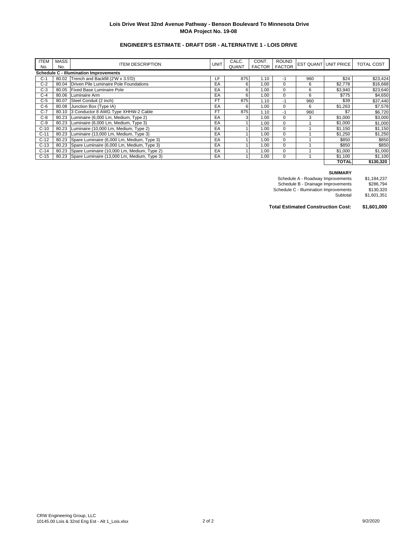# **ENGINEER'S ESTIMATE - DRAFT DSR - ALTERNATIVE 1 - LOIS DRIVE**

| <b>ITEM</b><br>No.                            | <b>MASS</b><br>No. | <b>ITEM DESCRIPTION</b>                           | <b>UNIT</b> | CALC.<br><b>QUANT</b> | CONT.<br><b>FACTOR</b> | <b>ROUND</b><br><b>FACTOR</b> |     | EST QUANT UNIT PRICE | <b>TOTAL COST</b> |  |  |
|-----------------------------------------------|--------------------|---------------------------------------------------|-------------|-----------------------|------------------------|-------------------------------|-----|----------------------|-------------------|--|--|
| <b>Schedule C - Illumination Improvements</b> |                    |                                                   |             |                       |                        |                               |     |                      |                   |  |  |
| $C-1$                                         |                    | 80.02 Trench and Backfill (2'W x 3.5'D)           | LF          | 875                   | 1.10                   | $-1$                          | 960 | \$24                 | \$23,424          |  |  |
| $C-2$                                         |                    | 80.04 Driven Pile Luminaire Pole Foundations      | EA          | 6                     | 1.00                   | $\mathbf 0$                   | 6   | \$2,778              | \$16,668          |  |  |
| $C-3$                                         |                    | 80.05 Fixed Base Luminaire Pole                   | EA          | 6                     | 1.00                   | $\mathbf 0$                   | 6   | \$3,940              | \$23,640          |  |  |
| $C-4$                                         | 80.06              | Luminaire Arm                                     | EA          | 6                     | 1.00                   | $\mathbf 0$                   | 6   | \$775                | \$4,650           |  |  |
| $C-5$                                         |                    | 80.07 Steel Conduit (2 inch)                      | <b>FT</b>   | 875                   | 1.10                   | $-1$                          | 960 | \$39                 | \$37,440          |  |  |
| $C-6$                                         | 80.08              | Junction Box (Type IA)                            | EA          | 6                     | 1.00                   | $\mathbf 0$                   | 6   | \$1,263              | \$7,578           |  |  |
| $C-7$                                         |                    | 80.10 3 Conductor 8 AWG Type XHHW-2 Cable         | <b>FT</b>   | 875                   | 1.10                   | $-1$                          | 960 | \$7                  | \$6,720           |  |  |
| $C-8$                                         |                    | 80.23 Luminaire (6,000 Lm, Medium, Type 2)        | EA          |                       | 1.00                   | $\mathbf 0$                   | 3   | \$1,000              | \$3,000           |  |  |
| $C-9$                                         | 80.23              | Luminaire (6,000 Lm, Medium, Type 3)              | EA          |                       | 1.00                   | $\mathbf 0$                   |     | \$1,000              | \$1,000           |  |  |
| $C-10$                                        | 80.23              | Luminaire (10,000 Lm, Medium, Type 2)             | EA          |                       | 1.00                   | $\mathbf 0$                   |     | \$1,150              | \$1,150           |  |  |
| $C-11$                                        |                    | 80.23   Luminaire (13,000 Lm, Medium, Type 3)     | EA          |                       | 1.00                   | $\mathbf 0$                   |     | \$1,250              | \$1,250           |  |  |
| $C-12$                                        |                    | 80.23 Spare Luminaire (6,000 Lm, Medium, Type 3)  | EA          |                       | 1.00                   | $\mathbf 0$                   |     | \$850                | \$850             |  |  |
| $C-13$                                        |                    | 80.23 Spare Luminaire (6,000 Lm, Medium, Type 3)  | EA          |                       | 1.00                   | $\mathbf 0$                   |     | \$850                | \$850             |  |  |
| $C-14$                                        |                    | 80.23 Spare Luminaire (10,000 Lm, Medium, Type 2) | EA          |                       | 1.00                   | $\mathbf 0$                   |     | \$1,000              | \$1,000           |  |  |
| $C-15$                                        |                    | 80.23 Spare Luminaire (13,000 Lm, Medium, Type 3) | EA          |                       | 1.00                   | $\mathbf 0$                   |     | \$1,100              | \$1,100           |  |  |
|                                               |                    |                                                   |             |                       |                        |                               |     | <b>TOTAL</b>         | \$130,320         |  |  |

#### **SUMMARY**

| Schedule A - Roadway Improvements      | \$1.184.237 |
|----------------------------------------|-------------|
| Schedule B - Drainage Improvements     | \$286.794   |
| Schedule C - Illumination Improvements | \$130.320   |
| Subtotal                               | \$1.601.351 |
|                                        |             |

**Total Estimated Construction Cost: \$1,601,000**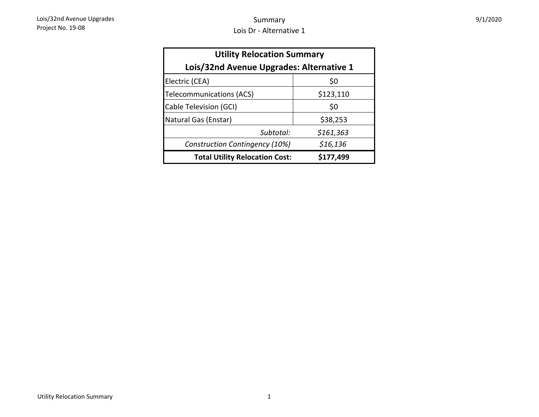| 9/1/2020 |
|----------|
|----------|

| <b>Utility Relocation Summary</b>        |           |  |  |  |  |  |
|------------------------------------------|-----------|--|--|--|--|--|
| Lois/32nd Avenue Upgrades: Alternative 1 |           |  |  |  |  |  |
| Electric (CEA)                           | \$0       |  |  |  |  |  |
| Telecommunications (ACS)                 | \$123,110 |  |  |  |  |  |
| Cable Television (GCI)                   | \$0       |  |  |  |  |  |
| Natural Gas (Enstar)                     | \$38,253  |  |  |  |  |  |
| Subtotal:                                | \$161,363 |  |  |  |  |  |
| Construction Contingency (10%)           | \$16,136  |  |  |  |  |  |
| <b>Total Utility Relocation Cost:</b>    | \$177,499 |  |  |  |  |  |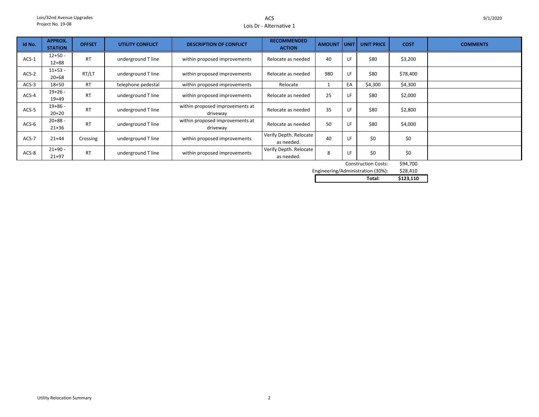### ACSLois Dr - Alternative 1

| Id No.  | <b>APPROX.</b> | <b>OFFSET</b>                   | <b>UTILITY CONFLICT</b> | <b>DESCRIPTION OF CONFLICT</b>  | <b>RECOMMENDED</b>     | <b>AMOUNT</b> |          | <b>UNIT UNIT PRICE</b>     | <b>COST</b> | <b>COMMENTS</b> |
|---------|----------------|---------------------------------|-------------------------|---------------------------------|------------------------|---------------|----------|----------------------------|-------------|-----------------|
|         | <b>STATION</b> |                                 |                         |                                 | <b>ACTION</b>          |               |          |                            |             |                 |
| $ACS-1$ | $12+50 -$      | <b>RT</b>                       | underground T line      |                                 | Relocate as needed     | 40            | LF       | \$80                       | \$3,200     |                 |
|         | $12 + 88$      |                                 |                         | within proposed improvements    |                        |               |          |                            |             |                 |
|         | $11+53 -$      |                                 |                         |                                 |                        | 980           |          |                            |             |                 |
| $ACS-2$ | $20 + 68$      | RT/LT                           | underground T line      | within proposed improvements    | Relocate as needed     |               | LF       | \$80                       | \$78,400    |                 |
| $ACS-3$ | $18 + 50$      | <b>RT</b>                       | telephone pedestal      | within proposed improvements    | Relocate               |               | EA       | \$4,300                    | \$4,300     |                 |
| $ACS-4$ | $19+26 -$      | <b>RT</b>                       | underground T line      | within proposed improvements    | Relocate as needed     | 25            | LF       | \$80                       | \$2,000     |                 |
|         | $19+49$        |                                 |                         |                                 |                        |               |          |                            |             |                 |
| $ACS-5$ | $19+86 -$      | <b>RT</b>                       |                         | within proposed improvements at |                        | 35            | LF       | \$80                       | \$2,800     |                 |
|         | $20+20$        |                                 | underground T line      | driveway                        | Relocate as needed     |               |          |                            |             |                 |
| $ACS-6$ | $20+88-$       |                                 |                         | within proposed improvements at | Relocate as needed     |               |          | \$80                       |             |                 |
|         | $21 + 36$      | <b>RT</b><br>underground T line |                         | driveway                        |                        |               | 50<br>LF |                            | \$4,000     |                 |
| ACS-7   | $21 + 44$      |                                 |                         | within proposed improvements    | Verify Depth. Relocate | 40            | LF       | \$0                        | \$0         |                 |
|         |                | Crossing                        | underground T line      |                                 | as needed.             |               |          |                            |             |                 |
| ACS-8   | $21+90 -$      | <b>RT</b>                       |                         |                                 | Verify Depth. Relocate |               | ١F       | \$0                        | \$0         |                 |
|         | $21 + 97$      |                                 | underground T line      | within proposed improvements    | as needed.             |               | 8        |                            |             |                 |
|         |                |                                 |                         |                                 |                        |               |          | <b>Construction Costs:</b> | \$94,700    |                 |

\$28,410 Engineering/Administration (30%):

| --- |        |           |
|-----|--------|-----------|
|     | Total: | \$123,110 |
|     |        |           |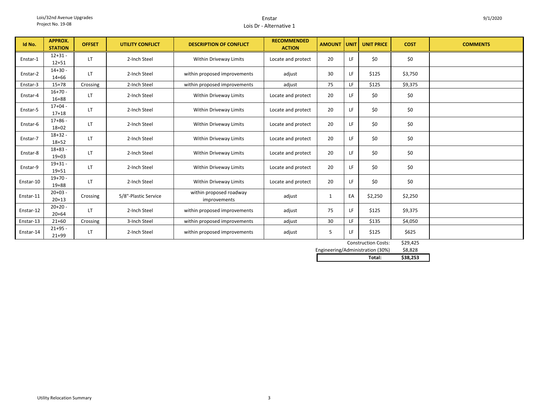#### EnstarLois Dr - Alternative 1

| Id No.    | <b>APPROX.</b><br><b>STATION</b> | <b>OFFSET</b> | <b>UTILITY CONFLICT</b> | <b>DESCRIPTION OF CONFLICT</b>          | <b>RECOMMENDED</b><br><b>ACTION</b> | <b>AMOUNT</b> | <b>UNIT</b> | <b>UNIT PRICE</b> | <b>COST</b>                           | <b>COMMENTS</b> |
|-----------|----------------------------------|---------------|-------------------------|-----------------------------------------|-------------------------------------|---------------|-------------|-------------------|---------------------------------------|-----------------|
| Enstar-1  | $12 + 31 -$<br>$12 + 51$         | LT            | 2-Inch Steel            | Within Driveway Limits                  | Locate and protect                  | 20            | LF          | \$0               | \$0                                   |                 |
| Enstar-2  | $14+30 -$<br>$14 + 66$           | LT.           | 2-Inch Steel            | within proposed improvements            | adjust                              | 30            | LF          | \$125             | \$3,750                               |                 |
| Enstar-3  | $15+78$                          | Crossing      | 2-Inch Steel            | within proposed improvements            | adjust                              | 75            | LF          | \$125             | \$9,375                               |                 |
| Enstar-4  | $16+70 -$<br>$16 + 88$           | LT            | 2-Inch Steel            | Within Driveway Limits                  | Locate and protect                  | 20            | LF          | \$0               | \$0                                   |                 |
| Enstar-5  | $17+04 -$<br>$17 + 18$           | LT.           | 2-Inch Steel            | Within Driveway Limits                  | Locate and protect                  | 20            | <b>IF</b>   | \$0               | \$0                                   |                 |
| Enstar-6  | $17+86 -$<br>$18 + 02$           | LT            | 2-Inch Steel            | Within Driveway Limits                  | Locate and protect                  | 20            | LF          | \$0               | \$0                                   |                 |
| Enstar-7  | $18 + 32 -$<br>$18 + 52$         | LT.           | 2-Inch Steel            | Within Driveway Limits                  | Locate and protect                  | 20            | LF          | \$0               | \$0                                   |                 |
| Enstar-8  | $18 + 83 -$<br>$19+03$           | LT.           | 2-Inch Steel            | Within Driveway Limits                  | Locate and protect                  | 20            | LF          | \$0               | \$0                                   |                 |
| Enstar-9  | $19 + 31 -$<br>$19 + 51$         | LT.           | 2-Inch Steel            | Within Driveway Limits                  | Locate and protect                  | 20            | LF          | \$0               | \$0                                   |                 |
| Enstar-10 | $19+70 -$<br>$19 + 88$           | LT.           | 2-Inch Steel            | Within Driveway Limits                  | Locate and protect                  | 20            | LF          | \$0               | \$0                                   |                 |
| Enstar-11 | $20+03 -$<br>$20+13$             | Crossing      | 5/8"-Plastic Service    | within proposed roadway<br>improvements | adjust                              | $\mathbf{1}$  | EA          | \$2,250           | \$2,250                               |                 |
| Enstar-12 | $20+20 -$<br>$20 + 64$           | <b>LT</b>     | 2-Inch Steel            | within proposed improvements            | adjust                              | 75            | LF          | \$125             | \$9,375                               |                 |
| Enstar-13 | $21+60$                          | Crossing      | 3-Inch Steel            | within proposed improvements            | adjust                              | 30            | LF          | \$135             | \$4,050                               |                 |
| Enstar-14 | $21+95 -$<br>$21 + 99$           | LT            | 2-Inch Steel            | within proposed improvements            | adjust                              | 5             | LF          | \$125             | \$625<br>$\lambda$ aa $\lambda$ a $=$ |                 |

| Total:                           | \$38.253 |
|----------------------------------|----------|
| Engineering/Administration (30%) | \$8.828  |
| <b>Construction Costs:</b>       | \$29.425 |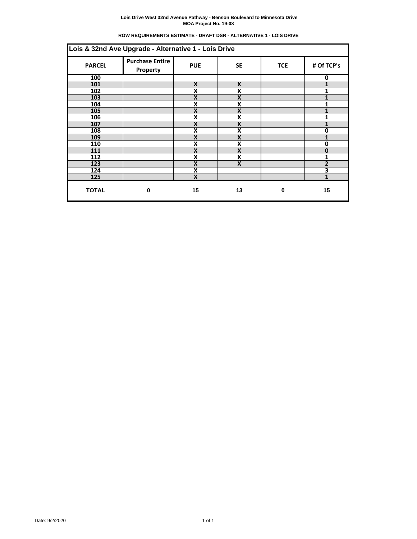| <b>ROW REQUIREMENTS ESTIMATE - DRAFT DSR - ALTERNATIVE 1 - LOIS DRIVE</b> |  |  |
|---------------------------------------------------------------------------|--|--|
|                                                                           |  |  |

|               | Lois & 32nd Ave Upgrade - Alternative 1 - Lois Drive |                           |                           |            |                |  |  |  |  |
|---------------|------------------------------------------------------|---------------------------|---------------------------|------------|----------------|--|--|--|--|
| <b>PARCEL</b> | <b>Purchase Entire</b><br>Property                   | <b>PUE</b>                | <b>SE</b>                 | <b>TCE</b> | # Of TCP's     |  |  |  |  |
| 100           |                                                      |                           |                           |            | 0              |  |  |  |  |
| 101           |                                                      | X                         | X                         |            |                |  |  |  |  |
| 102           |                                                      | X                         | X                         |            | 1              |  |  |  |  |
| 103           |                                                      | X                         | X                         |            | 1              |  |  |  |  |
| 104           |                                                      | X                         | X                         |            |                |  |  |  |  |
| 105           |                                                      | X                         | X                         |            |                |  |  |  |  |
| 106           |                                                      | X                         | X                         |            | 1              |  |  |  |  |
| 107           |                                                      | X                         | X                         |            | 1              |  |  |  |  |
| 108           |                                                      | X                         | χ                         |            | በ              |  |  |  |  |
| 109           |                                                      | Χ                         | χ                         |            | 1              |  |  |  |  |
| 110           |                                                      | X                         | X                         |            | 0              |  |  |  |  |
| 111           |                                                      | X                         | X                         |            | $\bf{0}$       |  |  |  |  |
| 112           |                                                      | X                         | X                         |            | 1              |  |  |  |  |
| 123           |                                                      | X                         | $\boldsymbol{\mathsf{X}}$ |            | $\overline{2}$ |  |  |  |  |
| 124           |                                                      | X                         |                           |            | 3              |  |  |  |  |
| 125           |                                                      | $\boldsymbol{\mathsf{X}}$ |                           |            |                |  |  |  |  |
| <b>TOTAL</b>  | 0                                                    | 15                        | 13                        | $\bf{0}$   | 15             |  |  |  |  |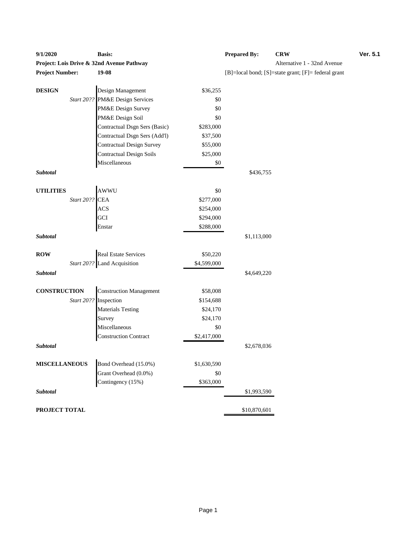| 9/1/2020               |            | <b>Basis:</b>                             |             | <b>Prepared By:</b> | <b>CRW</b>                                          | Ver. 5.1 |
|------------------------|------------|-------------------------------------------|-------------|---------------------|-----------------------------------------------------|----------|
|                        |            | Project: Lois Drive & 32nd Avenue Pathway |             |                     | Alternative 1 - 32nd Avenue                         |          |
| <b>Project Number:</b> |            | $19-08$                                   |             |                     | [B]=local bond; [S]=state grant; [F]= federal grant |          |
|                        |            |                                           |             |                     |                                                     |          |
| <b>DESIGN</b>          |            | Design Management                         | \$36,255    |                     |                                                     |          |
|                        | Start 20?? | PM&E Design Services                      | \$0         |                     |                                                     |          |
|                        |            | PM&E Design Survey                        | \$0         |                     |                                                     |          |
|                        |            | PM&E Design Soil                          | \$0         |                     |                                                     |          |
|                        |            | Contractual Dsgn Sers (Basic)             | \$283,000   |                     |                                                     |          |
|                        |            | Contractual Dsgn Sers (Add'l)             | \$37,500    |                     |                                                     |          |
|                        |            | <b>Contractual Design Survey</b>          | \$55,000    |                     |                                                     |          |
|                        |            | <b>Contractual Design Soils</b>           | \$25,000    |                     |                                                     |          |
|                        |            | Miscellaneous                             | $\$0$       |                     |                                                     |          |
| Subtotal               |            |                                           |             | \$436,755           |                                                     |          |
|                        |            |                                           |             |                     |                                                     |          |
| <b>UTILITIES</b>       |            | AWWU                                      | \$0         |                     |                                                     |          |
|                        | Start 20?? | <b>CEA</b>                                | \$277,000   |                     |                                                     |          |
|                        |            | <b>ACS</b>                                | \$254,000   |                     |                                                     |          |
|                        |            | GCI                                       | \$294,000   |                     |                                                     |          |
|                        |            | Enstar                                    | \$288,000   |                     |                                                     |          |
| Subtotal               |            |                                           |             | \$1,113,000         |                                                     |          |
|                        |            |                                           |             |                     |                                                     |          |
| <b>ROW</b>             |            | <b>Real Estate Services</b>               | \$50,220    |                     |                                                     |          |
|                        |            | Start 20?? Land Acquisition               | \$4,599,000 |                     |                                                     |          |
| Subtotal               |            |                                           |             | \$4,649,220         |                                                     |          |
| <b>CONSTRUCTION</b>    |            | <b>Construction Management</b>            | \$58,008    |                     |                                                     |          |
|                        |            | Start 20?? Inspection                     | \$154,688   |                     |                                                     |          |
|                        |            | <b>Materials Testing</b>                  | \$24,170    |                     |                                                     |          |
|                        |            | Survey                                    | \$24,170    |                     |                                                     |          |
|                        |            | Miscellaneous                             | \$0         |                     |                                                     |          |
|                        |            | <b>Construction Contract</b>              | \$2,417,000 |                     |                                                     |          |
| Subtotal               |            |                                           |             | \$2,678,036         |                                                     |          |
|                        |            |                                           |             |                     |                                                     |          |
| <b>MISCELLANEOUS</b>   |            | Bond Overhead (15.0%)                     | \$1,630,590 |                     |                                                     |          |
|                        |            | Grant Overhead (0.0%)                     | $\$0$       |                     |                                                     |          |
|                        |            | Contingency (15%)                         | \$363,000   |                     |                                                     |          |
| Subtotal               |            |                                           |             | \$1,993,590         |                                                     |          |
|                        |            |                                           |             |                     |                                                     |          |
| PROJECT TOTAL          |            |                                           |             | \$10,870,601        |                                                     |          |

# **Provided: Locis Drive 1 - 32nd Avenue Project Number:**  $[F]$ = federal grant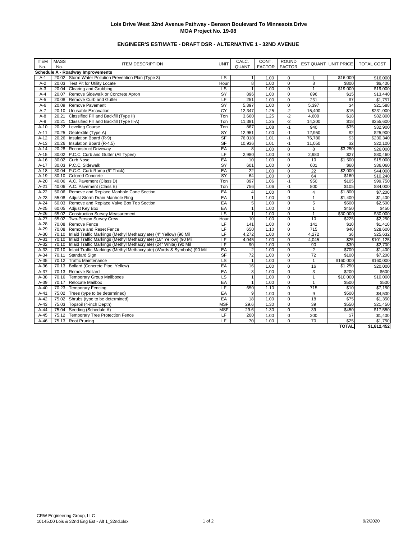# **ENGINEER'S ESTIMATE - DRAFT DSR - ALTERNATIVE 1 - 32ND AVENUE**

| <b>ITEM</b><br>No. | <b>MASS</b><br>No. | <b>ITEM DESCRIPTION</b>                                                       | <b>UNIT</b>              | CALC.<br>QUANT  | CONT.<br><b>FACTOR</b> | <b>ROUND</b><br><b>FACTOR</b> |                 | <b>EST QUANT UNIT PRICE</b> | TOTAL COST  |
|--------------------|--------------------|-------------------------------------------------------------------------------|--------------------------|-----------------|------------------------|-------------------------------|-----------------|-----------------------------|-------------|
|                    |                    | Schedule A - Roadway Improvements                                             |                          |                 |                        |                               |                 |                             |             |
| $A-1$              |                    | 20.02 Storm Water Pollution Prevention Plan (Type 3)                          | LS                       | 1 <sup>1</sup>  | 1.00                   | $\Omega$                      | $\mathbf{1}$    | \$16,000                    | \$16,000    |
| $A-2$              | 20.03              | <b>Test Pit for Utility Locate</b>                                            | Hour                     | 8               | 1.00                   | 0                             | 8               | \$800                       | \$6,400     |
| $A-3$              |                    | 20.04 Clearing and Grubbing                                                   | LS                       | $\mathbf{1}$    | 1.00                   | $\Omega$                      | $\mathbf{1}$    | \$19,000                    | \$19,000    |
| $A-4$              | 20.07              | Remove Sidewalk or Concrete Apron                                             | SY                       | 896             | 1.00                   | 0                             | 896             | \$15                        | \$13,440    |
| $A-5$              | 20.08              | Remove Curb and Gutter                                                        | LF                       | 251             | 1.00                   | $\Omega$                      | 251             | $\sqrt{$7}$                 | \$1,757     |
| $A-6$              | 20.09              | Remove Pavement                                                               | SY                       | 5,397           | 1.00                   | $\Omega$                      | 5,397           | \$4                         | \$21,588    |
| $A - 7$            | 20.10              | Unusable Excavation                                                           | CY                       | 12,347          | 1.25                   | $-2$                          | 15,400          | \$15                        | \$231,000   |
| $A-8$              | 20.21              | Classified Fill and Backfill (Type II)                                        | Ton                      | 3,660           | 1.25                   | $-2$                          | 4,600           | \$18                        | \$82,800    |
| $A-9$              | 20.21              | Classified Fill and Backfill (Type II-A)                                      | Ton                      | 11,381          | 1.25                   | $-2$                          | 14,200          | \$18                        | \$255,600   |
| $A-10$             | 20.22              | <b>Leveling Course</b>                                                        | Ton                      | 867             | 1.08                   | $-1$                          | 940             | \$35                        | \$32,900    |
| $A-11$             |                    | 20.25 Geotextile (Type A)                                                     | SY                       | 12,951          | 1.00                   | $-1$                          | 12,950          | \$2                         | \$25,900    |
| $A-12$             | 20.26              | Insulation Board (R-9)                                                        | <b>SF</b>                | 76,018          | 1.01                   | $-1$                          | 76,780          | \$3                         | \$230,340   |
| $A-13$             | 20.26              | Insulation Board (R-4.5)                                                      | <b>SF</b>                | 10,936          | 1.01                   | $-1$                          | 11,050          | \$2                         | \$22,100    |
| $A-14$             | 20.28              | <b>Reconstruct Driveway</b>                                                   | EA                       | 8               | 1.00                   | 0                             | 8               | \$3,250                     | \$26,000    |
| $A-15$             |                    | 30.02 P.C.C. Curb and Gutter (All Types)                                      | LF                       | 2,980           | 1.00                   | 0                             | 2,980           | \$27                        | \$80,460    |
| $A-16$             |                    | 30.02 Curb Nose                                                               | EA                       | 10              | 1.00                   | $\Omega$                      | 10              | \$1,500                     | \$15,000    |
| $A-17$             |                    | 30.03 P.C.C. Sidewalk                                                         | SY                       | 601             | 1.00                   | $\Omega$                      | 601             | \$60                        | \$36,060    |
| $A-18$             |                    | 30.04 P.C.C. Curb Ramp (6" Thick)                                             | EA                       | $\overline{22}$ | 1.00                   | $\Omega$                      | $\overline{22}$ | \$2,000                     | \$44,000    |
| $A-19$             |                    | 30.10 Colored Concrete                                                        | SY                       | 64              | 1.00                   | 0                             | 64              | \$160                       | \$10,240    |
| $A-20$             |                    | 40.06 A.C. Pavement (Class D)                                                 | Ton                      | 897             | 1.06                   | $-1$                          | 950             | \$105                       | \$99,750    |
| $A-21$             |                    | 40.06 A.C. Pavement (Class E)                                                 | Ton                      | 756             | 1.06                   | $-1$                          | 800             | \$105                       | \$84,000    |
| $A-22$             |                    | 50.06 Remove and Replace Manhole Cone Section                                 | EA                       | $\overline{4}$  | 1.00                   | 0                             | $\overline{4}$  | \$1,800                     | \$7,200     |
| $A-23$             |                    | 55.08 Adjust Storm Drain Manhole Ring                                         | EA                       | $\mathbf{1}$    | 1.00                   | $\Omega$                      | $\mathbf{1}$    | \$1,400                     | \$1,400     |
| $A-24$             |                    | 60.03 Remove and Replace Valve Box Top Section                                | EA                       | 5               | 1.00                   | 0                             | 5               | \$500                       | \$2,500     |
| $A-25$             |                    | 60.05 Adjust Key Box                                                          | EA                       | $\mathbf{1}$    | 1.00                   | $\Omega$                      | $\mathbf{1}$    | \$450                       | \$450       |
| $A-26$             |                    | 65.02 Construction Survey Measurement                                         | LS                       | $\mathbf{1}$    | 1.00                   | $\Omega$                      | $\mathbf{1}$    | \$30,000                    | \$30,000    |
| $A-27$             |                    | 65.02 Two-Person Survey Crew                                                  | Hour                     | 10              | 1.00                   | $\Omega$                      | 10              | \$225                       | \$2,250     |
| $A-28$             |                    | 70.08 Remove Fence                                                            | LF                       | 141             | 1.00                   | 0                             | 141             | \$10                        | \$1,410     |
| $A-29$             |                    | 70.08 Remove and Reset Fence                                                  | $\overline{\mathsf{LF}}$ | 650             | 1.10                   | $\Omega$                      | 715             | \$40                        | \$28,600    |
| $A-30$             |                    | 70.10 Inlaid Traffic Markings (Methyl Methacrylate) (4" Yellow) (90 Mil       | LF                       | 4,272           | 1.00                   | 0                             | 4,272           | \$6                         | \$25,632    |
| $A-31$             |                    | 70.10 Inlaid Traffic Markings (Methyl Methacrylate) (18" Yellow) (90 Mil      | LF                       | 4,045           | 1.00                   | $\Omega$                      | 4,045           | \$25                        | \$101,125   |
| $A-32$             |                    | 70.10 Inlaid Traffic Markings (Methyl Methacrylate) (24" White) (90 Mil       | LF                       | 90              | 1.00                   | 0                             | 90              | \$30                        | \$2,700     |
| $A-33$             |                    | 70.10 Inlaid Traffic Markings (Methyl Methacrylate) (Words & Symbols) (90 Mil | EA                       | $\overline{2}$  | 1.00                   | $\mathbf 0$                   | $\overline{2}$  | \$700                       | \$1,400     |
| $A-34$             |                    | 70.11 Standard Sign                                                           | SF                       | 72              | 1.00                   | 0                             | 72              | \$100                       | \$7,200     |
| $A-35$             |                    | 70.12 Traffic Maintenance                                                     | LS                       | 1               | 1.00                   | $\Omega$                      | $\mathbf{1}$    | \$160,000                   | \$160,000   |
| $A-36$             |                    | 70.13 Bollard (Concrete Pipe, Yellow)                                         | EA                       | 16              | 1.00                   | 0                             | 16              | \$1,250                     | \$20,000    |
| $A-37$             |                    | 70.13 Remove Bollard                                                          | EA                       | 3               | 1.00                   | $\Omega$                      | 3               | \$200                       | \$600       |
| $A-38$             |                    | 70.16 Temporary Group Mailboxes                                               | LS                       | $\mathbf{1}$    | 1.00                   | 0                             | $\mathbf{1}$    | \$10.000                    | \$10,000    |
| $A-39$             |                    | 70.17 Relocate Mailbox                                                        | EA                       | $\mathbf{1}$    | 1.00                   | $\mathbf 0$                   | $\mathbf{1}$    | \$500                       | \$500       |
| $A-40$             |                    | 70.23 Temporary Fencing                                                       | LF                       | 650             | 1.10                   | $\Omega$                      | 715             | \$10                        | \$7,150     |
| $A-41$             |                    | 75.02 Trees (type to be determined)                                           | EA                       | 9               | 1.00                   | $\mathbf 0$                   | 9               | \$500                       | \$4,500     |
| $A-42$             |                    | 75.02 Shrubs (type to be determined)                                          | EA                       | 18              | 1.00                   | $\Omega$                      | 18              | \$75                        | \$1,350     |
| $A-43$             |                    | 75.03 Topsoil (4-inch Depth)                                                  | <b>MSF</b>               | 29.6            | 1.30                   | $\mathbf 0$                   | 39              | \$550                       | \$21,450    |
| $A-44$             |                    | 75.04 Seeding (Schedule A)                                                    | <b>MSF</b>               | 29.6            | 1.30                   | 0                             | 39              | \$450                       | \$17,550    |
| $A-45$             |                    | 75.12 Temporary Tree Protection Fence                                         | LF                       | 200             | 1.00                   | $\mathbf 0$                   | 200             | $\overline{\$7}$            | \$1,400     |
| $A-46$             |                    | 75.13 Root Pruning                                                            | LF                       | 70              | 1.00                   | $\Omega$                      | 70              | \$25                        | \$1,750     |
|                    |                    |                                                                               |                          |                 |                        |                               |                 | <b>TOTAL</b>                | \$1,812,452 |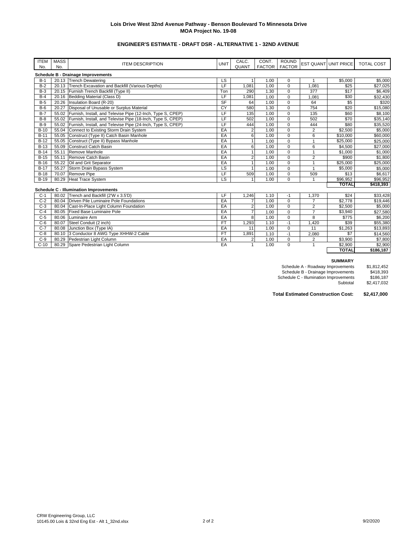# **ENGINEER'S ESTIMATE - DRAFT DSR - ALTERNATIVE 1 - 32ND AVENUE**

| <b>ITEM</b><br>No. | <b>MASS</b><br>No. | <b>ITEM DESCRIPTION</b>                                           | <b>UNIT</b> | CALC.<br>QUANT | CONT.<br><b>FACTOR</b> | <b>ROUND</b><br><b>FACTOR</b> |                | <b>EST QUANT UNIT PRICE</b> | <b>TOTAL COST</b> |
|--------------------|--------------------|-------------------------------------------------------------------|-------------|----------------|------------------------|-------------------------------|----------------|-----------------------------|-------------------|
|                    |                    |                                                                   |             |                |                        |                               |                |                             |                   |
|                    |                    | Schedule B - Drainage Improvements                                |             |                |                        |                               |                |                             |                   |
| $B-1$              |                    | 20.13 Trench Dewatering                                           | LS          |                | 1.00                   | 0                             |                | \$5,000                     | \$5,000           |
| $B-2$              | 20.13              | Trench Excavation and Backfill (Various Depths)                   | LF          | 1.081          | 1.00                   | $\mathbf 0$                   | 1.081          | \$25                        | \$27,025          |
| $B-3$              |                    | 20.15 Furnish Trench Backfill (Type II)                           | Ton         | 290            | 1.30                   | $\Omega$                      | 377            | \$17                        | \$6,409           |
| $B-4$              |                    | 20.16 Bedding Material (Class D)                                  | LF          | 1,081          | 1.00                   | $\mathbf 0$                   | 1,081          | \$30                        | \$32,430          |
| $B-5$              |                    | 20.26   Insulation Board (R-20)                                   | <b>SF</b>   | 64             | 1.00                   | $\Omega$                      | 64             | \$5                         | \$320             |
| $B-6$              | 20.27              | Disposal of Unusable or Surplus Material                          | CY          | 580            | 1.30                   | $\Omega$                      | 754            | \$20                        | \$15,080          |
| $B-7$              |                    | 55.02 Furnish, Install, and Televise Pipe (12-Inch, Type S, CPEP) | LF          | 135            | 1.00                   | $\Omega$                      | 135            | \$60                        | \$8,100           |
| $B-8$              | 55.02              | Furnish, Install, and Televise Pipe (18-Inch, Type S, CPEP)       | LF          | 502            | 1.00                   | $\mathbf 0$                   | 502            | \$70                        | \$35,140          |
| $B-9$              |                    | 55.02 Furnish, Install, and Televise Pipe (24-Inch, Type S, CPEP) | LF          | 444            | 1.00                   | $\Omega$                      | 444            | \$80                        | \$35,520          |
| $B-10$             |                    | 55.04 Connect to Existing Storm Drain System                      | EA          |                | 1.00                   | $\Omega$                      | $\overline{2}$ | \$2,500                     | \$5,000           |
| $B-11$             |                    | 55.05 Construct (Type II) Catch Basin Manhole                     | EA          |                | 1.00                   | $\mathbf 0$                   | 6              | \$10,000                    | \$60,000          |
| $B-12$             |                    | 55.05 Construct (Type II) Bypass Manhole                          | EA          |                | 1.00                   | $\Omega$                      |                | \$25,000                    | \$25,000          |
| $B-13$             | 55.09              | Construct Catch Basin                                             | EA          |                | 1.00                   | $\Omega$                      | 6              | \$4,500                     | \$27,000          |
| $B-14$             | 55.11              | Remove Manhole                                                    | EA          |                | 1.00                   | $\Omega$                      |                | \$1,000                     | \$1,000           |
| $B-15$             | 55.11              | Remove Catch Basin                                                | EA          |                | 1.00                   | $\mathbf 0$                   | $\overline{2}$ | \$900                       | \$1,800           |
| $B-16$             | 55.22              | Oil and Grit Separator                                            | EA          |                | 1.00                   | $\mathbf 0$                   | 1              | \$25,000                    | \$25,000          |
| $B-17$             | 55.27              | Storm Drain Bypass System                                         | <b>LS</b>   |                | 1.00                   | $\Omega$                      |                | \$5,000                     | \$5,000           |
| $B-18$             |                    | 70.07 Remove Pipe                                                 | LF          | 509            | 1.00                   | $\mathbf 0$                   | 509            | \$13                        | \$6.617           |
| $B-19$             |                    | 80.29 Heat Trace System                                           | LS.         |                | 1.00                   | $\Omega$                      |                | \$96,952                    | \$96.952          |
|                    |                    |                                                                   |             |                |                        |                               |                | <b>TOTAL</b>                | \$418,393         |
|                    |                    | <b>Schedule C - Illumination Improvements</b>                     |             |                |                        |                               |                |                             |                   |
| $C-1$              |                    | 80.02 Trench and Backfill (2'W x 3.5'D)                           | LF          | 1,246          | 1.10                   | $-1$                          | 1,370          | \$24                        | \$33,428          |
| $C-2$              |                    | 80.04 Driven Pile Luminaire Pole Foundations                      | EA          |                | 1.00                   | $\Omega$                      | $\overline{7}$ | \$2.778                     | \$19,446          |
| $C-3$              |                    | 80.04 Cast-In-Place Light Column Foundation                       | EA          |                | 1.00                   | $\mathbf 0$                   | $\overline{2}$ | \$2.500                     | \$5,000           |
| $C-4$              |                    | 80.05 Fixed Base Luminaire Pole                                   | EA          |                | 1.00                   | $\Omega$                      | $\overline{7}$ | \$3,940                     | \$27,580          |
| $C-5$              | 80.06              | Luminaire Arm                                                     | EA          |                | 1.00                   | $\mathbf 0$                   | 8              | \$775                       | \$6,200           |
| $C-6$              | 80.07              | Steel Conduit (2 inch)                                            | <b>FT</b>   | 1,293          | 1.10                   | $-1$                          | 1,420          | \$39                        | \$55,380          |
| $C-7$              |                    | 80.08 Junction Box (Type IA)                                      | EA          | 11             | 1.00                   | $\mathbf 0$                   | 11             | \$1,263                     | \$13,893          |
| $C-8$              |                    | 80.10 3 Conductor 8 AWG Type XHHW-2 Cable                         | <b>FT</b>   | 1.891          | 1.10                   | $-1$                          | 2.080          | \$7                         | \$14,560          |

C-9 | 80.29 |Pedestrian Light Column | EA | 2| 1.00 | 0 | 2 | \$3,900 | \$7,800 C-10 | 80.29 |Spare Pedestrian Light Column EA 1 1.00 0 1 \$2,900 | \$2,900

#### **SUMMARY**

**\$2,900 \$2,900**<br>**TOTAL \$186,187** 

| <b>JUINIMARI</b>                       |             |
|----------------------------------------|-------------|
| Schedule A - Roadway Improvements      | \$1.812.452 |
| Schedule B - Drainage Improvements     | \$418.393   |
| Schedule C - Illumination Improvements | \$186.187   |
| Subtotal                               | \$2,417,032 |

**Total Estimated Construction Cost: \$2,417,000**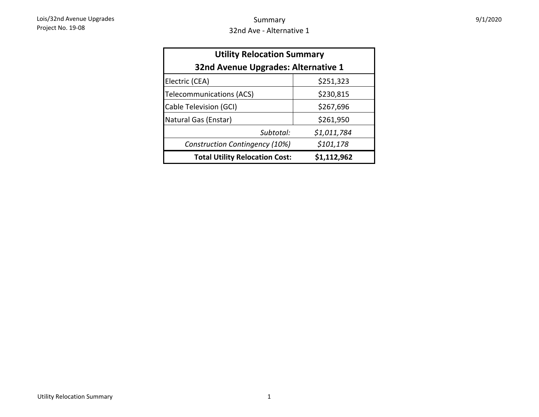| <b>Utility Relocation Summary</b>     |             |  |  |  |  |  |
|---------------------------------------|-------------|--|--|--|--|--|
| 32nd Avenue Upgrades: Alternative 1   |             |  |  |  |  |  |
| Electric (CEA)                        | \$251,323   |  |  |  |  |  |
| Telecommunications (ACS)              | \$230,815   |  |  |  |  |  |
| Cable Television (GCI)                | \$267,696   |  |  |  |  |  |
| Natural Gas (Enstar)                  | \$261,950   |  |  |  |  |  |
| Subtotal:                             | \$1,011,784 |  |  |  |  |  |
| Construction Contingency (10%)        | \$101,178   |  |  |  |  |  |
| <b>Total Utility Relocation Cost:</b> | \$1,112,962 |  |  |  |  |  |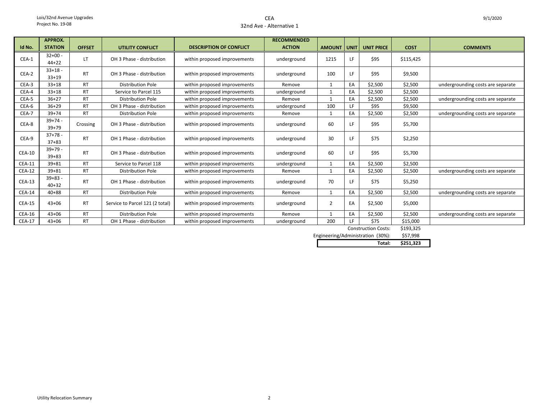# CEA32nd Ave - Alternative 1

|               | <b>APPROX.</b>         |               |                                 |                                | <b>RECOMMENDED</b> |                    |    |                    |                 |                                   |
|---------------|------------------------|---------------|---------------------------------|--------------------------------|--------------------|--------------------|----|--------------------|-----------------|-----------------------------------|
| Id No.        | <b>STATION</b>         | <b>OFFSET</b> | <b>UTILITY CONFLICT</b>         | <b>DESCRIPTION OF CONFLICT</b> | <b>ACTION</b>      | <b>AMOUNT UNIT</b> |    | <b>UNIT PRICE</b>  | <b>COST</b>     | <b>COMMENTS</b>                   |
| CEA-1         | $32+00 -$<br>$44 + 22$ | <b>LT</b>     | OH 3 Phase - distribution       | within proposed improvements   | underground        | 1215               | LF | \$95               | \$115,425       |                                   |
| CEA-2         | $33+18$ -<br>$33+19$   | <b>RT</b>     | OH 3 Phase - distribution       | within proposed improvements   | underground        | 100                | LF | \$95               | \$9,500         |                                   |
| CEA-3         | $33+18$                | <b>RT</b>     | <b>Distribution Pole</b>        | within proposed improvements   | Remove             | 1                  | EA | \$2,500            | \$2,500         | undergrounding costs are separate |
| CEA-4         | $33+18$                | <b>RT</b>     | Service to Parcel 115           | within proposed improvements   | underground        | $\mathbf{1}$       | EA | \$2,500            | \$2,500         |                                   |
| CEA-5         | $36+27$                | <b>RT</b>     | <b>Distribution Pole</b>        | within proposed improvements   | Remove             |                    | EA | \$2,500            | \$2,500         | undergrounding costs are separate |
| CEA-6         | $36+29$                | <b>RT</b>     | OH 3 Phase - distribution       | within proposed improvements   | underground        | 100                | 1F | \$95               | \$9,500         |                                   |
| CEA-7         | $39 + 74$              | <b>RT</b>     | <b>Distribution Pole</b>        | within proposed improvements   | Remove             | 1                  | EA | \$2,500            | \$2,500         | undergrounding costs are separate |
| CEA-8         | $39+74 -$<br>$39 + 79$ | Crossing      | OH 3 Phase - distribution       | within proposed improvements   | underground        | 60                 | LF | \$95               | \$5,700         |                                   |
| CEA-9         | $37+78 -$<br>$37 + 83$ | <b>RT</b>     | OH 1 Phase - distribution       | within proposed improvements   | underground        | 30                 | LF | \$75               | \$2,250         |                                   |
| $CEA-10$      | $39+79 -$<br>$39 + 83$ | <b>RT</b>     | OH 3 Phase - distribution       | within proposed improvements   | underground        | 60                 | LF | \$95               | \$5,700         |                                   |
| <b>CEA-11</b> | $39 + 81$              | <b>RT</b>     | Service to Parcel 118           | within proposed improvements   | underground        | $\mathbf{1}$       | EA | \$2,500            | \$2,500         |                                   |
| <b>CEA-12</b> | $39 + 81$              | <b>RT</b>     | <b>Distribution Pole</b>        | within proposed improvements   | Remove             | 1                  | EA | \$2,500            | \$2,500         | undergrounding costs are separate |
| $CEA-13$      | $39 + 83 -$<br>$40+32$ | <b>RT</b>     | OH 1 Phase - distribution       | within proposed improvements   | underground        | 70                 | ΙF | \$75               | \$5,250         |                                   |
| <b>CEA-14</b> | $40 + 88$              | <b>RT</b>     | <b>Distribution Pole</b>        | within proposed improvements   | Remove             | $\mathbf{1}$       | EA | \$2,500            | \$2,500         | undergrounding costs are separate |
| <b>CEA-15</b> | $43 + 06$              | <b>RT</b>     | Service to Parcel 121 (2 total) | within proposed improvements   | underground        | $\overline{2}$     | EA | \$2,500            | \$5,000         |                                   |
| <b>CEA-16</b> | $43 + 06$              | <b>RT</b>     | <b>Distribution Pole</b>        | within proposed improvements   | Remove             |                    | EA | \$2,500            | \$2,500         | undergrounding costs are separate |
| <b>CEA-17</b> | $43 + 06$              | <b>RT</b>     | OH 1 Phase - distribution       | within proposed improvements   | underground        | 200                | LF | \$75               | \$15,000        |                                   |
|               |                        |               |                                 |                                |                    |                    |    | Construction Costs | <b>C102.275</b> |                                   |

\$193,325 Construction Costs:

\$57,998 Engineering/Administration (30%):<br>**Total: Total: \$251,323**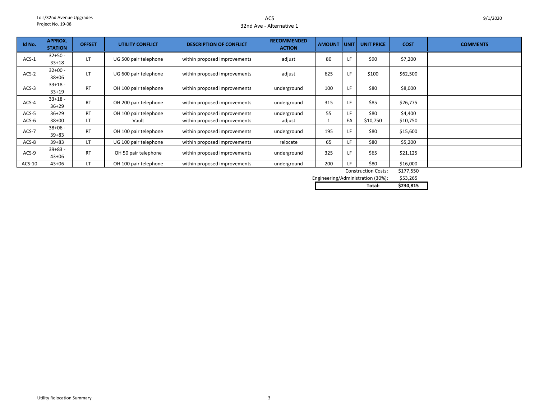ACS32nd Ave - Alternative 1

| Id No.  | <b>APPROX.</b><br><b>STATION</b> | <b>OFFSET</b> | <b>UTILITY CONFLICT</b> | <b>DESCRIPTION OF CONFLICT</b> | <b>RECOMMENDED</b><br><b>ACTION</b> | <b>AMOUNT</b> | l unit l | <b>UNIT PRICE</b> | <b>COST</b>                 | <b>COMMENTS</b> |
|---------|----------------------------------|---------------|-------------------------|--------------------------------|-------------------------------------|---------------|----------|-------------------|-----------------------------|-----------------|
| $ACS-1$ | $32 + 50 -$<br>$33+18$           | LT            | UG 500 pair telephone   | within proposed improvements   | adjust                              | 80            |          | \$90              | \$7,200                     |                 |
| $ACS-2$ | $32+00 -$<br>$38 + 06$           | LT            | UG 600 pair telephone   | within proposed improvements   | adjust                              | 625           |          | \$100             | \$62,500                    |                 |
| $ACS-3$ | $33+18 -$<br>$33+19$             | <b>RT</b>     | OH 100 pair telephone   | within proposed improvements   | underground                         | 100           | LF       | \$80              | \$8,000                     |                 |
| ACS-4   | $33+18 -$<br>$36 + 29$           | <b>RT</b>     | OH 200 pair telephone   | within proposed improvements   | underground                         | 315           | LF       | \$85              | \$26,775                    |                 |
| $ACS-5$ | $36+29$                          | <b>RT</b>     | OH 100 pair telephone   | within proposed improvements   | underground                         | 55            | LF       | \$80              | \$4,400                     |                 |
| $ACS-6$ | $38 + 00$                        | LT            | Vault                   | within proposed improvements   | adjust                              | 1             | EA       | \$10,750          | \$10,750                    |                 |
| ACS-7   | $38 + 06 -$<br>$39 + 83$         | <b>RT</b>     | OH 100 pair telephone   | within proposed improvements   | underground                         | 195           |          | \$80              | \$15,600                    |                 |
| ACS-8   | $39 + 83$                        | LT            | UG 100 pair telephone   | within proposed improvements   | relocate                            | 65            | LF       | \$80              | \$5,200                     |                 |
| ACS-9   | $39 + 83 -$<br>$43 + 06$         | <b>RT</b>     | OH 50 pair telephone    | within proposed improvements   | underground                         | 325           | LF       | \$65              | \$21,125                    |                 |
| ACS-10  | $43 + 06$                        | LT            | OH 100 pair telephone   | within proposed improvements   | underground                         | 200           | LF.      | \$80              | \$16,000<br>$A - I - I - A$ |                 |

\$177,550 Construction Costs:

\$53,265 Engineering/Administration (30%):

| Total:<br>. | \$230.815 |
|-------------|-----------|
|             |           |
|             |           |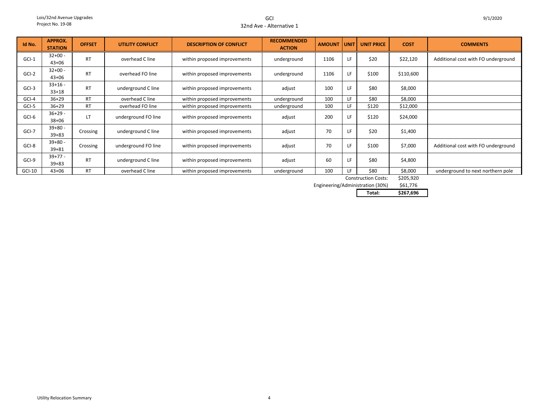GCI32nd Ave - Alternative 1

| Id No.  | <b>APPROX.</b><br><b>STATION</b> | <b>OFFSET</b> | <b>UTILITY CONFLICT</b> | <b>DESCRIPTION OF CONFLICT</b> | <b>RECOMMENDED</b><br><b>ACTION</b> | <b>AMOUNT</b> | <b>UNIT</b> | <b>UNIT PRICE</b> | <b>COST</b>       | <b>COMMENTS</b>                     |
|---------|----------------------------------|---------------|-------------------------|--------------------------------|-------------------------------------|---------------|-------------|-------------------|-------------------|-------------------------------------|
| $GCI-1$ | $32+00 -$<br>$43 + 06$           | <b>RT</b>     | overhead C line         | within proposed improvements   | underground                         | 1106          | LF          | \$20              | \$22,120          | Additional cost with FO underground |
| $GCI-2$ | $32+00 -$<br>$43 + 06$           | <b>RT</b>     | overhead FO line        | within proposed improvements   | underground                         | 1106          | LF          | \$100             | \$110,600         |                                     |
| $GCI-3$ | $33+16 -$<br>$33 + 18$           | <b>RT</b>     | underground C line      | within proposed improvements   | adjust                              | 100           | LF          | \$80              | \$8,000           |                                     |
| GCI-4   | $36+29$                          | <b>RT</b>     | overhead C line         | within proposed improvements   | underground                         | 100           | LF.         | \$80              | \$8,000           |                                     |
| GCI-5   | $36+29$                          | <b>RT</b>     | overhead FO line        | within proposed improvements   | underground                         | 100           | LF.         | \$120             | \$12,000          |                                     |
| GCI-6   | $36+29 -$<br>$38 + 06$           | LT            | underground FO line     | within proposed improvements   | adjust                              | 200           | LF          | \$120             | \$24,000          |                                     |
| GCI-7   | $39 + 80 -$<br>$39 + 83$         | Crossing      | underground C line      | within proposed improvements   | adjust                              | 70            | LF          | \$20              | \$1,400           |                                     |
| GCI-8   | $39+80 -$<br>$39 + 81$           | Crossing      | underground FO line     | within proposed improvements   | adjust                              | 70            |             | \$100             | \$7,000           | Additional cost with FO underground |
| GCI-9   | $39+77-$<br>$39 + 83$            | <b>RT</b>     | underground C line      | within proposed improvements   | adjust                              | 60            | LF          | \$80              | \$4,800           |                                     |
| GCI-10  | $43 + 06$                        | <b>RT</b>     | overhead C line         | within proposed improvements   | underground                         | 100           | LE.         | \$80<br>$C = 1$   | \$8,000<br>$\sim$ | underground to next northern pole   |

Construction Costs: \$205,920

\$61,776 Engineering/Administration (30%)

**Total: \$267,696**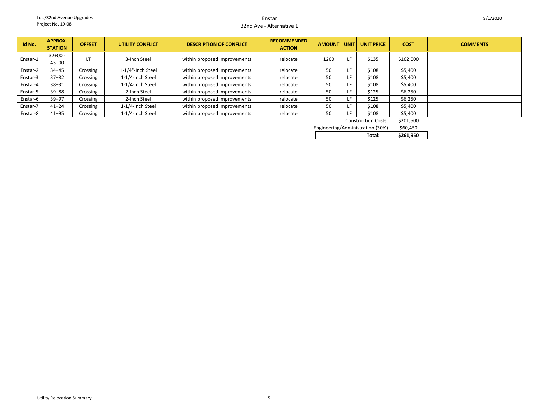#### Enstar32nd Ave - Alternative 1

| Id No.   | <b>APPROX.</b><br><b>STATION</b> | <b>OFFSET</b> | <b>UTILITY CONFLICT</b> | <b>DESCRIPTION OF CONFLICT</b> | <b>RECOMMENDED</b><br><b>ACTION</b> | <b>AMOUNT</b> | <b>UNIT</b> | <b>UNIT PRICE</b>          | <b>COST</b> | <b>COMMENTS</b> |
|----------|----------------------------------|---------------|-------------------------|--------------------------------|-------------------------------------|---------------|-------------|----------------------------|-------------|-----------------|
| Enstar-1 | $32+00 -$<br>$45 + 00$           | LT            | 3-Inch Steel            | within proposed improvements   | relocate                            | 1200          | LI.         | \$135                      | \$162,000   |                 |
| Enstar-2 | $34 + 45$                        | Crossing      | 1-1/4"-Inch Steel       | within proposed improvements   | relocate                            | 50            | Ŀh          | \$108                      | \$5,400     |                 |
| Enstar-3 | $37 + 82$                        | Crossing      | 1-1/4-Inch Steel        | within proposed improvements   | relocate                            | 50            |             | \$108                      | \$5,400     |                 |
| Enstar-4 | $38 + 31$                        | Crossing      | 1-1/4-Inch Steel        | within proposed improvements   | relocate                            | 50            |             | \$108                      | \$5,400     |                 |
| Enstar-5 | $39 + 88$                        | Crossing      | 2-Inch Steel            | within proposed improvements   | relocate                            | 50            |             | \$125                      | \$6,250     |                 |
| Enstar-6 | $39 + 97$                        | Crossing      | 2-Inch Steel            | within proposed improvements   | relocate                            | 50            |             | \$125                      | \$6,250     |                 |
| Enstar-7 | $41 + 24$                        | Crossing      | 1-1/4-Inch Steel        | within proposed improvements   | relocate                            | 50            |             | \$108                      | \$5,400     |                 |
| Enstar-8 | $41 + 95$                        | Crossing      | 1-1/4-Inch Steel        | within proposed improvements   | relocate                            | 50            |             | \$108                      | \$5,400     |                 |
|          |                                  |               |                         |                                |                                     |               |             | <b>Construction Costs:</b> | \$201,500   |                 |

| <b>Construction Costs:</b>       | \$201,500 |
|----------------------------------|-----------|
| Engineering/Administration (30%) | \$60.450  |

| Total: | \$261.950 |
|--------|-----------|
|        |           |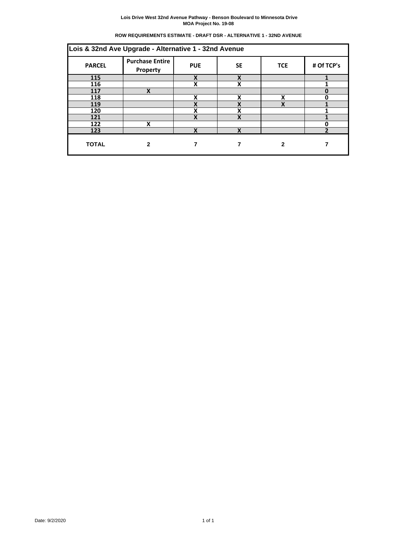| ROW REQUIREMENTS ESTIMATE - DRAFT DSR - ALTERNATIVE 1 - 32ND AVENUE |  |  |
|---------------------------------------------------------------------|--|--|
|                                                                     |  |  |

| Lois & 32nd Ave Upgrade - Alternative 1 - 32nd Avenue |                                                                                                  |   |             |   |              |  |  |  |  |  |
|-------------------------------------------------------|--------------------------------------------------------------------------------------------------|---|-------------|---|--------------|--|--|--|--|--|
| <b>PARCEL</b>                                         | <b>Purchase Entire</b><br># Of TCP's<br><b>SE</b><br><b>PUE</b><br><b>TCE</b><br><b>Property</b> |   |             |   |              |  |  |  |  |  |
| 115                                                   |                                                                                                  | X | X           |   |              |  |  |  |  |  |
| 116                                                   |                                                                                                  | X | X           |   |              |  |  |  |  |  |
| 117                                                   | X                                                                                                |   |             |   |              |  |  |  |  |  |
| 118                                                   |                                                                                                  | X | X           | X | O            |  |  |  |  |  |
| 119                                                   |                                                                                                  | v |             |   |              |  |  |  |  |  |
| 120                                                   |                                                                                                  | X | ν           |   |              |  |  |  |  |  |
| 121                                                   |                                                                                                  | X | $\mathbf v$ |   |              |  |  |  |  |  |
| 122                                                   | x                                                                                                |   |             |   |              |  |  |  |  |  |
| 123                                                   |                                                                                                  | χ | v           |   | $\mathbf{r}$ |  |  |  |  |  |
| <b>TOTAL</b>                                          |                                                                                                  |   |             | 2 |              |  |  |  |  |  |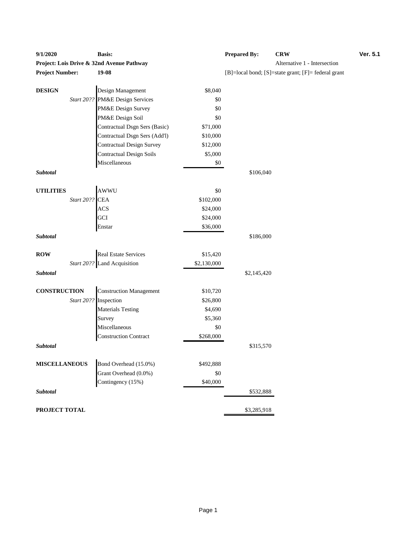| 9/1/2020               |                       | <b>Basis:</b>                             |                  | <b>Prepared By:</b> | <b>CRW</b>                                          | Ver. 5.1 |
|------------------------|-----------------------|-------------------------------------------|------------------|---------------------|-----------------------------------------------------|----------|
|                        |                       | Project: Lois Drive & 32nd Avenue Pathway |                  |                     | Alternative 1 - Intersection                        |          |
| <b>Project Number:</b> |                       | 19-08                                     |                  |                     | [B]=local bond; [S]=state grant; [F]= federal grant |          |
|                        |                       |                                           |                  |                     |                                                     |          |
| <b>DESIGN</b>          |                       | Design Management                         | \$8,040          |                     |                                                     |          |
|                        | Start 20??            | PM&E Design Services                      | \$0              |                     |                                                     |          |
|                        |                       | PM&E Design Survey                        | \$0              |                     |                                                     |          |
|                        |                       | PM&E Design Soil                          | \$0              |                     |                                                     |          |
|                        |                       | Contractual Dsgn Sers (Basic)             | \$71,000         |                     |                                                     |          |
|                        |                       | Contractual Dsgn Sers (Add'l)             | \$10,000         |                     |                                                     |          |
|                        |                       | <b>Contractual Design Survey</b>          | \$12,000         |                     |                                                     |          |
|                        |                       | <b>Contractual Design Soils</b>           | \$5,000          |                     |                                                     |          |
|                        |                       | Miscellaneous                             | \$0              |                     |                                                     |          |
| Subtotal               |                       |                                           |                  | \$106,040           |                                                     |          |
|                        |                       | AWWU                                      |                  |                     |                                                     |          |
| <b>UTILITIES</b>       |                       |                                           | \$0              |                     |                                                     |          |
|                        | Start 20??            | <b>CEA</b>                                | \$102,000        |                     |                                                     |          |
|                        |                       | ACS                                       | \$24,000         |                     |                                                     |          |
|                        |                       | GCI                                       | \$24,000         |                     |                                                     |          |
|                        |                       | Enstar                                    | \$36,000         |                     |                                                     |          |
| Subtotal               |                       |                                           |                  | \$186,000           |                                                     |          |
| <b>ROW</b>             |                       | <b>Real Estate Services</b>               | \$15,420         |                     |                                                     |          |
|                        |                       | Start 20?? Land Acquisition               | \$2,130,000      |                     |                                                     |          |
| Subtotal               |                       |                                           |                  | \$2,145,420         |                                                     |          |
|                        |                       |                                           |                  |                     |                                                     |          |
| <b>CONSTRUCTION</b>    |                       | <b>Construction Management</b>            | \$10,720         |                     |                                                     |          |
|                        | Start 20?? Inspection |                                           | \$26,800         |                     |                                                     |          |
|                        |                       | <b>Materials Testing</b>                  | \$4,690          |                     |                                                     |          |
|                        |                       | Survey                                    | \$5,360          |                     |                                                     |          |
|                        |                       | Miscellaneous                             | \$0              |                     |                                                     |          |
|                        |                       | <b>Construction Contract</b>              | \$268,000        |                     |                                                     |          |
| Subtotal               |                       |                                           |                  | \$315,570           |                                                     |          |
| <b>MISCELLANEOUS</b>   |                       | Bond Overhead (15.0%)                     |                  |                     |                                                     |          |
|                        |                       | Grant Overhead (0.0%)                     | \$492,888<br>\$0 |                     |                                                     |          |
|                        |                       | Contingency (15%)                         | \$40,000         |                     |                                                     |          |
| Subtotal               |                       |                                           |                  | \$532,888           |                                                     |          |
|                        |                       |                                           |                  |                     |                                                     |          |
| PROJECT TOTAL          |                       |                                           |                  | \$3,285,918         |                                                     |          |

| <b>Prepared By:</b>                                              | <b>CRW</b>                   | <b>Ver. 5.1</b> |
|------------------------------------------------------------------|------------------------------|-----------------|
|                                                                  | Alternative 1 - Intersection |                 |
| $[B] = local bond$ ; $[S] = state grant$ ; $[F] = federal grant$ |                              |                 |
|                                                                  |                              |                 |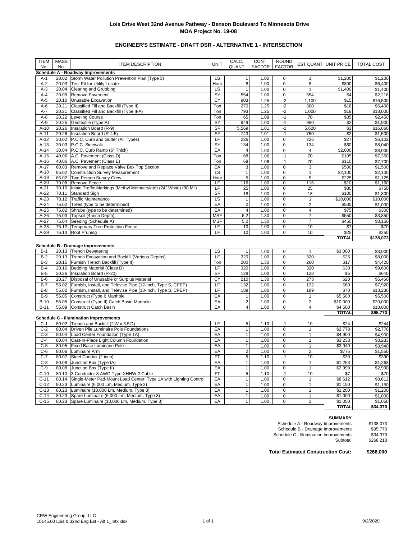# **ENGINEER'S ESTIMATE - DRAFT DSR - ALTERNATIVE 1 - INTERSECTION**

| <b>ITEM</b><br>No. | <b>MASS</b><br>No. | <b>ITEM DESCRIPTION</b>                                            | <b>UNIT</b> | CALC.<br>QUANT          | CONT.<br><b>FACTOR</b> | <b>ROUND</b><br><b>FACTOR</b> |                | EST QUANT UNIT PRICE | TOTAL COST |
|--------------------|--------------------|--------------------------------------------------------------------|-------------|-------------------------|------------------------|-------------------------------|----------------|----------------------|------------|
|                    |                    | Schedule A - Roadway Improvements                                  |             |                         |                        |                               |                |                      |            |
| $A-1$              |                    | 20.02 Storm Water Pollution Prevention Plan (Type 3)               | LS          | $\mathbf{1}$            | 1.00                   | $\mathbf 0$                   | $\mathbf{1}$   | \$1,200              | \$1,200    |
| $A-2$              | 20.03              | Test Pit for Utility Locate                                        | Hour        | $\overline{8}$          | 1.00                   | $\pmb{0}$                     | 8              | \$800                | \$6,400    |
| $A-3$              | 20.04              | Clearing and Grubbing                                              | LS          | $\mathbf{1}$            | 1.00                   | $\pmb{0}$                     | $\mathbf{1}$   | \$1,400              | \$1,400    |
| $A-4$              | 20.09              | Remove Pavement                                                    | SY          | 554                     | 1.00                   | $\pmb{0}$                     | 554            | \$4                  | \$2,216    |
| $A-5$              | 20.10              | Unusable Excavation                                                | СY          | 903                     | 1.25                   | $-2$                          | 1,100          | \$15                 | \$16,500   |
| $A-6$              | 20.21              | Classified Fill and Backfill (Type II)                             | Ton         | 270                     | 1.25                   | $-2$                          | 300            | \$18                 | \$5,400    |
| $A-7$              | 20.21              | Classified Fill and Backfill (Type II-A)                           | Ton         | 793                     | 1.25                   | $-2$                          | 1,000          | \$18                 | \$18,000   |
| $A-8$              | 20.22              | <b>Leveling Course</b>                                             | Ton         | 65                      | 1.08                   | $-1$                          | 70             | \$35                 | \$2,450    |
| $A-9$              | 20.25              | Geotextile (Type A)                                                | SY          | 949                     | 1.00                   | $-1$                          | 950            | \$2                  | \$1,900    |
| $A-10$             | 20.26              | Insulation Board (R-9)                                             | <b>SF</b>   | 5,569                   | 1.01                   | $-1$                          | 5,620          | \$3                  | \$16,860   |
| $A-11$             | 20.26              | Insulation Board (R-4.5)                                           | <b>SF</b>   | 743                     | 1.01                   | $-1$                          | 750            | \$2                  | \$1,500    |
| $A-12$             | 30.02              | P.C.C. Curb and Gutter (All Types)                                 | LF          | 226                     | 1.00                   | $\mathbf 0$                   | 226            | \$27                 | \$6,102    |
| $A-13$             |                    | 30.03 P.C.C. Sidewalk                                              | SY          | 134                     | 1.00                   | $\pmb{0}$                     | 134            | \$60                 | \$8,040    |
| $A-14$             |                    | 30.04 P.C.C. Curb Ramp (6" Thick)                                  | EA          | $\overline{4}$          | 1.00                   | $\pmb{0}$                     | 4              | \$2,000              | \$8,000    |
| $A-15$             |                    | 40.06 A.C. Pavement (Class D)                                      | Ton         | 68                      | 1.06                   | $-1$                          | 70             | \$105                | \$7,350    |
| $A-16$             |                    | 40.06 A.C. Pavement (Class E)                                      | Ton         | 68                      | 1.06                   | $-1$                          | 70             | \$110                | \$7,700    |
| $A-17$             | 60.03              | Remove and Replace Valve Box Top Section                           | EA          | 3                       | 1.00                   | $\pmb{0}$                     | 3              | \$500                | \$1,500    |
| $A-18$             | 65.02              | <b>Construction Survey Measurement</b>                             | LS          | $\mathbf{1}$            | 1.00                   | $\mathbf 0$                   | $\mathbf{1}$   | \$2,100              | \$2,100    |
| $A-19$             | 65.02              | Two-Person Survey Crew                                             | Hour        | $\overline{5}$          | 1.00                   | $\overline{0}$                | $\overline{5}$ | \$225                | \$1,125    |
| $A-20$             | 70.08              | Remove Fence                                                       | LF          | 116                     | 1.00                   | 0                             | 116            | \$10                 | \$1,160    |
| $A-21$             | 70.10              | Inlaid Traffic Markings (Methyl Methacrylate) (24" White) (90 Mil) | LF          | 25                      | 1.00                   | 0                             | 25             | \$30                 | \$750      |
| $A-22$             | 70.11              | <b>Standard Sign</b>                                               | SF          | 18                      | 1.00                   | $\mathbf 0$                   | 18             | \$100                | \$1,800    |
| $A-23$             | 70.12              | <b>Traffic Maintenance</b>                                         | LS          | $\mathbf{1}$            | 1.00                   | $\mathbf 0$                   | $\mathbf{1}$   | \$10,000             | \$10,000   |
| $A-24$             | 75.02              | Trees (type to be determined)                                      | EA          | $\overline{2}$          | 1.00                   | $\pmb{0}$                     | $\overline{2}$ | \$500                | \$1,000    |
| $A-25$             | 75.02              | Shrubs (type to be determined)                                     | EA          | 4                       | 1.00                   | $\pmb{0}$                     | 4              | \$75                 | \$300      |
| $A-26$             | 75.03              | Topsoil (4-inch Depth)                                             | <b>MSF</b>  | 5.2                     | 1.30                   | $\mathbf 0$                   | $\overline{7}$ | \$550                | \$3,850    |
| $A-27$             | 75.04              | Seeding (Schedule A)                                               | <b>MSF</b>  | 5.2                     | 1.30                   | $\mathbf 0$                   | $\overline{7}$ | \$450                | \$3,150    |
| $A-28$             | 75.12              | <b>Temporary Tree Protection Fence</b>                             | LF          | 10                      | 1.00                   | $\pmb{0}$                     | 10             | \$7                  | \$70       |
| $A-29$             |                    | 75.13 Root Pruning                                                 | LF          | 10                      | 1.00                   | 0                             | 10             | \$25                 | \$250      |
|                    |                    |                                                                    |             |                         |                        |                               |                | <b>TOTAL</b>         | \$138,073  |
|                    |                    | <b>Schedule B - Drainage Improvements</b>                          |             |                         |                        |                               |                |                      |            |
| $B-1$              |                    | 20.13 Trench Dewatering                                            | LS          | $\mathbf{1}$            | 1.00                   | $\pmb{0}$                     | $\mathbf{1}$   | \$3,000              | \$3,000    |
| $B-2$              |                    | 20.13 Trench Excavation and Backfill (Various Depths)              | LF          | 320                     | 1.00                   | $\pmb{0}$                     | 320            | \$25                 | \$8,000    |
| $B-3$              |                    | 20.15 Furnish Trench Backfill (Type II)                            | Ton         | 200                     | 1.30                   | $\mathbf 0$                   | 260            | \$17                 | \$4,420    |
| $B-4$              |                    | 20.16 Bedding Material (Class D)                                   | LF          | 320                     | 1.00                   | 0                             | 320            | \$30                 | \$9,600    |
| $B-5$              | 20.26              | Insulation Board (R-20)                                            | SF          | 128                     | 1.00                   | 0                             | 128            | \$5                  | \$640      |
| $B-6$              | 20.27              | Disposal of Unusable or Surplus Material                           | CY          | 210                     | 1.30                   | $\mathbf 0$                   | 273            | \$20                 | \$5,460    |
| $B-7$              | 55.02              | Furnish, Install, and Televise Pipe (12-Inch, Type S, CPEP)        | LF          | 132                     | 1.00                   | $\mathbf 0$                   | 132            | \$60                 | \$7,920    |
| $B-8$              | 55.02              | Furnish, Install, and Televise Pipe (18-Inch, Type S, CPEP)        | LF          | 189                     | 1.00                   | $\mathbf 0$                   | 189            | \$70                 | \$13,230   |
| $B-9$              | 55.05              | Construct (Type I) Manhole                                         | EA          | $\mathbf{1}$            | 1.00                   | $\pmb{0}$                     | $\mathbf{1}$   | \$5,500              | \$5,500    |
| $B-10$             | 55.05              | Construct (Type II) Catch Basin Manhole                            | EA          | $\overline{\mathbf{c}}$ | 1.00                   | $\pmb{0}$                     | $\overline{2}$ | \$10,000             | \$20,000   |
| $B-11$             |                    | 55.09 Construct Catch Basin                                        | EA          | $\overline{\mathbf{4}}$ | 1.00                   | $\pmb{0}$                     | 4              | \$4,500              | \$18,000   |
|                    |                    |                                                                    |             |                         |                        |                               |                | <b>TOTAL</b>         | \$95,770   |
|                    |                    | <b>Schedule C - Illumination Improvements</b>                      |             |                         |                        |                               |                |                      |            |
| $C-1$              |                    | 80.02 Trench and Backfill (2'W x 3.5'D)                            | LF          | 5                       | 1.10                   | $-1$                          | 10             | \$24                 | \$244      |
| $C-2$              | 80.04              | Driven Pile Luminaire Pole Foundations                             | EA          | $\overline{1}$          | 1.00                   | $\pmb{0}$                     | $\mathbf{1}$   | \$2,778              | \$2,778    |
| $C-3$              | 80.04              | Load Center Foundation (Type 1A)                                   | EA          | $\mathbf{1}$            | 1.00                   | $\pmb{0}$                     | $\mathbf{1}$   | \$4,900              | \$4,900    |
| $C-4$              | 80.04              | Cast-In-Place Light Column Foundation                              | EA          | $\mathbf{1}$            | 1.00                   | $\pmb{0}$                     | $\mathbf{1}$   | \$3,233              | \$3,233    |
| $C-5$              | 80.05              | Fixed Base Luminaire Pole                                          | EA          | $\overline{1}$          | 1.00                   | $\mathbf 0$                   | $\mathbf{1}$   | \$3,940              | \$3,940    |
| $C-6$              | 80.06              | Luminaire Arm                                                      | EA          | $\overline{2}$          | 1.00                   | $\overline{0}$                | $\overline{2}$ | \$775                | \$1,550    |
| $C-7$              | 80.07              | Steel Conduit (2 inch)                                             | <b>FT</b>   | 5                       | 1.10                   | $-1$                          | 10             | \$39                 | \$390      |
| $C-8$              | 80.08              | Junction Box (Type IA)                                             | EA          | $\mathbf{1}$            | 1.00                   | $\mathbf 0$                   | $\mathbf{1}$   | \$1,263              | \$1,263    |
| $C-9$              | 80.08              | Junction Box (Type II)                                             | EA          | $\mathbf{1}$            | 1.00                   | $\mathbf 0$                   | $\mathbf{1}$   | \$2,990              | \$2,990    |
| $C-10$             | 80.10              | 3 Conductor 8 AWG Type XHHW-2 Cable                                | FT          | 5                       | 1.10                   | $-1$                          | 10             | \$7                  | \$70       |
| $C-11$             | 80.14              | Single-Meter Pad-Mount Load Center, Type 1A with Lighting Control  | EA          | $\overline{1}$          | 1.00                   | $\overline{0}$                | $\mathbf{1}$   | \$8,612              | \$8,612    |
| $C-12$             | 80.23              | Luminaire (6,000 Lm, Medium, Type 3)                               | EA          | $\overline{1}$          | 1.00                   | $\mathbf 0$                   | $\mathbf{1}$   | \$1,150              | \$1,150    |
| $C-13$             | 80.23              | Luminaire (10,000 Lm, Medium, Type 3)                              | EA          | $\overline{1}$          | 1.00                   | $\mathbf 0$                   | $\mathbf{1}$   | \$1,200              | \$1,200    |
| $C-14$             | 80.23              | Spare Luminaire (6,000 Lm, Medium, Type 3)                         | EA          | $\mathbf{1}$            | 1.00                   | $\pmb{0}$                     | $\mathbf{1}$   | \$1,000              | \$1,000    |
| $C-15$             |                    | 80.23 Spare Luminaire (10,000 Lm, Medium, Type 3)                  | EA          | $\mathbf{1}$            | 1.00                   | $\mathbf 0$                   | $\mathbf{1}$   | \$1,050              | \$1,050    |
|                    |                    |                                                                    |             |                         |                        |                               |                | <b>TOTAL</b>         | \$34,370   |

**SUMMARY**

| Schedule A - Roadway Improvements      | \$138,073 |
|----------------------------------------|-----------|
| Schedule B - Drainage Improvements     | \$95,770  |
| Schedule C - Illumination Improvements | \$34,370  |
| Subtotal                               | \$268.213 |

**Total Estimated Construction Cost: \$268,000**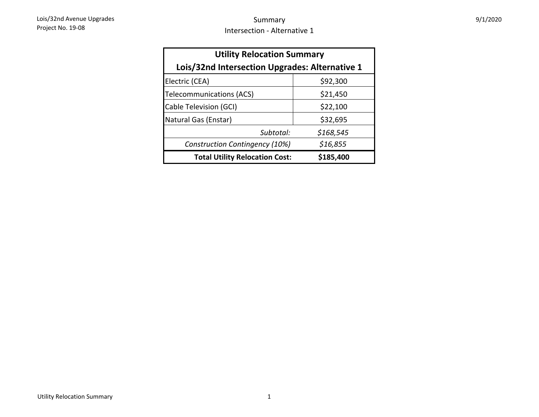| <b>Utility Relocation Summary</b>                  |           |  |  |  |  |  |
|----------------------------------------------------|-----------|--|--|--|--|--|
| Lois/32nd Intersection Upgrades: Alternative 1     |           |  |  |  |  |  |
| Electric (CEA)                                     | \$92,300  |  |  |  |  |  |
| Telecommunications (ACS)                           | \$21,450  |  |  |  |  |  |
| Cable Television (GCI)                             | \$22,100  |  |  |  |  |  |
| Natural Gas (Enstar)                               | \$32,695  |  |  |  |  |  |
| Subtotal:                                          | \$168,545 |  |  |  |  |  |
| Construction Contingency (10%)                     | \$16,855  |  |  |  |  |  |
| <b>Total Utility Relocation Cost:</b><br>\$185,400 |           |  |  |  |  |  |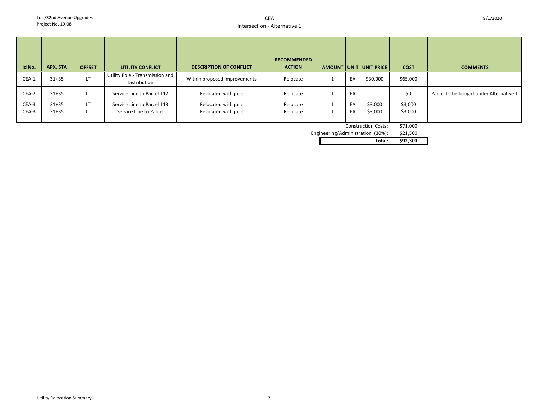| Id No. | APX. STA  | <b>OFFSET</b> | UTILITY CONFLICT                                | <b>DESCRIPTION OF CONFLICT</b> | <b>RECOMMENDED</b><br><b>ACTION</b> |    | AMOUNT   UNIT   UNIT PRICE | <b>COST</b> | <b>COMMENTS</b>                         |
|--------|-----------|---------------|-------------------------------------------------|--------------------------------|-------------------------------------|----|----------------------------|-------------|-----------------------------------------|
| CEA-1  | $31 + 35$ | LT            | Utility Pole - Transmission and<br>Distribution | Within proposed improvements   | Relocate                            | EA | \$30,000                   | \$65,000    |                                         |
| CEA-2  | $31 + 35$ | <b>LT</b>     | Service Line to Parcel 112                      | Relocated with pole            | Relocate                            | EA |                            | \$0         | Parcel to be bought under Alternative 1 |
| CEA-3  | $31 + 35$ | LT            | Service Line to Parcel 113                      | Relocated with pole            | Relocate                            | EA | \$3,000                    | \$3,000     |                                         |
| CEA-3  | $31 + 35$ | LT            | Service Line to Parcel                          | Relocated with pole            | Relocate                            | EA | \$3,000                    | \$3,000     |                                         |
|        |           |               |                                                 |                                |                                     |    |                            |             |                                         |

Construction Costs: \$71,000

\$21,300 Engineering/Administration (30%):

**Total: \$92,300**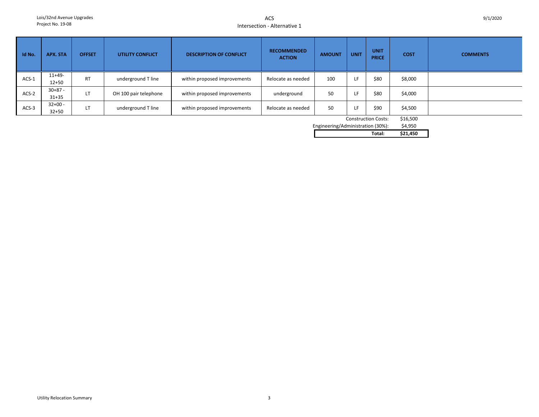ACSIntersection - Alternative 1

| Id No.  | APX. STA               | <b>OFFSET</b> | <b>UTILITY CONFLICT</b> | <b>DESCRIPTION OF CONFLICT</b> | <b>RECOMMENDED</b><br><b>ACTION</b> | <b>AMOUNT</b> | <b>UNIT</b> | <b>UNIT</b><br><b>PRICE</b> | <b>COST</b> | <b>COMMENTS</b> |
|---------|------------------------|---------------|-------------------------|--------------------------------|-------------------------------------|---------------|-------------|-----------------------------|-------------|-----------------|
| $ACS-1$ | $11+49-$<br>$12 + 50$  | <b>RT</b>     | underground T line      | within proposed improvements   | Relocate as needed                  | 100           | LF          | \$80                        | \$8,000     |                 |
| ACS-2   | $30+87 -$<br>$31 + 35$ | LT            | OH 100 pair telephone   | within proposed improvements   | underground                         | 50            | LF          | \$80                        | \$4,000     |                 |
| $ACS-3$ | $32+00 -$<br>$32 + 50$ | LT            | underground T line      | within proposed improvements   | Relocate as needed                  | 50            | LF          | \$90                        | \$4,500     |                 |

Construction Costs: \$16,500

\$4,950 Engineering/Administration (30%):

**Total: \$21,450**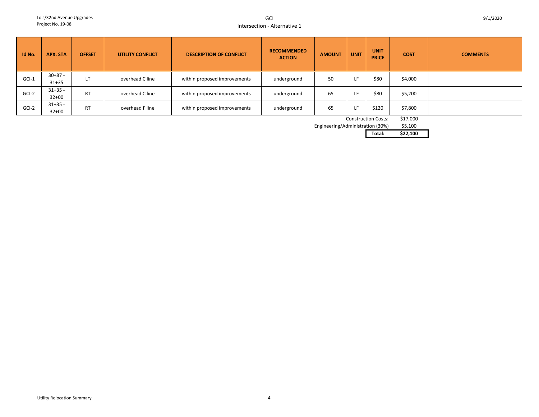GCIIntersection - Alternative 1

| Id No.  | <b>APX. STA</b>        | <b>OFFSET</b> | <b>UTILITY CONFLICT</b> | <b>DESCRIPTION OF CONFLICT</b> | <b>RECOMMENDED</b><br><b>ACTION</b> | <b>AMOUNT</b> | <b>UNIT</b> | <b>UNIT</b><br><b>PRICE</b> | <b>COST</b> | <b>COMMENTS</b> |
|---------|------------------------|---------------|-------------------------|--------------------------------|-------------------------------------|---------------|-------------|-----------------------------|-------------|-----------------|
| $GCI-1$ | $30+87 -$<br>$31 + 35$ | LT            | overhead C line         | within proposed improvements   | underground                         | 50            | LF          | \$80                        | \$4,000     |                 |
| $GCI-2$ | $31+35 -$<br>$32+00$   | <b>RT</b>     | overhead C line         | within proposed improvements   | underground                         | 65            | LF          | \$80                        | \$5,200     |                 |
| GCI-2   | $31+35 -$<br>$32 + 00$ | <b>RT</b>     | overhead F line         | within proposed improvements   | underground                         | 65            | LF          | \$120                       | \$7,800     |                 |

Construction Costs: \$17,000

 $$5,100$ Engineering/Administration (30%)

**Total: \$22,100**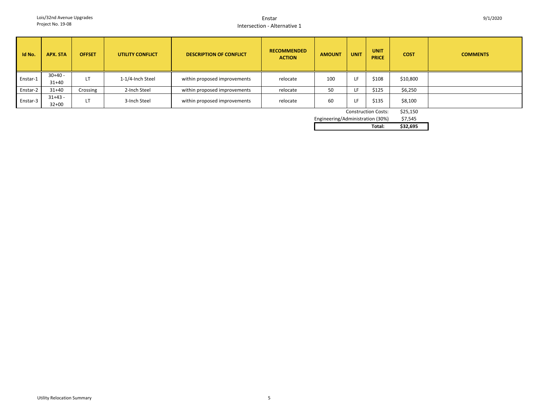#### EnstarIntersection - Alternative 1

| Id No.                     | APX. STA             | <b>OFFSET</b> | <b>UTILITY CONFLICT</b> | <b>DESCRIPTION OF CONFLICT</b> | <b>RECOMMENDED</b><br><b>ACTION</b> | <b>AMOUNT</b> | <b>UNIT</b> | <b>UNIT</b><br><b>PRICE</b> | <b>COST</b> | <b>COMMENTS</b> |
|----------------------------|----------------------|---------------|-------------------------|--------------------------------|-------------------------------------|---------------|-------------|-----------------------------|-------------|-----------------|
| Enstar-1                   | $30+40 -$<br>$31+40$ | LT            | 1-1/4-Inch Steel        | within proposed improvements   | relocate                            | 100           | LF          | \$108                       | \$10,800    |                 |
| Enstar-2                   | $31 + 40$            | Crossing      | 2-Inch Steel            | within proposed improvements   | relocate                            | 50            | LF          | \$125                       | \$6,250     |                 |
| Enstar-3                   | $31+43 -$<br>$32+00$ | LT            | 3-Inch Steel            | within proposed improvements   | relocate                            | 60            | LF          | \$135                       | \$8,100     |                 |
| <b>Construction Costs:</b> |                      |               |                         |                                |                                     |               |             |                             |             |                 |

| CONSTRUCTION COSTS:             | \$25, |
|---------------------------------|-------|
| dinooring/Adminictration (2001) | ぐっこ   |

| Total:                           | \$32.695 |
|----------------------------------|----------|
| Engineering/Administration (30%) | \$7.545  |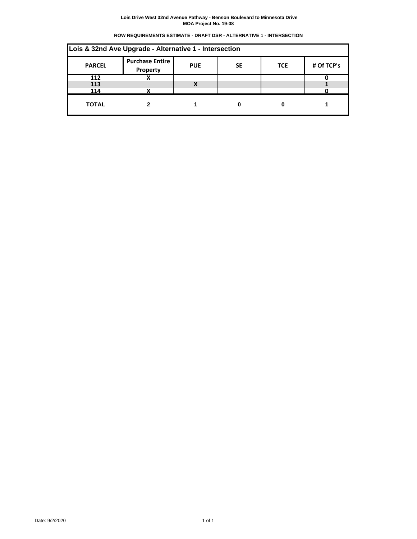# **ROW REQUIREMENTS ESTIMATE - DRAFT DSR - ALTERNATIVE 1 - INTERSECTION**

| Lois & 32nd Ave Upgrade - Alternative 1 - Intersection |                                    |            |           |            |            |  |  |  |  |
|--------------------------------------------------------|------------------------------------|------------|-----------|------------|------------|--|--|--|--|
| <b>PARCEL</b>                                          | <b>Purchase Entire</b><br>Property | <b>PUE</b> | <b>SE</b> | <b>TCE</b> | # Of TCP's |  |  |  |  |
| 112                                                    |                                    |            |           |            |            |  |  |  |  |
| 113                                                    |                                    |            |           |            |            |  |  |  |  |
| 114                                                    |                                    |            |           |            |            |  |  |  |  |
| <b>TOTAL</b>                                           |                                    |            |           |            |            |  |  |  |  |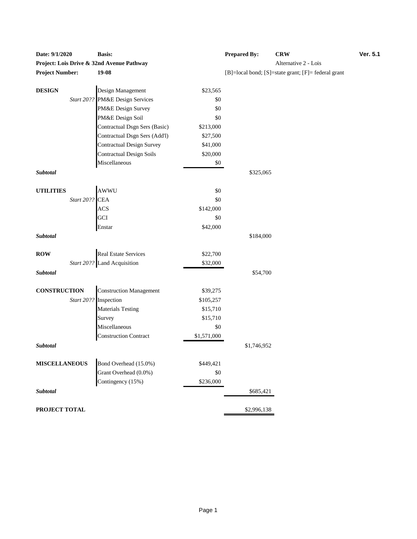| Dalc. <i>31 114</i> 040 |                |                                           |                  | 11 cpartu Dy. | <b>UNIT</b>                                         |
|-------------------------|----------------|-------------------------------------------|------------------|---------------|-----------------------------------------------------|
|                         |                | Project: Lois Drive & 32nd Avenue Pathway |                  |               | Alternative 2 - Lois                                |
| <b>Project Number:</b>  |                | 19-08                                     |                  |               | [B]=local bond; [S]=state grant; [F]= federal grant |
| <b>DESIGN</b>           |                | Design Management                         | \$23,565         |               |                                                     |
|                         |                | Start 20?? PM&E Design Services           | \$0              |               |                                                     |
|                         |                | PM&E Design Survey                        | \$0              |               |                                                     |
|                         |                | PM&E Design Soil                          | \$0              |               |                                                     |
|                         |                | Contractual Dsgn Sers (Basic)             | \$213,000        |               |                                                     |
|                         |                | Contractual Dsgn Sers (Add'l)             | \$27,500         |               |                                                     |
|                         |                | <b>Contractual Design Survey</b>          | \$41,000         |               |                                                     |
|                         |                | <b>Contractual Design Soils</b>           | \$20,000         |               |                                                     |
|                         |                | Miscellaneous                             | \$0              |               |                                                     |
| Subtotal                |                |                                           |                  | \$325,065     |                                                     |
|                         |                |                                           |                  |               |                                                     |
| <b>UTILITIES</b>        |                | <b>AWWU</b>                               | \$0              |               |                                                     |
|                         | Start 20?? CEA |                                           | \$0              |               |                                                     |
|                         |                | <b>ACS</b>                                | \$142,000        |               |                                                     |
|                         |                | GCI                                       | \$0              |               |                                                     |
|                         |                | Enstar                                    | \$42,000         |               |                                                     |
| Subtotal                |                |                                           |                  | \$184,000     |                                                     |
| <b>ROW</b>              |                | <b>Real Estate Services</b>               | \$22,700         |               |                                                     |
|                         |                | Start 20?? Land Acquisition               | \$32,000         |               |                                                     |
| Subtotal                |                |                                           |                  | \$54,700      |                                                     |
|                         |                |                                           |                  |               |                                                     |
| <b>CONSTRUCTION</b>     |                | <b>Construction Management</b>            | \$39,275         |               |                                                     |
|                         |                | Start 20?? Inspection                     | \$105,257        |               |                                                     |
|                         |                | <b>Materials Testing</b>                  | \$15,710         |               |                                                     |
|                         |                | Survey                                    | \$15,710         |               |                                                     |
|                         |                | Miscellaneous                             | \$0              |               |                                                     |
|                         |                | <b>Construction Contract</b>              | \$1,571,000      |               |                                                     |
| Subtotal                |                |                                           |                  | \$1,746,952   |                                                     |
| <b>MISCELLANEOUS</b>    |                | Bond Overhead (15.0%)                     |                  |               |                                                     |
|                         |                | Grant Overhead (0.0%)                     | \$449,421<br>\$0 |               |                                                     |
|                         |                | Contingency (15%)                         | \$236,000        |               |                                                     |
| Subtotal                |                |                                           |                  | \$685,421     |                                                     |
|                         |                |                                           |                  |               |                                                     |
| PROJECT TOTAL           |                |                                           |                  | \$2,996,138   |                                                     |

| <b>Date: 9/1/2020</b>                     | <b>Basis:</b> | <b>Prepared By:</b> | <b>CRW</b>                                                       | <b>Ver. 5.1</b> |
|-------------------------------------------|---------------|---------------------|------------------------------------------------------------------|-----------------|
| Project: Lois Drive & 32nd Avenue Pathway |               |                     | Alternative 2 - Lois                                             |                 |
| <b>Project Number:</b>                    | 19-08         |                     | $[B] = local bond$ ; $[S] = state grant$ ; $[F] = federal grant$ |                 |
|                                           |               |                     |                                                                  |                 |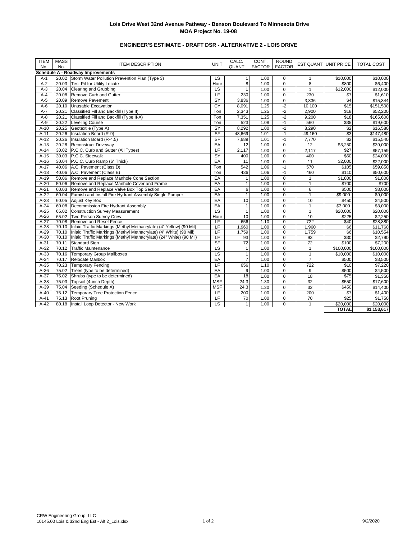# **ENGINEER'S ESTIMATE - DRAFT DSR - ALTERNATIVE 2 - LOIS DRIVE**

| <b>ITEM</b><br>No. | <b>MASS</b><br>No. | <b>ITEM DESCRIPTION</b>                                                    | <b>UNIT</b>              | CALC.<br>QUANT | CONT.<br><b>FACTOR</b> | <b>ROUND</b><br><b>FACTOR</b> |                 | <b>EST QUANT UNIT PRICE</b> | <b>TOTAL COST</b> |
|--------------------|--------------------|----------------------------------------------------------------------------|--------------------------|----------------|------------------------|-------------------------------|-----------------|-----------------------------|-------------------|
|                    |                    | Schedule A - Roadway Improvements                                          |                          |                |                        |                               |                 |                             |                   |
| $A-1$              |                    | 20.02 Storm Water Pollution Prevention Plan (Type 3)                       | LS                       | $\mathbf{1}$   | 1.00                   | $\mathbf 0$                   | $\mathbf{1}$    | \$10,000                    | \$10,000          |
| $A-2$              | 20.03              | <b>Test Pit for Utility Locate</b>                                         | Hour                     | 8              | 1.00                   | $\mathbf 0$                   | 8               | \$800                       | \$6,400           |
| $A-3$              | 20.04              | Clearing and Grubbing                                                      | $\overline{\mathsf{LS}}$ | $\mathbf{1}$   | 1.00                   | $\mathbf 0$                   | $\mathbf{1}$    | \$12,000                    | \$12,000          |
| $A-4$              | 20.08              | Remove Curb and Gutter                                                     | LF                       | 230            | 1.00                   | $\mathbf 0$                   | 230             | $\sqrt{57}$                 | \$1,610           |
| $A-5$              | 20.09              | Remove Pavement                                                            | SY                       | 3,836          | 1.00                   | $\pmb{0}$                     | 3,836           | \$4                         | \$15,344          |
| $A-6$              | 20.10              | Unusable Excavation                                                        | CY                       | 8.091          | 1.25                   | $-2$                          | 10,100          | \$15                        | \$151,500         |
| $A-7$              | 20.21              | Classified Fill and Backfill (Type II)                                     | Ton                      | 2,343          | 1.25                   | $-2$                          | 2,900           | \$18                        | \$52,200          |
| $A-8$              | 20.21              | Classified Fill and Backfill (Type II-A)                                   | Ton                      | 7,351          | 1.25                   | $-2$                          | 9,200           | \$18                        | \$165,600         |
| $A-9$              | 20.22              | Leveling Course                                                            | Ton                      | 523            | 1.08                   | $-1$                          | 560             | \$35                        | \$19,600          |
| $A-10$             | 20.25              | Geotextile (Type A)                                                        | $\overline{SY}$          | 8,292          | 1.00                   | $-1$                          | 8,290           | \$2                         | \$16,580          |
| $A-11$             | 20.26              | Insulation Board (R-9)                                                     | $S$ F                    | 48,669         | 1.01                   | $-1$                          | 49.160          | \$3                         | \$147,480         |
| $A-12$             | 20.26              | Insulation Board (R-4.5)                                                   | SF                       | 7,689          | 1.01                   | $-1$                          | 7,770           | $\overline{32}$             | \$15,540          |
| $A-13$             | 20.28              | <b>Reconstruct Driveway</b>                                                | EA                       | 12             | 1.00                   | $\mathbf 0$                   | 12              | \$3,250                     | \$39,000          |
| $A-14$             | 30.02              | P.C.C. Curb and Gutter (All Types)                                         | LF                       | 2.117          | 1.00                   | $\mathbf 0$                   | 2,117           | \$27                        | \$57,159          |
| $A-15$             |                    | 30.03 P.C.C. Sidewalk                                                      | $\overline{SY}$          | 400            | 1.00                   | $\mathbf 0$                   | 400             | \$60                        | \$24,000          |
| $A-16$             |                    | 30.04 P.C.C. Curb Ramp (6" Thick)                                          | EA                       | 11             | 1.00                   | $\mathbf 0$                   | 11              | \$2,000                     | \$22,000          |
| $A-17$             | 40.06              | A.C. Pavement (Class D)                                                    | Ton                      | 542            | 1.06                   | $-1$                          | 570             | \$105                       | \$59,850          |
| $A-18$             | 40.06              | A.C. Pavement (Class E)                                                    | Ton                      | 436            | 1.06                   | $-1$                          | 460             | \$110                       | \$50,600          |
| $A-19$             | 50.06              | Remove and Replace Manhole Cone Section                                    | EA                       | $\mathbf{1}$   | 1.00                   | $\mathbf 0$                   | $\mathbf{1}$    | \$1,800                     | \$1,800           |
| $A-20$             | 50.06              | Remove and Replace Manhole Cover and Frame                                 | EA                       | $\mathbf{1}$   | 1.00                   | $\mathbf 0$                   | $\mathbf{1}$    | \$700                       | \$700             |
| $A-21$             |                    | 60.03 Remove and Replace Valve Box Top Section                             | EA                       | 6              | 1.00                   | $\overline{0}$                | 6               | \$500                       | \$3,000           |
| $A-22$             | 60.04              | Furnish and Install Fire Hydrant Assembly Single Pumper                    | EA                       | $\mathbf{1}$   | 1.00                   | $\overline{0}$                | $\mathbf{1}$    | $\overline{$}9,000$         | \$9.000           |
| $A-23$             |                    | 60.05 Adjust Key Box                                                       | EA                       | 10             | 1.00                   | $\overline{0}$                | 10              | \$450                       | \$4,500           |
| $A-24$             | 60.08              | Decommission Fire Hydrant Assembly                                         | EA                       | $\mathbf{1}$   | 1.00                   | $\mathbf 0$                   | $\mathbf{1}$    | \$3,000                     | \$3,000           |
| $A-25$             | 65.02              | Construction Survey Measurement                                            | $\overline{\mathsf{LS}}$ | $\mathbf{1}$   | 1.00                   | $\Omega$                      | $\mathbf{1}$    | \$20,000                    | \$20,000          |
| $A-26$             | 65.02              | Two-Person Survey Crew                                                     | Hour                     | 10             | 1.00                   | $\Omega$                      | 10              | \$225                       | \$2,250           |
| $A-27$             | 70.08              | Remove and Reset Fence                                                     | LF                       | 656            | 1.10                   | $\Omega$                      | 722             | \$40                        | \$28,880          |
| $A-28$             |                    | 70.10 Inlaid Traffic Markings (Methyl Methacrylate) (4" Yellow) (90 Mil)   | LF                       | 1,960          | 1.00                   | $\mathbf 0$                   | 1,960           | \$6                         | \$11,760          |
| $A-29$             | 70.10              | Inlaid Traffic Markings (Methyl Methacrylate) (4" White) (90 Mil)          | LF                       | 1,759          | 1.00                   | $\mathbf 0$                   | 1,759           | \$6                         | \$10,554          |
| $A-30$             |                    | 70.10   Inlaid Traffic Markings (Methyl Methacrylate) (24" White) (90 Mil) | LF                       | 93             | 1.00                   | $\mathbf 0$                   | 93              | \$30                        | \$2,790           |
| $A-31$             | 70.11              | <b>Standard Sign</b>                                                       | <b>SF</b>                | 72             | 1.00                   | $\mathbf 0$                   | 72              | \$100                       | \$7,200           |
| $A-32$             | 70.12              | <b>Traffic Maintenance</b>                                                 | LS                       | $\mathbf{1}$   | 1.00                   | $\mathbf 0$                   | $\mathbf{1}$    | \$100,000                   | \$100,000         |
| $A-33$             | 70.16              | Temporary Group Mailboxes                                                  | <b>LS</b>                | $\overline{1}$ | 1.00                   | $\mathbf 0$                   | $\mathbf{1}$    | \$10,000                    | \$10,000          |
| $A-34$             | 70.17              | Relocate Mailbox                                                           | EA                       | $\overline{7}$ | 1.00                   | $\mathbf 0$                   | $\overline{7}$  | \$500                       | \$3,500           |
| $A-35$             | 70.23              | <b>Temporary Fencing</b>                                                   | LF                       | 656            | 1.10                   | $\mathbf 0$                   | 722             | \$10                        | \$7,220           |
| $A-36$             | 75.02              | Trees (type to be determined)                                              | EA                       | $\overline{9}$ | 1.00                   | $\mathbf 0$                   | 9               | \$500                       | \$4,500           |
| $A-37$             | 75.02              | Shrubs (type to be determined)                                             | EA                       | 18             | 1.00                   | $\mathbf 0$                   | 18              | $\overline{$75}$            | \$1,350           |
| $A-38$             | 75.03              | Topsoil (4-inch Depth)                                                     | <b>MSF</b>               | 24.3           | 1.30                   | $\overline{0}$                | 32              | \$550                       | \$17,600          |
| $A-39$             | 75.04              | Seeding (Schedule A)                                                       | <b>MSF</b>               | 24.3           | 1.30                   | $\mathbf 0$                   | $\overline{32}$ | \$450                       | \$14,400          |
| $A-40$             | 75.12              | <b>Temporary Tree Protection Fence</b>                                     | LF                       | 200            | 1.00                   | $\Omega$                      | 200             | \$7                         | \$1,400           |
| $A-41$             | 75.13              | Root Pruning                                                               | LF                       | 70             | 1.00                   | $\pmb{0}$                     | 70              | \$25                        | \$1,750           |
| $A-42$             | 80.18              | Install Loop Detector - New Work                                           | $\overline{\mathsf{LS}}$ | $\mathbf{1}$   | 1.00                   | $\Omega$                      | $\mathbf{1}$    | \$20,000                    | \$20,000          |
|                    |                    |                                                                            |                          |                |                        |                               |                 | <b>TOTAL</b>                | \$1,153,617       |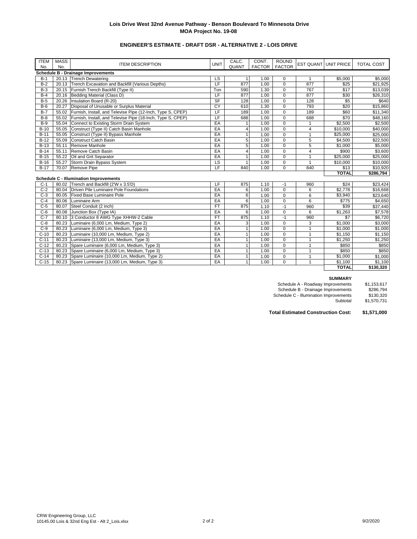# **ENGINEER'S ESTIMATE - DRAFT DSR - ALTERNATIVE 2 - LOIS DRIVE**

| <b>ITEM</b> | <b>MASS</b> | <b>ITEM DESCRIPTION</b>                                     | <b>UNIT</b>              | CALC.                   | CONT.         | <b>ROUND</b> |                         | <b>EST QUANT UNIT PRICE</b> | <b>TOTAL COST</b> |
|-------------|-------------|-------------------------------------------------------------|--------------------------|-------------------------|---------------|--------------|-------------------------|-----------------------------|-------------------|
| No.         | No.         |                                                             |                          | <b>QUANT</b>            | FACTOR FACTOR |              |                         |                             |                   |
|             |             | <b>Schedule B - Drainage Improvements</b>                   |                          |                         |               |              |                         |                             |                   |
| $B-1$       |             | 20.13 Trench Dewatering                                     | LS                       | 1                       | 1.00          | $\mathbf 0$  | $\mathbf{1}$            | \$5,000                     | \$5.000           |
| $B-2$       | 20.13       | Trench Excavation and Backfill (Various Depths)             | LF                       | 877                     | 1.00          | $\mathbf 0$  | 877                     | \$25                        | \$21,925          |
| $B-3$       |             | 20.15 Furnish Trench Backfill (Type II)                     | Ton                      | 590                     | 1.30          | $\mathbf 0$  | 767                     | \$17                        | \$13,039          |
| $B-4$       |             | 20.16 Bedding Material (Class D)                            | LF                       | 877                     | 1.00          | $\mathbf 0$  | 877                     | \$30                        | \$26,310          |
| $B-5$       | 20.26       | Insulation Board (R-20)                                     | SF                       | 128                     | 1.00          | $\mathbf 0$  | 128                     | \$5                         | \$640             |
| $B-6$       | 20.27       | Disposal of Unusable or Surplus Material                    | CY                       | 610                     | 1.30          | $\mathbf 0$  | 793                     | \$20                        | \$15,860          |
| $B-7$       | 55.02       | Furnish, Install, and Televise Pipe (12-Inch, Type S, CPEP) | LF                       | 189                     | 1.00          | $\mathbf 0$  | 189                     | \$60                        | \$11,340          |
| $B-8$       | 55.02       | Furnish, Install, and Televise Pipe (18-Inch, Type S, CPEP) | LF                       | 688                     | 1.00          | $\mathbf 0$  | 688                     | \$70                        | \$48,160          |
| $B-9$       | 55.04       | Connect to Existing Storm Drain System                      | EA                       | 1                       | 1.00          | $\mathbf 0$  |                         | \$2,500                     | \$2,500           |
| $B-10$      | 55.05       | Construct (Type II) Catch Basin Manhole                     | EA                       | $\overline{\mathbf{4}}$ | 1.00          | $\mathbf 0$  | $\overline{\mathbf{4}}$ | \$10,000                    | \$40,000          |
| $B-11$      | 55.05       | Construct (Type II) Bypass Manhole                          | EA                       | $\mathbf{1}$            | 1.00          | $\mathbf 0$  | $\mathbf{1}$            | \$25,000                    | \$25,000          |
| $B-12$      | 55.09       | Construct Catch Basin                                       | EA                       | 5                       | 1.00          | $\mathsf 0$  | 5                       | \$4,500                     | \$22,500          |
| $B-13$      | 55.11       | Remove Manhole                                              | EA                       | 5                       | 1.00          | $\mathbf 0$  | 5                       | \$1,000                     | 55,000            |
| $B-14$      | 55.11       | Remove Catch Basin                                          | EA                       | $\overline{\mathbf{4}}$ | 1.00          | $\Omega$     | $\overline{4}$          | \$900                       | \$3,600           |
| $B-15$      | 55.22       | Oil and Grit Separator                                      | EA                       | $\mathbf{1}$            | 1.00          | $\mathbf 0$  | 1                       | \$25,000                    | \$25,000          |
| $B-16$      | 55.27       | Storm Drain Bypass System                                   | $\overline{\mathsf{LS}}$ | $\mathbf{1}$            | 1.00          | $\pmb{0}$    | $\overline{1}$          | \$10,000<br>\$13            | \$10,000          |
| $B-17$      |             | LF<br>70.07 Remove Pipe<br>840<br>1.00<br>$\Omega$<br>840   |                          |                         |               |              |                         |                             | \$10,920          |
|             |             |                                                             |                          |                         |               |              |                         | <b>TOTAL</b>                | \$286,794         |
|             |             | <b>Schedule C - Illumination Improvements</b>               |                          |                         |               |              |                         |                             |                   |
| $C-1$       |             | 80.02 Trench and Backfill (2'W x 3.5'D)                     | LF                       | 875                     | 1.10          | $-1$         | 960                     | \$24                        | \$23,424          |
| $C-2$       |             | 80.04 Driven Pile Luminaire Pole Foundations                | EA                       | 6                       | 1.00          | $\mathbf 0$  | 6                       | \$2,778                     | \$16,668          |
| $C-3$       | 80.05       | <b>Fixed Base Luminaire Pole</b>                            | EA                       | 6                       | 1.00          | $\mathbf 0$  | 6                       | \$3,940                     | \$23,640          |
| $C-4$       | 80.06       | Luminaire Arm                                               | EA                       | $\overline{6}$          | 1.00          | $\mathbf 0$  | 6                       | \$775                       | \$4,650           |
| $C-5$       | 80.07       | Steel Conduit (2 inch)                                      | <b>FT</b>                | 875                     | 1.10          | $-1$         | 960                     | \$39                        | \$37,440          |
| $C-6$       | 80.08       | Junction Box (Type IA)                                      | EA                       | 6                       | 1.00          | $\mathbf 0$  | 6                       | \$1,263                     | \$7,578           |
| $C-7$       | 80.10       | 3 Conductor 8 AWG Type XHHW-2 Cable                         | <b>FT</b>                | 875                     | 1.10          | $-1$         | 960                     | \$7                         | \$6,720           |
| $C-8$       | 80.23       | Luminaire (6,000 Lm, Medium, Type 2)                        | EA                       | $\overline{3}$          | 1.00          | $\mathbf 0$  | 3                       | $\overline{$1,000}$         | \$3,000           |
| $C-9$       | 80.23       | Luminaire (6,000 Lm, Medium, Type 3)                        | EA                       | $\mathbf{1}$            | 1.00          | $\mathbf 0$  | $\mathbf{1}$            | \$1,000                     | \$1,000           |
| $C-10$      | 80.23       | Luminaire (10,000 Lm, Medium, Type 2)                       | EA                       | $\mathbf{1}$            | 1.00          | $\mathbf 0$  | $\mathbf{1}$            | \$1,150                     | \$1,150           |
| $C-11$      | 80.23       | Luminaire (13,000 Lm, Medium, Type 3)                       | EA                       | $\mathbf{1}$            | 1.00          | $\mathbf 0$  | $\mathbf{1}$            | \$1,250                     | \$1,250           |
| $C-12$      |             | 80.23 Spare Luminaire (6,000 Lm, Medium, Type 3)            | EA                       | $\mathbf{1}$            | 1.00          | $\mathbf 0$  | $\mathbf{1}$            | \$850                       | \$850             |
| $C-13$      |             | 80.23 Spare Luminaire (6,000 Lm, Medium, Type 3)            | EA                       | $\mathbf{1}$            | 1.00          | $\mathbf 0$  | $\mathbf{1}$            | \$850                       | \$850             |
| $C-14$      |             | 80.23 Spare Luminaire (10,000 Lm, Medium, Type 2)           | EA                       | $\mathbf{1}$            | 1.00          | $\mathbf 0$  | 1                       | \$1,000                     | \$1,000           |
| $C-15$      | 80.23       | Spare Luminaire (13,000 Lm, Medium, Type 3)                 | EA                       | $\mathbf{1}$            | 1.00          | $\Omega$     | $\mathbf{1}$            | \$1,100                     | \$1,100           |
|             |             |                                                             |                          |                         |               |              |                         | <b>TOTAL</b>                | \$130,320         |

#### **SUMMARY**

Schedule A - Roadway Improvements \$1,153,617 Schedule B - Drainage Improvements \$286,794 Schedule C - Illumination Improvements \$130,320 \$286,794<br>\$130,320<br>\$1,570,731

**Total Estimated Construction Cost: \$1,571,000**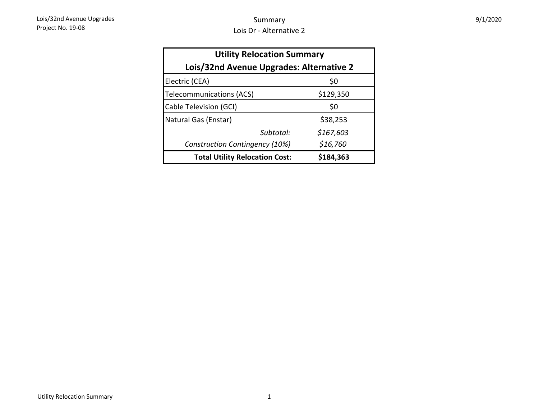| 9/1/2020 |  |
|----------|--|
|----------|--|

| <b>Utility Relocation Summary</b>        |           |  |  |  |  |  |  |  |
|------------------------------------------|-----------|--|--|--|--|--|--|--|
| Lois/32nd Avenue Upgrades: Alternative 2 |           |  |  |  |  |  |  |  |
| Electric (CEA)                           | \$0       |  |  |  |  |  |  |  |
| <b>Telecommunications (ACS)</b>          | \$129,350 |  |  |  |  |  |  |  |
| Cable Television (GCI)                   | \$0       |  |  |  |  |  |  |  |
| Natural Gas (Enstar)                     | \$38,253  |  |  |  |  |  |  |  |
| Subtotal:                                | \$167,603 |  |  |  |  |  |  |  |
| Construction Contingency (10%)           | \$16,760  |  |  |  |  |  |  |  |
| <b>Total Utility Relocation Cost:</b>    | \$184,363 |  |  |  |  |  |  |  |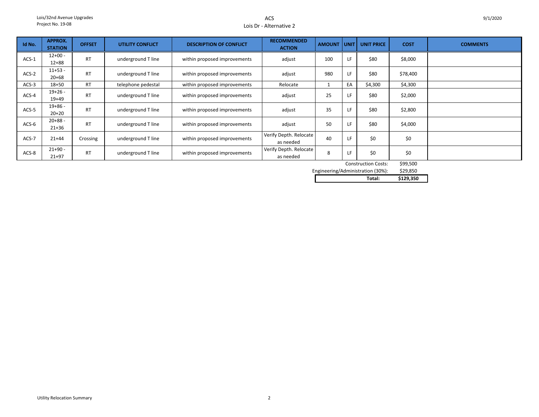# ACSLois Dr - Alternative 2

| Id No.  | <b>APPROX.</b><br><b>STATION</b>       | <b>OFFSET</b> | UTILITY CONFLICT   | <b>DESCRIPTION OF CONFLICT</b> | <b>RECOMMENDED</b><br><b>ACTION</b> | <b>AMOUNT</b> | l unit l | <b>UNIT PRICE</b> | <b>COST</b> | <b>COMMENTS</b> |  |
|---------|----------------------------------------|---------------|--------------------|--------------------------------|-------------------------------------|---------------|----------|-------------------|-------------|-----------------|--|
| $ACS-1$ | $12+00 -$<br>$12 + 88$                 | <b>RT</b>     | underground T line | within proposed improvements   | adjust                              | 100           |          | \$80              | \$8,000     |                 |  |
| $ACS-2$ | $11+53 -$<br>$20 + 68$                 | <b>RT</b>     | underground T line | within proposed improvements   | adjust                              | 980           | LF       | \$80              | \$78,400    |                 |  |
| $ACS-3$ | $18 + 50$                              | <b>RT</b>     | telephone pedestal | within proposed improvements   | Relocate                            |               | EA       | \$4,300           | \$4,300     |                 |  |
| ACS-4   | $19+26 -$<br>$19+49$                   | <b>RT</b>     | underground T line | within proposed improvements   | adjust                              | 25            | LF       | \$80              | \$2,000     |                 |  |
| $ACS-5$ | $19+86 -$<br>$20+20$                   | <b>RT</b>     | underground T line | within proposed improvements   | adjust                              | 35            | LF       | \$80              | \$2,800     |                 |  |
| ACS-6   | $20 + 88 -$<br>$21 + 36$               | <b>RT</b>     | underground T line | within proposed improvements   | adjust                              | 50            | LF       | \$80              | \$4,000     |                 |  |
| ACS-7   | $21+44$                                | Crossing      | underground T line | within proposed improvements   | Verify Depth. Relocate<br>as needed | 40            | LF       | \$0               | \$0         |                 |  |
| ACS-8   | $21+90 -$<br>$21 + 97$                 | <b>RT</b>     | underground T line | within proposed improvements   | Verify Depth. Relocate<br>as needed | 8             | LF       | \$0               | \$0         |                 |  |
|         | \$99,500<br><b>Construction Costs:</b> |               |                    |                                |                                     |               |          |                   |             |                 |  |

\$29,850 Engineering/Administration (30%):

| __ | $\cdot$ | .<br>. | ------    |
|----|---------|--------|-----------|
|    |         |        |           |
|    |         | Total: | \$129,350 |
|    |         |        |           |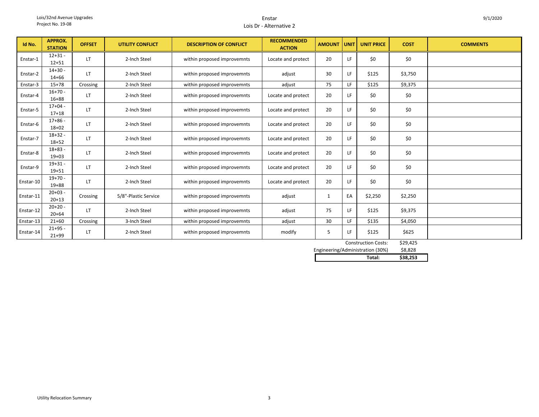#### EnstarLois Dr - Alternative 2

| Id No.    | <b>APPROX.</b><br><b>STATION</b> | <b>OFFSET</b> | <b>UTILITY CONFLICT</b> | <b>DESCRIPTION OF CONFLICT</b> | <b>RECOMMENDED</b><br><b>ACTION</b> | <b>AMOUNT</b> | <b>UNIT</b> | <b>UNIT PRICE</b> | <b>COST</b> | <b>COMMENTS</b> |
|-----------|----------------------------------|---------------|-------------------------|--------------------------------|-------------------------------------|---------------|-------------|-------------------|-------------|-----------------|
| Enstar-1  | $12 + 31 -$<br>$12 + 51$         | LT.           | 2-Inch Steel            | within proposed improvemnts    | Locate and protect                  | 20            | LF          | \$0               | \$0         |                 |
| Enstar-2  | $14 + 30 -$<br>$14 + 66$         | LT            | 2-Inch Steel            | within proposed improvemnts    | adjust                              | 30            | LF          | \$125             | \$3,750     |                 |
| Enstar-3  | $15+78$                          | Crossing      | 2-Inch Steel            | within proposed improvemnts    | adjust                              | 75            | LF.         | \$125             | \$9,375     |                 |
| Enstar-4  | $16+70-$<br>$16 + 88$            | LT            | 2-Inch Steel            | within proposed improvemnts    | Locate and protect                  | 20            | LF          | \$0               | \$0         |                 |
| Enstar-5  | $17+04 -$<br>$17 + 18$           | LT            | 2-Inch Steel            | within proposed improvemnts    | Locate and protect                  | 20            | LF          | \$0               | \$0         |                 |
| Enstar-6  | $17 + 86 -$<br>$18+02$           | LT            | 2-Inch Steel            | within proposed improvemnts    | Locate and protect                  | 20            | LF          | \$0               | \$0         |                 |
| Enstar-7  | $18+32 -$<br>$18 + 52$           | LT            | 2-Inch Steel            | within proposed improvemnts    | Locate and protect                  | 20            | LF          | \$0               | \$0         |                 |
| Enstar-8  | $18 + 83 -$<br>$19+03$           | LT.           | 2-Inch Steel            | within proposed improvemnts    | Locate and protect                  | 20            | LF          | \$0               | \$0         |                 |
| Enstar-9  | $19 + 31 -$<br>$19 + 51$         | LT            | 2-Inch Steel            | within proposed improvemnts    | Locate and protect                  | 20            | LF          | \$0               | \$0         |                 |
| Enstar-10 | $19+70 -$<br>$19 + 88$           | LT            | 2-Inch Steel            | within proposed improvemnts    | Locate and protect                  | 20            | LF          | \$0               | \$0         |                 |
| Enstar-11 | $20+03 -$<br>$20+13$             | Crossing      | 5/8"-Plastic Service    | within proposed improvemnts    | adjust                              | 1             | EA          | \$2,250           | \$2,250     |                 |
| Enstar-12 | $20+20 -$<br>$20 + 64$           | LT            | 2-Inch Steel            | within proposed improvemnts    | adjust                              | 75            | LF          | \$125             | \$9,375     |                 |
| Enstar-13 | $21+60$                          | Crossing      | 3-Inch Steel            | within proposed improvemnts    | adjust                              | 30            | LF.         | \$135             | \$4,050     |                 |
| Enstar-14 | $21+95 -$<br>$21 + 99$           | LΤ            | 2-Inch Steel            | within proposed improvemnts    | modify                              | 5             | LF          | \$125             | \$625       |                 |

| <b>Construction Costs:</b>       | \$29,425 |
|----------------------------------|----------|
| Engineering/Administration (30%) | \$8.828  |
| Total:                           | \$38.253 |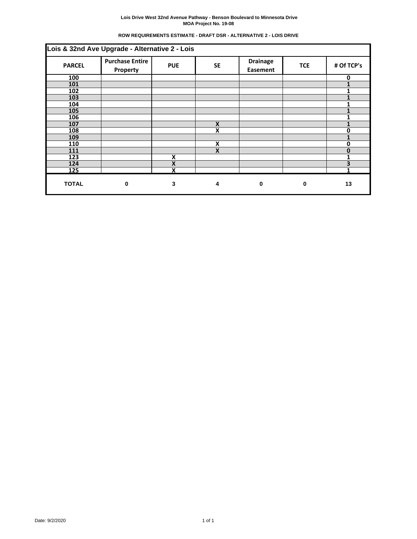| ROW REQUIREMENTS ESTIMATE - DRAFT DSR - ALTERNATIVE 2 - LOIS DRIVE |  |  |
|--------------------------------------------------------------------|--|--|
|                                                                    |  |  |

| Lois & 32nd Ave Upgrade - Alternative 2 - Lois |                                    |            |           |                                    |            |              |
|------------------------------------------------|------------------------------------|------------|-----------|------------------------------------|------------|--------------|
| <b>PARCEL</b>                                  | <b>Purchase Entire</b><br>Property | <b>PUE</b> | <b>SE</b> | <b>Drainage</b><br><b>Easement</b> | <b>TCE</b> | # Of TCP's   |
| 100                                            |                                    |            |           |                                    |            | $\mathbf{0}$ |
| 101                                            |                                    |            |           |                                    |            |              |
| 102                                            |                                    |            |           |                                    |            | 1            |
| 103                                            |                                    |            |           |                                    |            |              |
| 104                                            |                                    |            |           |                                    |            |              |
| 105                                            |                                    |            |           |                                    |            |              |
| 106                                            |                                    |            |           |                                    |            |              |
| 107                                            |                                    |            | X         |                                    |            |              |
| 108                                            |                                    |            | X         |                                    |            | 0            |
| 109                                            |                                    |            |           |                                    |            |              |
| 110                                            |                                    |            | X         |                                    |            | 0            |
| 111                                            |                                    |            | X         |                                    |            | O            |
| 123                                            |                                    | X          |           |                                    |            | 1            |
| 124                                            |                                    | X          |           |                                    |            | 3            |
| 125                                            |                                    | X          |           |                                    |            |              |
| <b>TOTAL</b>                                   | $\mathbf 0$                        | 3          | 4         | 0                                  | 0          | 13           |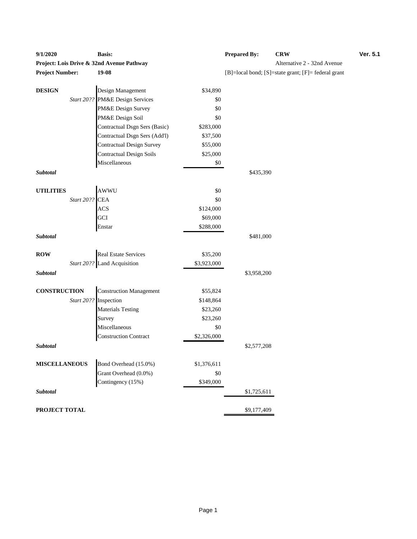| 9/1/2020               |            | <b>Basis:</b>                             |             | <b>Prepared By:</b> | <b>CRW</b>                                          | Ver. 5.1 |
|------------------------|------------|-------------------------------------------|-------------|---------------------|-----------------------------------------------------|----------|
|                        |            | Project: Lois Drive & 32nd Avenue Pathway |             |                     | Alternative 2 - 32nd Avenue                         |          |
| <b>Project Number:</b> |            | $19-08$                                   |             |                     | [B]=local bond; [S]=state grant; [F]= federal grant |          |
|                        |            |                                           |             |                     |                                                     |          |
| <b>DESIGN</b>          |            | Design Management                         | \$34,890    |                     |                                                     |          |
|                        | Start 20?? | PM&E Design Services                      | \$0         |                     |                                                     |          |
|                        |            | PM&E Design Survey                        | \$0         |                     |                                                     |          |
|                        |            | PM&E Design Soil                          | \$0         |                     |                                                     |          |
|                        |            | Contractual Dsgn Sers (Basic)             | \$283,000   |                     |                                                     |          |
|                        |            | Contractual Dsgn Sers (Add'l)             | \$37,500    |                     |                                                     |          |
|                        |            | <b>Contractual Design Survey</b>          | \$55,000    |                     |                                                     |          |
|                        |            | <b>Contractual Design Soils</b>           | \$25,000    |                     |                                                     |          |
|                        |            | Miscellaneous                             | $\$0$       |                     |                                                     |          |
| Subtotal               |            |                                           |             | \$435,390           |                                                     |          |
|                        |            |                                           |             |                     |                                                     |          |
| <b>UTILITIES</b>       |            | AWWU                                      | \$0         |                     |                                                     |          |
|                        | Start 20?? | <b>CEA</b>                                | \$0         |                     |                                                     |          |
|                        |            | <b>ACS</b>                                | \$124,000   |                     |                                                     |          |
|                        |            | GCI                                       | \$69,000    |                     |                                                     |          |
|                        |            | Enstar                                    | \$288,000   |                     |                                                     |          |
| Subtotal               |            |                                           |             | \$481,000           |                                                     |          |
| <b>ROW</b>             |            | <b>Real Estate Services</b>               | \$35,200    |                     |                                                     |          |
|                        |            | Start 20?? Land Acquisition               | \$3,923,000 |                     |                                                     |          |
| Subtotal               |            |                                           |             | \$3,958,200         |                                                     |          |
|                        |            |                                           |             |                     |                                                     |          |
| <b>CONSTRUCTION</b>    |            | <b>Construction Management</b>            | \$55,824    |                     |                                                     |          |
|                        |            | Start 20?? Inspection                     | \$148,864   |                     |                                                     |          |
|                        |            | <b>Materials Testing</b>                  | \$23,260    |                     |                                                     |          |
|                        |            | Survey                                    | \$23,260    |                     |                                                     |          |
|                        |            | Miscellaneous                             | \$0         |                     |                                                     |          |
|                        |            | <b>Construction Contract</b>              | \$2,326,000 |                     |                                                     |          |
| Subtotal               |            |                                           |             | \$2,577,208         |                                                     |          |
|                        |            |                                           |             |                     |                                                     |          |
| <b>MISCELLANEOUS</b>   |            | Bond Overhead (15.0%)                     | \$1,376,611 |                     |                                                     |          |
|                        |            | Grant Overhead (0.0%)                     | $\$0$       |                     |                                                     |          |
|                        |            | Contingency (15%)                         | \$349,000   |                     |                                                     |          |
| Subtotal               |            |                                           |             | \$1,725,611         |                                                     |          |
| PROJECT TOTAL          |            |                                           |             | \$9,177,409         |                                                     |          |
|                        |            |                                           |             |                     |                                                     |          |

# ternative 2 - 32nd Avenue **Project Number:**  $[F]$ = federal grant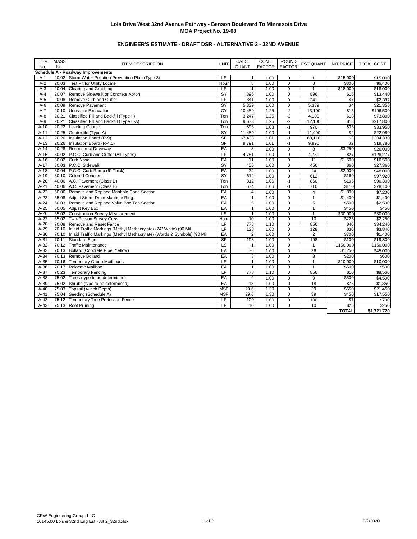# **ENGINEER'S ESTIMATE - DRAFT DSR - ALTERNATIVE 2 - 32ND AVENUE**

| <b>ITEM</b> | <b>MASS</b> |                                                                                 |                          | CALC.          | CONT.         | <b>ROUND</b>  |                 |                      |                      |
|-------------|-------------|---------------------------------------------------------------------------------|--------------------------|----------------|---------------|---------------|-----------------|----------------------|----------------------|
| No.         | No.         | <b>ITEM DESCRIPTION</b>                                                         | <b>UNIT</b>              | QUANT          | <b>FACTOR</b> | <b>FACTOR</b> |                 | EST QUANT UNIT PRICE | <b>TOTAL COST</b>    |
|             |             | Schedule A - Roadway Improvements                                               |                          |                |               |               |                 |                      |                      |
| $A-1$       |             | 20.02 Storm Water Pollution Prevention Plan (Type 3)                            | LS                       | 1 <sup>1</sup> | 1.00          | 0             | $\mathbf{1}$    | \$15,000             | \$15,000             |
| $A-2$       |             | 20.03 Test Pit for Utility Locate                                               | Hour                     | 8              | 1.00          | 0             | 8               | \$800                | \$6,400              |
| $A-3$       |             | 20.04 Clearing and Grubbing                                                     | LS                       | 1              | 1.00          | 0             | $\overline{1}$  | \$18,000             | \$18,000             |
| $A-4$       |             | 20.07 Remove Sidewalk or Concrete Apron                                         | SY                       | 896            | 1.00          | 0             | 896             | \$15                 | \$13,440             |
| $A-5$       |             | 20.08 Remove Curb and Gutter                                                    | LF                       | 341            | 1.00          | 0             | 341             | $\overline{\$7}$     | \$2,387              |
| $A-6$       |             | 20.09 Remove Pavement                                                           | $\overline{SY}$          | 5,339          | 1.00          | 0             | 5,339           | \$4                  | \$21,356             |
| $A-7$       |             | 20.10 Unusable Excavation                                                       | CY                       | 10,489         | 1.25          | $-2$          | 13,100          | \$15                 | \$196,500            |
| $A-8$       |             | 20.21 Classified Fill and Backfill (Type II)                                    | Ton                      | 3,247          | 1.25          | $-2$          | 4,100           | \$18                 | \$73,800             |
| $A-9$       |             | 20.21 Classified Fill and Backfill (Type II-A)                                  | Ton                      | 9,673          | 1.25          | $-2$          | 12,100          | \$18                 | \$217,800            |
| $A-10$      |             | 20.22 Leveling Course                                                           | Ton                      | 896            | 1.08          | $-1$          | 970             | \$35                 | \$33,950             |
| $A-11$      |             | 20.25 Geotextile (Type A)                                                       | SY                       | 11,489         | 1.00          | $-1$          | 11,490          | \$2                  | \$22,980             |
| $A-12$      |             | 20.26   Insulation Board (R-9)                                                  | <b>SF</b>                | 67,433         | 1.01          | $-1$          | 68,110          | \$3                  | \$204,330            |
| $A-13$      |             | 20.26 Insulation Board (R-4.5)                                                  | S <sub>F</sub>           | 9,791          | 1.01          | $-1$          | 9,890           | \$2                  | \$19,780             |
| $A-14$      |             | 20.28 Reconstruct Driveway                                                      | EA                       | 8              | 1.00          | $\mathbf 0$   | 8               | \$3,250              | \$26,000             |
| $A-15$      |             | 30.02 P.C.C. Curb and Gutter (All Types)                                        | LF                       | 4,751          | 1.00          | $\Omega$      | 4,751           | \$27                 | \$128,277            |
| $A-16$      |             | 30.02 Curb Nose                                                                 | EA                       | 11             | 1.00          | $\mathbf 0$   | 11              | $\overline{$1,500}$  | \$16,500             |
| $A-17$      |             | 30.03 P.C.C. Sidewalk                                                           | SY                       | 456            | 1.00          | $\Omega$      | 456             | \$60                 | \$27,360             |
| $A-18$      |             | 30.04 P.C.C. Curb Ramp (6" Thick)                                               | EA                       | 24             | 1.00          | $\Omega$      | 24              | \$2,000              | \$48,000             |
| $A-19$      |             | 30.10 Colored Concrete                                                          | SY                       | 612            | 1.00          | 0             | 612             | \$160                | \$97,920             |
| $A-20$      |             | 40.06 A.C. Pavement (Class D)                                                   | Ton                      | 812            | 1.06          | $-1$          | 860             | \$105                | \$90,300             |
| $A-21$      |             | 40.06 A.C. Pavement (Class E)                                                   | Ton                      | 674            | 1.06          | $-1$          | 710             | \$110                | $\overline{$}78,100$ |
| $A-22$      |             | 50.06 Remove and Replace Manhole Cone Section                                   | EA                       | $\overline{4}$ | 1.00          | $\Omega$      | 4               | \$1,800              | \$7,200              |
| $A-23$      |             | 55.08 Adjust Storm Drain Manhole Ring                                           | EA                       | $\mathbf{1}$   | 1.00          | 0             | $\mathbf{1}$    | \$1,400              | \$1,400              |
| $A-24$      |             | 60.03 Remove and Replace Valve Box Top Section                                  | EA                       | 5              | 1.00          | 0             | 5               | \$500                | \$2,500              |
| $A-25$      |             | 60.05 Adjust Key Box                                                            | EA                       | $\mathbf{1}$   | 1.00          | $\Omega$      | $\overline{1}$  | \$450                | \$450                |
| $A-26$      |             | 65.02 Construction Survey Measurement                                           | $\overline{\mathsf{LS}}$ | $\mathbf{1}$   | 1.00          | 0             | $\overline{1}$  | \$30,000             | \$30,000             |
| $A-27$      |             | 65.02 Two-Person Survey Crew                                                    | Hour                     | 10             | 1.00          | 0             | 10              | \$225                | \$2,250              |
| $A-28$      |             | 70.08 Remove and Reset Fence                                                    | LF                       | 778            | 1.10          | 0             | 856             | \$40                 | \$34,240             |
| $A-29$      |             | 70.10 Inlaid Traffic Markings (Methyl Methacrylate) (24" White) (90 Mil         | LF                       | 128            | 1.00          | $\Omega$      | 128             | \$30                 | \$3,840              |
| $A-30$      |             | 70.10   Inlaid Traffic Markings (Methyl Methacrylate) (Words & Symbols) (90 Mil | EA                       | $\overline{2}$ | 1.00          | 0             | $\overline{2}$  | \$700                | \$1,400              |
| $A-31$      |             | 70.11 Standard Sign                                                             | SF                       | 198            | 1.00          | 0             | 198             | \$100                | \$19,800             |
| $A-32$      |             | 70.12 Traffic Maintenance                                                       | <b>LS</b>                | $\mathbf{1}$   | 1.00          | $\mathbf 0$   | $\overline{1}$  | \$150,000            | \$150,000            |
| $A-33$      |             | 70.13 Bollard (Concrete Pipe, Yellow)                                           | EA                       | 36             | 1.00          | $\Omega$      | 36              | \$1,250              | \$45,000             |
| $A-34$      |             | 70.13 Remove Bollard                                                            | EA                       | 3              | 1.00          | 0             | 3               | \$200                | \$600                |
| $A-35$      |             | 70.16 Temporary Group Mailboxes                                                 | <b>LS</b>                | $\mathbf{1}$   | 1.00          | $\Omega$      | $\overline{1}$  | \$10,000             | \$10,000             |
| $A-36$      |             | 70.17 Relocate Mailbox                                                          | EA                       | $\mathbf{1}$   | 1.00          | 0             | $\mathbf{1}$    | \$500                | \$500                |
| $A-37$      |             | 70.23 Temporary Fencing                                                         | LF                       | 778            | 1.10          | $\mathbf 0$   | 856             | \$10                 | \$8,560              |
| $A-38$      |             | 75.02 Trees (type to be determined)                                             | EA                       | $\overline{9}$ | 1.00          | 0             | 9               | \$500                | \$4,500              |
| $A-39$      |             | 75.02 Shrubs (type to be determined)                                            | EA                       | 18             | 1.00          | 0             | $\overline{18}$ | \$75                 | \$1,350              |
| $A-40$      |             | 75.03 Topsoil (4-inch Depth)                                                    | <b>MSF</b>               | 29.6           | 1.30          | $\Omega$      | 39              | \$550                | \$21,450             |
| $A-41$      |             | 75.04 Seeding (Schedule A)                                                      | <b>MSF</b>               | 29.6           | 1.30          | 0             | 39              | \$450                | \$17,550             |
| $A-42$      |             | 75.12 Temporary Tree Protection Fence                                           | LF                       | 100            | 1.00          | 0             | 100             | \$7                  | \$700                |
| $A-43$      |             | 75.13 Root Pruning                                                              | LF                       | 10             | 1.00          | $\Omega$      | 10              | \$25                 | \$250                |
|             |             |                                                                                 |                          |                |               |               |                 | <b>TOTAL</b>         | \$1,721,720          |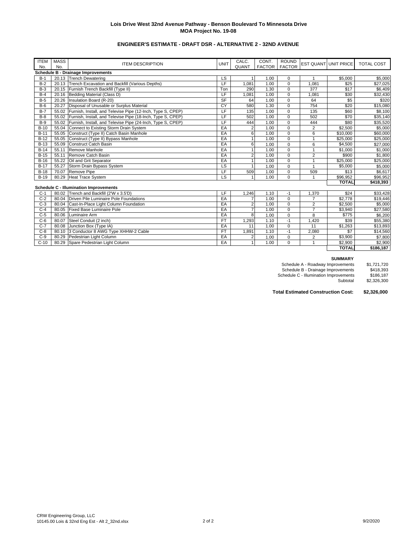# **ENGINEER'S ESTIMATE - DRAFT DSR - ALTERNATIVE 2 - 32ND AVENUE**

| <b>ITEM</b>                               | <b>MASS</b> | <b>ITEM DESCRIPTION</b>                                           | <b>UNIT</b> | CALC.          | CONT.         | <b>ROUND</b>  |                | <b>EST QUANT UNIT PRICE</b> | <b>TOTAL COST</b> |
|-------------------------------------------|-------------|-------------------------------------------------------------------|-------------|----------------|---------------|---------------|----------------|-----------------------------|-------------------|
| No.                                       | No.         |                                                                   |             | QUANT          | <b>FACTOR</b> | <b>FACTOR</b> |                |                             |                   |
| <b>Schedule B - Drainage Improvements</b> |             |                                                                   |             |                |               |               |                |                             |                   |
| $B-1$                                     |             | 20.13 Trench Dewatering                                           | LS          |                | 1.00          | 0             | 1              | \$5,000                     | \$5,000           |
| $B-2$                                     |             | 20.13 Trench Excavation and Backfill (Various Depths)             | LF          | 1.081          | 1.00          | $\Omega$      | 1.081          | \$25                        | \$27,025          |
| $B-3$                                     |             | 20.15 Furnish Trench Backfill (Type II)                           | Ton         | 290            | 1.30          | $\mathbf 0$   | 377            | \$17                        | \$6,409           |
| $B-4$                                     |             | 20.16 Bedding Material (Class D)                                  | LF          | 1,081          | 1.00          | $\mathbf 0$   | 1,081          | \$30                        | \$32,430          |
| $B-5$                                     | 20.26       | Insulation Board (R-20)                                           | <b>SF</b>   | 64             | 1.00          | $\mathbf 0$   | 64             | \$5                         | \$320             |
| $B-6$                                     | 20.27       | Disposal of Unusable or Surplus Material                          | CY          | 580            | 1.30          | $\mathbf 0$   | 754            | \$20                        | \$15,080          |
| $B-7$                                     |             | 55.02 Furnish, Install, and Televise Pipe (12-Inch, Type S, CPEP) | LF          | 135            | 1.00          | $\Omega$      | 135            | \$60                        | \$8,100           |
| $B-8$                                     |             | 55.02 Furnish, Install, and Televise Pipe (18-Inch, Type S, CPEP) | LF          | 502            | 1.00          | $\mathbf 0$   | 502            | \$70                        | \$35,140          |
| $B-9$                                     |             | 55.02 Furnish, Install, and Televise Pipe (24-Inch, Type S, CPEP) | LF          | 444            | 1.00          | $\Omega$      | 444            | \$80                        | \$35,520          |
| $B-10$                                    |             | 55.04 Connect to Existing Storm Drain System                      | EA          | $\overline{2}$ | 1.00          | $\Omega$      | 2              | \$2,500                     | \$5,000           |
| $B-11$                                    |             | 55.05 Construct (Type II) Catch Basin Manhole                     | EA          | 6              | 1.00          | $\Omega$      | 6              | \$10,000                    | \$60,000          |
| $B-12$                                    |             | 55.05 Construct (Type II) Bypass Manhole                          | EA          |                | 1.00          | $\Omega$      |                | \$25,000                    | \$25,000          |
| $B-13$                                    | 55.09       | Construct Catch Basin                                             | EA          | 6              | 1.00          | $\mathbf 0$   | 6              | \$4,500                     | \$27,000          |
| $B-14$                                    | 55.11       | Remove Manhole                                                    | EA          |                | 1.00          | $\mathbf 0$   | $\overline{1}$ | \$1,000                     | \$1,000           |
| $B-15$                                    | 55.11       | Remove Catch Basin                                                | EA          | 2              | 1.00          | $\mathbf 0$   | $\overline{2}$ | \$900                       | \$1,800           |
| $B-16$                                    |             | 55.22 Oil and Grit Separator                                      | EA          |                | 1.00          | $\mathbf 0$   | $\overline{1}$ | \$25.000                    | \$25,000          |
| $B-17$                                    | 55.27       | Storm Drain Bypass System                                         | LS          |                | 1.00          | $\Omega$      | $\overline{1}$ | \$5,000                     | \$5,000           |
| $B-18$                                    |             | 70.07 Remove Pipe                                                 | LF          | 509            | 1.00          | $\mathbf 0$   | 509            | \$13                        | \$6,617           |
| $B-19$                                    | 80.29       | <b>Heat Trace System</b>                                          | LS          |                | 1.00          | $\Omega$      | $\overline{1}$ | \$96,952                    | \$96,952          |
|                                           |             |                                                                   |             |                |               |               |                | <b>TOTAL</b>                | \$418,393         |
|                                           |             | <b>Schedule C - Illumination Improvements</b>                     |             |                |               |               |                |                             |                   |
| $C-1$                                     |             | 80.02 Trench and Backfill (2'W x 3.5'D)                           | LF          | 1,246          | 1.10          | -1            | 1,370          | \$24                        | \$33,428          |
| $C-2$                                     | 80.04       | Driven Pile Luminaire Pole Foundations                            | EA          |                | 1.00          | $\mathbf 0$   | $\overline{7}$ | \$2,778                     | \$19,446          |
| $C-3$                                     |             | 80.04 Cast-In-Place Light Column Foundation                       | EA          | 2              | 1.00          | $\mathbf 0$   | $\overline{2}$ | \$2,500                     | \$5,000           |
| $C-4$                                     |             | 80.05 Fixed Base Luminaire Pole                                   | EA          |                | 1.00          | $\mathbf 0$   | $\overline{7}$ | \$3,940                     | \$27,580          |
| $C-5$                                     | 80.06       | Luminaire Arm                                                     | EA          | 8              | 1.00          | $\mathbf 0$   | 8              | \$775                       | \$6,200           |
| $C-6$                                     | 80.07       | Steel Conduit (2 inch)                                            | <b>FT</b>   | 1,293          | 1.10          | $-1$          | 1,420          | \$39                        | \$55,380          |
| $C-7$                                     | 80.08       | Junction Box (Type IA)                                            | EA          | 11             | 1.00          | $\mathbf 0$   | 11             | \$1,263                     | \$13,893          |
| $C-8$                                     |             | 80.10 3 Conductor 8 AWG Type XHHW-2 Cable                         | <b>FT</b>   | 1,891          | 1.10          | $-1$          | 2,080          | \$7                         | \$14,560          |
| $C-9$                                     | 80.29       | Pedestrian Light Column                                           | EA          | 2              | 1.00          | $\Omega$      | $\overline{2}$ | \$3,900                     | \$7,800           |

C-10 | 80.29 |Spare Pedestrian Light Column EA | 1 | 1.00 | 0 | 1 | \$2,900 | \$2,900

**SUMMARY**

**TOTAL \$186,187**

| -----------                            |             |
|----------------------------------------|-------------|
| Schedule A - Roadway Improvements      | \$1.721.720 |
| Schedule B - Drainage Improvements     | \$418.393   |
| Schedule C - Illumination Improvements | \$186,187   |
| Subtotal                               | \$2,326,300 |

**Total Estimated Construction Cost: \$2,326,000**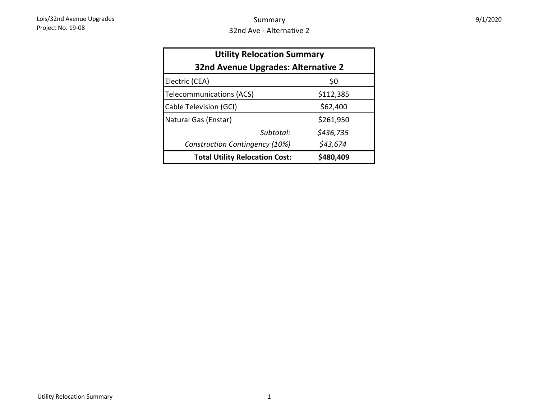| <b>Utility Relocation Summary</b><br>32nd Avenue Upgrades: Alternative 2 |           |  |  |  |  |  |  |
|--------------------------------------------------------------------------|-----------|--|--|--|--|--|--|
| Electric (CEA)                                                           | \$0       |  |  |  |  |  |  |
| Telecommunications (ACS)                                                 | \$112,385 |  |  |  |  |  |  |
| Cable Television (GCI)                                                   | \$62,400  |  |  |  |  |  |  |
| Natural Gas (Enstar)                                                     | \$261,950 |  |  |  |  |  |  |
| Subtotal:                                                                | \$436,735 |  |  |  |  |  |  |
| \$43,674<br>Construction Contingency (10%)                               |           |  |  |  |  |  |  |
| <b>Total Utility Relocation Cost:</b>                                    | \$480,409 |  |  |  |  |  |  |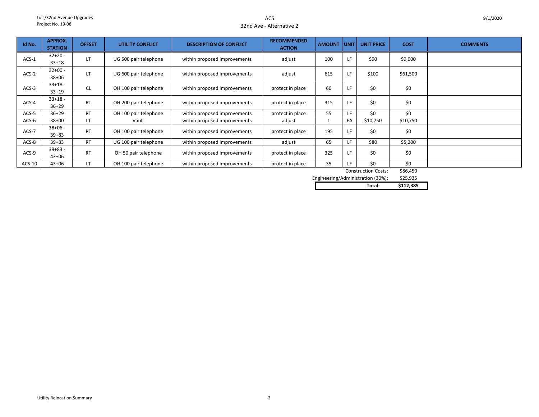ACS32nd Ave - Alternative 2

| Id No.  | <b>APPROX.</b><br><b>STATION</b> | <b>OFFSET</b> | UTILITY CONFLICT      | <b>DESCRIPTION OF CONFLICT</b> | <b>RECOMMENDED</b><br><b>ACTION</b> | <b>AMOUNT</b> | l UNIT L | <b>UNIT PRICE</b> | <b>COST</b>   | <b>COMMENTS</b> |
|---------|----------------------------------|---------------|-----------------------|--------------------------------|-------------------------------------|---------------|----------|-------------------|---------------|-----------------|
| $ACS-1$ | $32+20 -$<br>$33 + 18$           | LT            | UG 500 pair telephone | within proposed improvements   | adjust                              | 100           | LF.      | \$90              | \$9,000       |                 |
| $ACS-2$ | $32+00 -$<br>$38 + 06$           | LT            | UG 600 pair telephone | within proposed improvements   | adjust                              | 615           | LF       | \$100             | \$61,500      |                 |
| $ACS-3$ | $33+18$ -<br>$33+19$             | <b>CL</b>     | OH 100 pair telephone | within proposed improvements   | protect in place                    | 60            | LF       | \$0               | \$0           |                 |
| $ACS-4$ | $33+18$ -<br>$36 + 29$           | <b>RT</b>     | OH 200 pair telephone | within proposed improvements   | protect in place                    | 315           | LF       | \$0               | \$0           |                 |
| $ACS-5$ | $36 + 29$                        | <b>RT</b>     | OH 100 pair telephone | within proposed improvements   | protect in place                    | 55            | LF.      | \$0               | \$0           |                 |
| $ACS-6$ | $38 + 00$                        | LT            | Vault                 | within proposed improvements   | adjust                              |               | EA       | \$10,750          | \$10,750      |                 |
| ACS-7   | $38+06 -$<br>$39 + 83$           | <b>RT</b>     | OH 100 pair telephone | within proposed improvements   | protect in place                    | 195           | LF       | \$0               | \$0           |                 |
| ACS-8   | $39 + 83$                        | <b>RT</b>     | UG 100 pair telephone | within proposed improvements   | adjust                              | 65            | LF.      | \$80              | \$5,200       |                 |
| ACS-9   | $39+83 -$<br>$43 + 06$           | <b>RT</b>     | OH 50 pair telephone  | within proposed improvements   | protect in place                    | 325           | LF       | \$0               | \$0           |                 |
| ACS-10  | $43 + 06$                        | LT.           | OH 100 pair telephone | within proposed improvements   | protect in place                    | 35            | LF       | \$0               | \$0<br>------ |                 |

\$86,450 Construction Costs:

\$25,935 Engineering/Administration (30%):

| Total: | эог<br>כר |
|--------|-----------|
|        |           |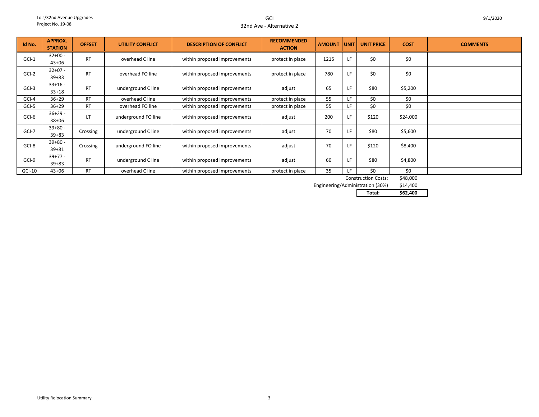GCI32nd Ave - Alternative 2

| Id No.   | <b>APPROX.</b><br><b>STATION</b> | <b>OFFSET</b> | UTILITY CONFLICT    | <b>DESCRIPTION OF CONFLICT</b> | <b>RECOMMENDED</b><br><b>ACTION</b> | <b>AMOUNT</b> | <b>UNIT</b> | <b>UNIT PRICE</b>          | <b>COST</b> | <b>COMMENTS</b> |
|----------|----------------------------------|---------------|---------------------|--------------------------------|-------------------------------------|---------------|-------------|----------------------------|-------------|-----------------|
| $GCI-1$  | $32+00 -$<br>$43 + 06$           | <b>RT</b>     | overhead C line     | within proposed improvements   | protect in place                    | 1215          | LF          | \$0                        | \$0         |                 |
| GCI-2    | $32+07 -$<br>$39 + 83$           | <b>RT</b>     | overhead FO line    | within proposed improvements   | protect in place                    | 780           | LF.         | \$0                        | \$0         |                 |
| $GCI-3$  | $33+16 -$<br>$33+18$             | <b>RT</b>     | underground C line  | within proposed improvements   | adjust                              | 65            | LF          | \$80                       | \$5,200     |                 |
| GCI-4    | $36+29$                          | <b>RT</b>     | overhead C line     | within proposed improvements   | protect in place                    | 55            | LF.         | \$0                        | \$0         |                 |
| GCI-5    | $36+29$                          | <b>RT</b>     | overhead FO line    | within proposed improvements   | protect in place                    | 55            | LF.         | \$0                        | \$0         |                 |
| GCI-6    | $36+29 -$<br>38+06               | LT            | underground FO line | within proposed improvements   | adjust                              | 200           | LF          | \$120                      | \$24,000    |                 |
| GCI-7    | $39+80 -$<br>$39 + 83$           | Crossing      | underground C line  | within proposed improvements   | adjust                              | 70            | LF          | \$80                       | \$5,600     |                 |
| GCI-8    | $39 + 80 -$<br>$39 + 81$         | Crossing      | underground FO line | within proposed improvements   | adjust                              | 70            | LF          | \$120                      | \$8,400     |                 |
| GCI-9    | $39+77-$<br>$39 + 83$            | <b>RT</b>     | underground C line  | within proposed improvements   | adjust                              | 60            | LF          | \$80                       | \$4,800     |                 |
| $GCI-10$ | $43 + 06$                        | <b>RT</b>     | overhead C line     | within proposed improvements   | protect in place                    | 35            | LF.         | \$0                        | \$0         |                 |
|          |                                  |               |                     |                                |                                     |               |             | <b>Construction Costs:</b> | \$48,000    |                 |

Construction Costs:

\$14,400 Engineering/Administration (30%)

**Total: \$62,400**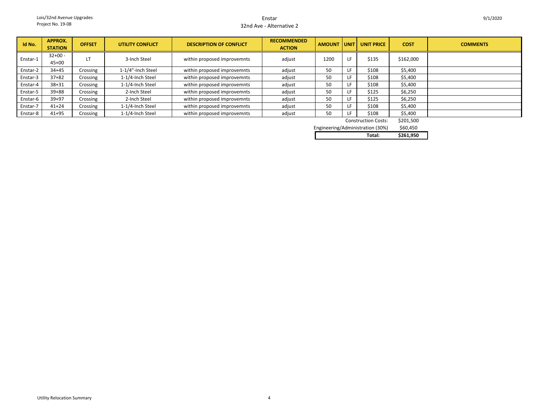#### Enstar32nd Ave - Alternative 2

| Id No.   | <b>APPROX.</b><br><b>STATION</b> | <b>OFFSET</b> | <b>UTILITY CONFLICT</b> | <b>DESCRIPTION OF CONFLICT</b> | <b>RECOMMENDED</b><br><b>ACTION</b> | <b>AMOUNT UNIT</b> |     | <b>UNIT PRICE</b> | <b>COST</b> | <b>COMMENTS</b> |
|----------|----------------------------------|---------------|-------------------------|--------------------------------|-------------------------------------|--------------------|-----|-------------------|-------------|-----------------|
| Enstar-1 | $32+00 -$<br>$45 + 00$           | LT            | 3-Inch Steel            | within proposed improvemnts    | adjust                              | 1200               | LF  | \$135             | \$162,000   |                 |
| Enstar-2 | $34 + 45$                        | Crossing      | 1-1/4"-Inch Steel       | within proposed improvemnts    | adjust                              | 50                 | LF. | \$108             | \$5,400     |                 |
| Enstar-3 | $37 + 82$                        | Crossing      | 1-1/4-Inch Steel        | within proposed improvemnts    | adjust                              | 50                 |     | \$108             | \$5,400     |                 |
| Enstar-4 | $38 + 31$                        | Crossing      | 1-1/4-Inch Steel        | within proposed improvemnts    | adjust                              | 50                 |     | \$108             | \$5,400     |                 |
| Enstar-5 | $39 + 88$                        | Crossing      | 2-Inch Steel            | within proposed improvemnts    | adjust                              | 50                 |     | \$125             | \$6,250     |                 |
| Enstar-6 | $39 + 97$                        | Crossing      | 2-Inch Steel            | within proposed improvemnts    | adjust                              | 50                 | LF. | \$125             | \$6,250     |                 |
| Enstar-7 | $41 + 24$                        | Crossing      | 1-1/4-Inch Steel        | within proposed improvemnts    | adjust                              | 50                 | LF  | \$108             | \$5,400     |                 |
| Enstar-8 | $41 + 95$                        | Crossing      | 1-1/4-Inch Steel        | within proposed improvemnts    | adjust                              | 50                 |     | \$108             | \$5,400     |                 |

| <b>Construction Costs:</b>       | \$201,500 |
|----------------------------------|-----------|
| Engineering/Administration (30%) | \$60,450  |
|                                  |           |

| Total:<br>. | \$261.950 |
|-------------|-----------|
|             |           |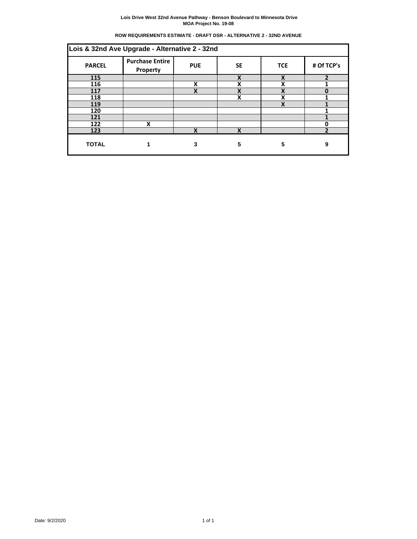# **ROW REQUIREMENTS ESTIMATE - DRAFT DSR - ALTERNATIVE 2 - 32ND AVENUE**

| Lois & 32nd Ave Upgrade - Alternative 2 - 32nd                                                                    |   |   |   |   |   |  |  |  |  |
|-------------------------------------------------------------------------------------------------------------------|---|---|---|---|---|--|--|--|--|
| <b>Purchase Entire</b><br># Of TCP's<br><b>PARCEL</b><br><b>PUE</b><br><b>SE</b><br><b>TCE</b><br><b>Property</b> |   |   |   |   |   |  |  |  |  |
| 115                                                                                                               |   |   | X | X | ר |  |  |  |  |
| 116                                                                                                               |   | X | X | x |   |  |  |  |  |
| 117                                                                                                               |   | X | X | X | 0 |  |  |  |  |
| 118                                                                                                               |   |   | X | χ |   |  |  |  |  |
| 119                                                                                                               |   |   |   | X |   |  |  |  |  |
| 120                                                                                                               |   |   |   |   |   |  |  |  |  |
| 121                                                                                                               |   |   |   |   |   |  |  |  |  |
| 122                                                                                                               | X |   |   |   | O |  |  |  |  |
| 123                                                                                                               |   | X | v |   | h |  |  |  |  |
| <b>TOTAL</b>                                                                                                      |   | 3 | 5 | 5 | 9 |  |  |  |  |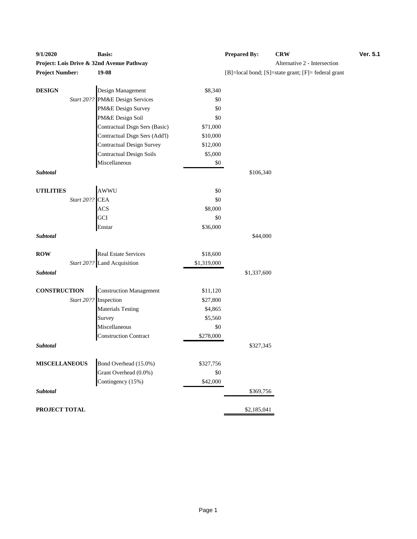| Project: Lois Drive & 32nd Avenue Pathway<br>Alternative 2 - Intersection<br><b>Project Number:</b><br>19-08<br>[B]=local bond; [S]=state grant; [F]= federal grant<br><b>DESIGN</b><br>Design Management<br>\$8,340<br>PM&E Design Services<br>Start 20??<br>\$0<br>PM&E Design Survey<br>\$0<br>PM&E Design Soil<br>\$0<br>Contractual Dsgn Sers (Basic)<br>\$71,000<br>Contractual Dsgn Sers (Add'l)<br>\$10,000<br><b>Contractual Design Survey</b><br>\$12,000<br><b>Contractual Design Soils</b><br>\$5,000<br>Miscellaneous<br>$\$0$<br>Subtotal<br>\$106,340<br>AWWU<br><b>UTILITIES</b><br>\$0<br>Start 20??<br><b>CEA</b><br>\$0<br>ACS<br>\$8,000<br>GCI<br>\$0<br>\$36,000<br>Enstar<br>Subtotal<br>\$44,000<br><b>Real Estate Services</b><br><b>ROW</b><br>\$18,600<br>Start 20?? Land Acquisition<br>\$1,319,000<br>Subtotal<br>\$1,337,600<br><b>CONSTRUCTION</b><br><b>Construction Management</b><br>\$11,120<br>Start 20?? Inspection<br>\$27,800<br><b>Materials Testing</b><br>\$4,865<br>\$5,560<br>Survey<br>Miscellaneous<br>\$0<br><b>Construction Contract</b><br>\$278,000<br>Subtotal<br>\$327,345<br><b>MISCELLANEOUS</b><br>Bond Overhead (15.0%)<br>\$327,756<br>Grant Overhead (0.0%)<br>\$0<br>Contingency (15%)<br>\$42,000<br>Subtotal<br>\$369,756 | 9/1/2020 | <b>Basis:</b> | <b>Prepared By:</b> | <b>CRW</b> | Ver. 5.1 |
|----------------------------------------------------------------------------------------------------------------------------------------------------------------------------------------------------------------------------------------------------------------------------------------------------------------------------------------------------------------------------------------------------------------------------------------------------------------------------------------------------------------------------------------------------------------------------------------------------------------------------------------------------------------------------------------------------------------------------------------------------------------------------------------------------------------------------------------------------------------------------------------------------------------------------------------------------------------------------------------------------------------------------------------------------------------------------------------------------------------------------------------------------------------------------------------------------------------------------------------------------------------------------------------|----------|---------------|---------------------|------------|----------|
|                                                                                                                                                                                                                                                                                                                                                                                                                                                                                                                                                                                                                                                                                                                                                                                                                                                                                                                                                                                                                                                                                                                                                                                                                                                                                        |          |               |                     |            |          |
|                                                                                                                                                                                                                                                                                                                                                                                                                                                                                                                                                                                                                                                                                                                                                                                                                                                                                                                                                                                                                                                                                                                                                                                                                                                                                        |          |               |                     |            |          |
|                                                                                                                                                                                                                                                                                                                                                                                                                                                                                                                                                                                                                                                                                                                                                                                                                                                                                                                                                                                                                                                                                                                                                                                                                                                                                        |          |               |                     |            |          |
|                                                                                                                                                                                                                                                                                                                                                                                                                                                                                                                                                                                                                                                                                                                                                                                                                                                                                                                                                                                                                                                                                                                                                                                                                                                                                        |          |               |                     |            |          |
|                                                                                                                                                                                                                                                                                                                                                                                                                                                                                                                                                                                                                                                                                                                                                                                                                                                                                                                                                                                                                                                                                                                                                                                                                                                                                        |          |               |                     |            |          |
|                                                                                                                                                                                                                                                                                                                                                                                                                                                                                                                                                                                                                                                                                                                                                                                                                                                                                                                                                                                                                                                                                                                                                                                                                                                                                        |          |               |                     |            |          |
|                                                                                                                                                                                                                                                                                                                                                                                                                                                                                                                                                                                                                                                                                                                                                                                                                                                                                                                                                                                                                                                                                                                                                                                                                                                                                        |          |               |                     |            |          |
|                                                                                                                                                                                                                                                                                                                                                                                                                                                                                                                                                                                                                                                                                                                                                                                                                                                                                                                                                                                                                                                                                                                                                                                                                                                                                        |          |               |                     |            |          |
|                                                                                                                                                                                                                                                                                                                                                                                                                                                                                                                                                                                                                                                                                                                                                                                                                                                                                                                                                                                                                                                                                                                                                                                                                                                                                        |          |               |                     |            |          |
|                                                                                                                                                                                                                                                                                                                                                                                                                                                                                                                                                                                                                                                                                                                                                                                                                                                                                                                                                                                                                                                                                                                                                                                                                                                                                        |          |               |                     |            |          |
|                                                                                                                                                                                                                                                                                                                                                                                                                                                                                                                                                                                                                                                                                                                                                                                                                                                                                                                                                                                                                                                                                                                                                                                                                                                                                        |          |               |                     |            |          |
|                                                                                                                                                                                                                                                                                                                                                                                                                                                                                                                                                                                                                                                                                                                                                                                                                                                                                                                                                                                                                                                                                                                                                                                                                                                                                        |          |               |                     |            |          |
|                                                                                                                                                                                                                                                                                                                                                                                                                                                                                                                                                                                                                                                                                                                                                                                                                                                                                                                                                                                                                                                                                                                                                                                                                                                                                        |          |               |                     |            |          |
|                                                                                                                                                                                                                                                                                                                                                                                                                                                                                                                                                                                                                                                                                                                                                                                                                                                                                                                                                                                                                                                                                                                                                                                                                                                                                        |          |               |                     |            |          |
|                                                                                                                                                                                                                                                                                                                                                                                                                                                                                                                                                                                                                                                                                                                                                                                                                                                                                                                                                                                                                                                                                                                                                                                                                                                                                        |          |               |                     |            |          |
|                                                                                                                                                                                                                                                                                                                                                                                                                                                                                                                                                                                                                                                                                                                                                                                                                                                                                                                                                                                                                                                                                                                                                                                                                                                                                        |          |               |                     |            |          |
|                                                                                                                                                                                                                                                                                                                                                                                                                                                                                                                                                                                                                                                                                                                                                                                                                                                                                                                                                                                                                                                                                                                                                                                                                                                                                        |          |               |                     |            |          |
|                                                                                                                                                                                                                                                                                                                                                                                                                                                                                                                                                                                                                                                                                                                                                                                                                                                                                                                                                                                                                                                                                                                                                                                                                                                                                        |          |               |                     |            |          |
|                                                                                                                                                                                                                                                                                                                                                                                                                                                                                                                                                                                                                                                                                                                                                                                                                                                                                                                                                                                                                                                                                                                                                                                                                                                                                        |          |               |                     |            |          |
|                                                                                                                                                                                                                                                                                                                                                                                                                                                                                                                                                                                                                                                                                                                                                                                                                                                                                                                                                                                                                                                                                                                                                                                                                                                                                        |          |               |                     |            |          |
|                                                                                                                                                                                                                                                                                                                                                                                                                                                                                                                                                                                                                                                                                                                                                                                                                                                                                                                                                                                                                                                                                                                                                                                                                                                                                        |          |               |                     |            |          |
|                                                                                                                                                                                                                                                                                                                                                                                                                                                                                                                                                                                                                                                                                                                                                                                                                                                                                                                                                                                                                                                                                                                                                                                                                                                                                        |          |               |                     |            |          |
|                                                                                                                                                                                                                                                                                                                                                                                                                                                                                                                                                                                                                                                                                                                                                                                                                                                                                                                                                                                                                                                                                                                                                                                                                                                                                        |          |               |                     |            |          |
|                                                                                                                                                                                                                                                                                                                                                                                                                                                                                                                                                                                                                                                                                                                                                                                                                                                                                                                                                                                                                                                                                                                                                                                                                                                                                        |          |               |                     |            |          |
|                                                                                                                                                                                                                                                                                                                                                                                                                                                                                                                                                                                                                                                                                                                                                                                                                                                                                                                                                                                                                                                                                                                                                                                                                                                                                        |          |               |                     |            |          |
|                                                                                                                                                                                                                                                                                                                                                                                                                                                                                                                                                                                                                                                                                                                                                                                                                                                                                                                                                                                                                                                                                                                                                                                                                                                                                        |          |               |                     |            |          |
|                                                                                                                                                                                                                                                                                                                                                                                                                                                                                                                                                                                                                                                                                                                                                                                                                                                                                                                                                                                                                                                                                                                                                                                                                                                                                        |          |               |                     |            |          |
|                                                                                                                                                                                                                                                                                                                                                                                                                                                                                                                                                                                                                                                                                                                                                                                                                                                                                                                                                                                                                                                                                                                                                                                                                                                                                        |          |               |                     |            |          |
|                                                                                                                                                                                                                                                                                                                                                                                                                                                                                                                                                                                                                                                                                                                                                                                                                                                                                                                                                                                                                                                                                                                                                                                                                                                                                        |          |               |                     |            |          |
|                                                                                                                                                                                                                                                                                                                                                                                                                                                                                                                                                                                                                                                                                                                                                                                                                                                                                                                                                                                                                                                                                                                                                                                                                                                                                        |          |               |                     |            |          |
|                                                                                                                                                                                                                                                                                                                                                                                                                                                                                                                                                                                                                                                                                                                                                                                                                                                                                                                                                                                                                                                                                                                                                                                                                                                                                        |          |               |                     |            |          |
|                                                                                                                                                                                                                                                                                                                                                                                                                                                                                                                                                                                                                                                                                                                                                                                                                                                                                                                                                                                                                                                                                                                                                                                                                                                                                        |          |               |                     |            |          |
|                                                                                                                                                                                                                                                                                                                                                                                                                                                                                                                                                                                                                                                                                                                                                                                                                                                                                                                                                                                                                                                                                                                                                                                                                                                                                        |          |               |                     |            |          |
|                                                                                                                                                                                                                                                                                                                                                                                                                                                                                                                                                                                                                                                                                                                                                                                                                                                                                                                                                                                                                                                                                                                                                                                                                                                                                        |          |               |                     |            |          |
|                                                                                                                                                                                                                                                                                                                                                                                                                                                                                                                                                                                                                                                                                                                                                                                                                                                                                                                                                                                                                                                                                                                                                                                                                                                                                        |          |               |                     |            |          |
| PROJECT TOTAL<br>\$2,185,041                                                                                                                                                                                                                                                                                                                                                                                                                                                                                                                                                                                                                                                                                                                                                                                                                                                                                                                                                                                                                                                                                                                                                                                                                                                           |          |               |                     |            |          |

# **Produce 2 - Intersection Project Number: 19-10** [F]= federal grant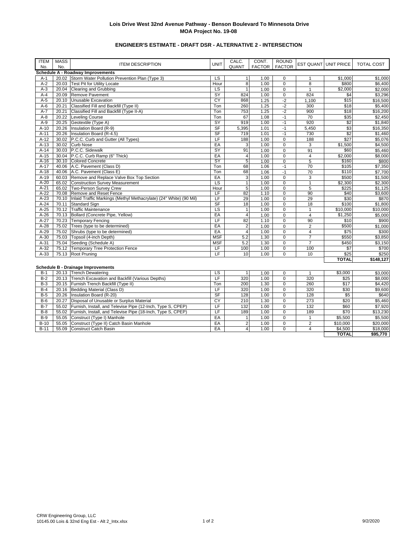# **ENGINEER'S ESTIMATE - DRAFT DSR - ALTERNATIVE 2 - INTERSECTION**

| <b>ITEM</b> | <b>MASS</b><br>No. | <b>ITEM DESCRIPTION</b>                                                  | <b>UNIT</b>    | CALC.<br>QUANT          | CONT.<br><b>FACTOR</b> | <b>ROUND</b><br><b>FACTOR</b> |                         | EST QUANT UNIT PRICE | TOTAL COST |
|-------------|--------------------|--------------------------------------------------------------------------|----------------|-------------------------|------------------------|-------------------------------|-------------------------|----------------------|------------|
| No.         |                    | Schedule A - Roadway Improvements                                        |                |                         |                        |                               |                         |                      |            |
| $A-1$       |                    | 20.02 Storm Water Pollution Prevention Plan (Type 3)                     | LS             | $\mathbf{1}$            | 1.00                   | $\mathbf 0$                   | $\mathbf{1}$            | \$1,000              | \$1,000    |
| $A-2$       |                    | 20.03 Test Pit for Utility Locate                                        | Hour           | $\overline{8}$          | 1.00                   | $\overline{0}$                | 8                       | \$800                | \$6,400    |
| $A-3$       |                    | 20.04 Clearing and Grubbing                                              | LS             | $\overline{1}$          | 1.00                   | $\overline{0}$                | $\mathbf{1}$            | \$2,000              | \$2,000    |
| $A-4$       | 20.09              | Remove Pavement                                                          | SY             | 824                     | 1.00                   | $\overline{0}$                | 824                     | \$4                  | \$3,296    |
| $A-5$       | 20.10              | Unusable Excavation                                                      | CY             | 868                     | 1.25                   | $-2$                          | 1,100                   | \$15                 | \$16,500   |
| $A-6$       | 20.21              | Classified Fill and Backfill (Type II)                                   | Ton            | 260                     | 1.25                   | $-2$                          | 300                     | \$18                 | \$5,400    |
| $A-7$       | 20.21              | Classified Fill and Backfill (Type II-A)                                 | Ton            | 753                     | 1.25                   | $-2$                          | 900                     | \$18                 | \$16,200   |
| $A-8$       |                    | 20.22 Leveling Course                                                    | Ton            | 67                      | 1.08                   | $-1$                          | 70                      | \$35                 | \$2,450    |
| $A-9$       |                    | 20.25 Geotextile (Type A)                                                | SY             | 919                     | 1.00                   | $-1$                          | 920                     | \$2                  | \$1,840    |
| $A-10$      | 20.26              | Insulation Board (R-9)                                                   | S <sub>F</sub> | 5,395                   | 1.01                   | $-1$                          | 5,450                   | \$3                  | \$16,350   |
| $A-11$      | 20.26              | Insulation Board (R-4.5)                                                 | SF             | 719                     | 1.01                   | $-1$                          | 730                     | \$2                  | \$1,460    |
| $A-12$      |                    | 30.02 P.C.C. Curb and Gutter (All Types)                                 | LF             | 188                     | 1.00                   | $\pmb{0}$                     | 188                     | \$27                 | \$5,076    |
| $A-13$      |                    | 30.02 Curb Nose                                                          | EA             | 3                       | 1.00                   | $\pmb{0}$                     | 3                       | \$1,500              | \$4,500    |
| $A-14$      |                    | 30.03 P.C.C. Sidewalk                                                    | SY             | 91                      | 1.00                   | $\pmb{0}$                     | 91                      | \$60                 | \$5,460    |
| $A-15$      |                    | 30.04 P.C.C. Curb Ramp (6" Thick)                                        | EA             | $\overline{4}$          | 1.00                   | $\mathbf 0$                   | $\overline{\mathbf{4}}$ | \$2,000              | \$8,000    |
| $A-16$      |                    | 30.10 Colored Concrete                                                   | SY             | 5                       | 1.00                   | $\overline{0}$                | $\overline{5}$          | \$160                | \$800      |
| $A-17$      |                    | 40.06 A.C. Pavement (Class D)                                            | Ton            | 68                      | 1.06                   | $-1$                          | 70                      | \$105                | \$7,350    |
| $A-18$      |                    | 40.06 A.C. Pavement (Class E)                                            | Ton            | 68                      | 1.06                   | $-1$                          | 70                      | \$110                | \$7,700    |
| $A-19$      |                    | 60.03 Remove and Replace Valve Box Top Section                           | EA             | 3                       | 1.00                   | $\mathbf 0$                   | 3                       | \$500                | \$1,500    |
| $A-20$      |                    | 65.02 Construction Survey Measurement                                    | <b>LS</b>      | $\overline{1}$          | 1.00                   | $\mathbf 0$                   | $\mathbf{1}$            | \$2,300              | \$2,300    |
| $A-21$      |                    | 65.02 Two-Person Survey Crew                                             | Hour           | 5                       | 1.00                   | $\mathbf 0$                   | 5                       | \$225                | \$1,125    |
| $A-22$      |                    | 70.08 Remove and Reset Fence                                             | LF             | 82                      | 1.10                   | $\pmb{0}$                     | 90                      | \$40                 | \$3,600    |
| $A-23$      |                    | 70.10 Inlaid Traffic Markings (Methyl Methacrylate) (24" White) (90 Mil) | LF             | 29                      | 1.00                   | $\pmb{0}$                     | 29                      | \$30                 | \$870      |
| $A-24$      | 70.11              | <b>Standard Sign</b>                                                     | <b>SF</b>      | 18                      | 1.00                   | $\mathbf 0$                   | 18                      | \$100                | \$1,800    |
| $A-25$      |                    | 70.12 Traffic Maintenance                                                | LS             | $\mathbf{1}$            | 1.00                   | $\pmb{0}$                     | $\mathbf{1}$            | \$10,000             | \$10,000   |
| $A-26$      |                    | 70.13 Bollard (Concrete Pipe, Yellow)                                    | EA             | $\overline{\mathbf{4}}$ | 1.00                   | $\mathbf 0$                   | 4                       | \$1,250              | \$5,000    |
| $A-27$      |                    | 70.23 Temporary Fencing                                                  | LF             | 82                      | 1.10                   | $\mathbf 0$                   | 90                      | \$10                 | \$900      |
| $A-28$      |                    | 75.02 Trees (type to be determined)                                      | EA             | $\sqrt{2}$              | 1.00                   | $\mathbf 0$                   | 2                       | \$500                | \$1,000    |
| $A-29$      |                    | 75.02 Shrubs (type to be determined)                                     | EA             | $\overline{4}$          | 1.00                   | $\mathbf 0$                   | $\overline{4}$          | \$75                 | \$300      |
| $A-30$      |                    | 75.03 Topsoil (4-inch Depth)                                             | <b>MSF</b>     | 5.2                     | 1.30                   | $\overline{0}$                | $\overline{7}$          | \$550                | \$3,850    |
| $A-31$      |                    | 75.04 Seeding (Schedule A)                                               | <b>MSF</b>     | 5.2                     | 1.30                   | $\mathbf 0$                   | $\overline{7}$          | \$450                | \$3,150    |
| $A-32$      |                    | 75.12 Temporary Tree Protection Fence                                    | LF             | 100                     | 1.00                   | $\mathbf 0$                   | 100                     | \$7                  | \$700      |
| $A-33$      |                    | 75.13 Root Pruning                                                       | LF             | 10                      | 1.00                   | $\mathbf 0$                   | 10                      | \$25                 | \$250      |
|             |                    |                                                                          |                |                         |                        |                               |                         | <b>TOTAL</b>         | \$148,127  |
|             |                    | <b>Schedule B - Drainage Improvements</b>                                |                |                         |                        |                               |                         |                      |            |
| $B-1$       |                    | 20.13 Trench Dewatering                                                  | LS             | $\mathbf{1}$            | 1.00                   | $\mathbf 0$                   | $\mathbf{1}$            | \$3,000              | \$3,000    |
| $B-2$       |                    | 20.13 Trench Excavation and Backfill (Various Depths)                    | LF             | 320                     | 1.00                   | $\mathbf 0$                   | 320                     | \$25                 | \$8,000    |
| $B-3$       |                    | 20.15 Furnish Trench Backfill (Type II)                                  | Ton            | 200                     | 1.30                   | $\overline{0}$                | 260                     | \$17                 | \$4,420    |
| $B-4$       |                    | 20.16 Bedding Material (Class D)                                         | LF             | 320                     | 1.00                   | $\mathbf 0$                   | 320                     | \$30                 | \$9,600    |
| $B-5$       |                    | 20.26 Insulation Board (R-20)                                            | SF             | 128                     | 1.00                   | $\mathbf 0$                   | 128                     | \$5                  | \$640      |
| $B-6$       | 20.27              | Disposal of Unusable or Surplus Material                                 | CY             | 210                     | 1.30                   | $\mathbf 0$                   | 273                     | \$20                 | \$5,460    |
| $B-7$       |                    | 55.02 Furnish, Install, and Televise Pipe (12-Inch, Type S, CPEP)        | LF             | 132                     | 1.00                   | $\mathbf 0$                   | 132                     | \$60                 | \$7,920    |
| $B-8$       |                    | 55.02 Furnish, Install, and Televise Pipe (18-Inch, Type S, CPEP)        | LF             | 189                     | 1.00                   | $\mathbf 0$                   | 189                     | \$70                 | \$13,230   |
| $B-9$       |                    | 55.05 Construct (Type I) Manhole                                         | EA             | $\mathbf{1}$            | 1.00                   | $\overline{0}$                | $\mathbf{1}$            | \$5,500              | \$5,500    |
| $B-10$      | 55.05              | Construct (Type II) Catch Basin Manhole                                  | EA             | $\overline{2}$          | 1.00                   | $\overline{0}$                | $\overline{2}$          | \$10,000             | \$20,000   |
| $B-11$      |                    | 55.09 Construct Catch Basin                                              | EA             | $\overline{4}$          | 1.00                   | $\mathbf 0$                   | $\overline{4}$          | \$4,500              | \$18,000   |
|             |                    |                                                                          |                |                         |                        |                               |                         | <b>TOTAL</b>         | \$95,770   |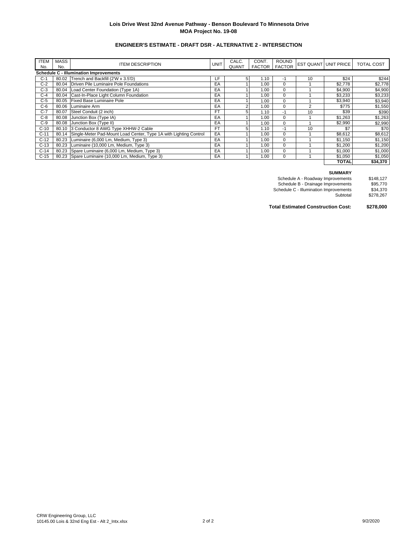# **ENGINEER'S ESTIMATE - DRAFT DSR - ALTERNATIVE 2 - INTERSECTION**

| <b>ITEM</b><br>No. | <b>MASS</b><br>No. | <b>ITEM DESCRIPTION</b>                                                 | <b>UNIT</b> | CALC.<br><b>QUANT</b> | CONT.<br><b>FACTOR</b> | <b>ROUND</b><br><b>FACTOR</b> |    | <b>EST QUANT UNIT PRICE</b> | <b>TOTAL COST</b> |
|--------------------|--------------------|-------------------------------------------------------------------------|-------------|-----------------------|------------------------|-------------------------------|----|-----------------------------|-------------------|
|                    |                    | <b>Schedule C - Illumination Improvements</b>                           |             |                       |                        |                               |    |                             |                   |
| $C-1$              |                    | 80.02 Trench and Backfill (2'W x 3.5'D)                                 | LF          | 5                     | 1.10                   | $-1$                          | 10 | \$24                        | \$244             |
| $C-2$              |                    | 80.04 Driven Pile Luminaire Pole Foundations                            | EA          |                       | 1.00                   | $\mathbf 0$                   |    | \$2,778                     | \$2,778           |
| $C-3$              |                    | 80.04 Load Center Foundation (Type 1A)                                  | EA          |                       | 1.00                   | $\mathbf 0$                   |    | \$4,900                     | \$4,900           |
| $C-4$              |                    | 80.04 Cast-In-Place Light Column Foundation                             | EA          |                       | 1.00                   | $\mathbf 0$                   |    | \$3,233                     | \$3,233           |
| $C-5$              |                    | 80.05 Fixed Base Luminaire Pole                                         | EA          |                       | 1.00                   | $\mathbf 0$                   |    | \$3,940                     | \$3,940           |
| $C-6$              |                    | 80.06 Luminaire Arm                                                     | EA          | $\sim$                | 1.00                   | $\mathbf 0$                   | 2  | \$775                       | \$1,550           |
| $C-7$              |                    | 80.07 Steel Conduit (2 inch)                                            | <b>FT</b>   |                       | 1.10                   | $-1$                          | 10 | \$39                        | \$390             |
| $C-8$              |                    | 80.08 Junction Box (Type IA)                                            | EA          |                       | 1.00                   | $\mathbf 0$                   |    | \$1,263                     | \$1,263           |
| $C-9$              |                    | 80.08 Junction Box (Type II)                                            | EA          |                       | 1.00                   | $\mathbf 0$                   |    | \$2,990                     | \$2,990           |
| $C-10$             |                    | 80.10 3 Conductor 8 AWG Type XHHW-2 Cable                               | <b>FT</b>   | 5                     | 1.10                   | $-1$                          | 10 | \$7                         | \$70              |
| $C-11$             |                    | 80.14 Single-Meter Pad-Mount Load Center, Type 1A with Lighting Control | EA          |                       | 1.00                   | $\mathbf 0$                   |    | \$8,612                     | \$8,612           |
| $C-12$             |                    | 80.23 Luminaire (6,000 Lm, Medium, Type 3)                              | EA          |                       | 1.00                   | $\mathbf 0$                   |    | \$1,150                     | \$1,150           |
| $C-13$             |                    | 80.23 Luminaire (10,000 Lm, Medium, Type 3)                             | EA          |                       | 1.00                   | $\mathbf 0$                   |    | \$1,200                     | \$1,200           |
| $C-14$             |                    | 80.23 Spare Luminaire (6,000 Lm, Medium, Type 3)                        | EA          |                       | 1.00                   | 0                             |    | \$1,000                     | \$1,000           |
| $C-15$             |                    | 80.23 Spare Luminaire (10,000 Lm, Medium, Type 3)                       | EA          |                       | 1.00                   | $\mathbf 0$                   |    | \$1,050                     | \$1,050           |
|                    |                    |                                                                         |             |                       |                        |                               |    | <b>TOTAL</b>                | \$34,370          |

#### **SUMMARY**

| Schedule A - Roadway Improvements      | \$148.127 |
|----------------------------------------|-----------|
| Schedule B - Drainage Improvements     | \$95,770  |
| Schedule C - Illumination Improvements | \$34,370  |
| Subtotal                               | \$278.267 |
|                                        |           |

**Total Estimated Construction Cost: \$278,000**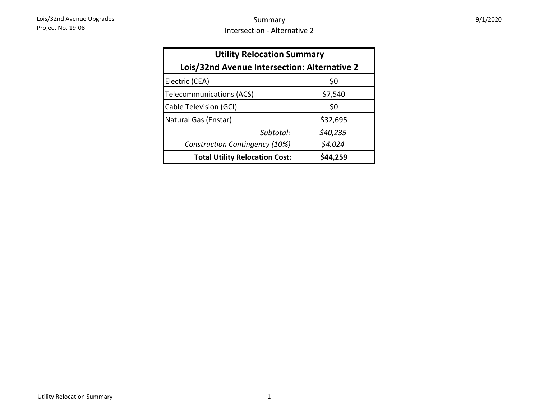| <b>Utility Relocation Summary</b>            |          |  |  |  |  |  |
|----------------------------------------------|----------|--|--|--|--|--|
| Lois/32nd Avenue Intersection: Alternative 2 |          |  |  |  |  |  |
| Electric (CEA)                               | \$0      |  |  |  |  |  |
| Telecommunications (ACS)                     | \$7,540  |  |  |  |  |  |
| Cable Television (GCI)                       | \$0      |  |  |  |  |  |
| Natural Gas (Enstar)                         | \$32,695 |  |  |  |  |  |
| Subtotal:                                    | \$40,235 |  |  |  |  |  |
| <b>Construction Contingency (10%)</b>        | \$4,024  |  |  |  |  |  |
| <b>Total Utility Relocation Cost:</b>        | \$44,259 |  |  |  |  |  |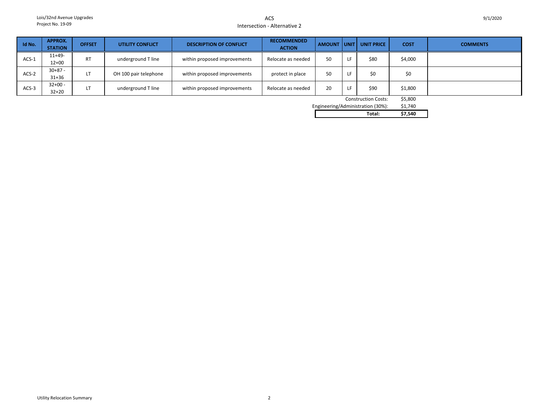ACSIntersection - Alternative 2

| Id No.                                                             | <b>APPROX.</b><br><b>STATION</b> | <b>OFFSET</b> | <b>UTILITY CONFLICT</b> | <b>DESCRIPTION OF CONFLICT</b> | <b>RECOMMENDED</b><br><b>ACTION</b> |    |                   | AMOUNT UNIT UNIT PRICE | <b>COST</b> | <b>COMMENTS</b> |
|--------------------------------------------------------------------|----------------------------------|---------------|-------------------------|--------------------------------|-------------------------------------|----|-------------------|------------------------|-------------|-----------------|
| $ACS-1$                                                            | $11+49-$<br>$12+00$              | <b>RT</b>     | underground T line      | within proposed improvements   | Relocate as needed                  | 50 | LF                | \$80                   | \$4,000     |                 |
| ACS-2                                                              | $30+87 -$<br>$31 + 36$           | LT            | OH 100 pair telephone   | within proposed improvements   | protect in place                    | 50 | LF                | \$0                    | \$0         |                 |
| $ACS-3$                                                            | $32+00 -$<br>$32 + 20$           | LT            | underground T line      | within proposed improvements   | Relocate as needed                  | 20 |                   | \$90                   | \$1,800     |                 |
| <b>Construction Costs:</b><br>Enainoorina/Administribution (200/). |                                  |               |                         |                                |                                     |    | \$5,800<br>61.710 |                        |             |                 |

Engineering/Administration (30%): \$1,740<br>Total: \$7,540 **Total: \$7,540**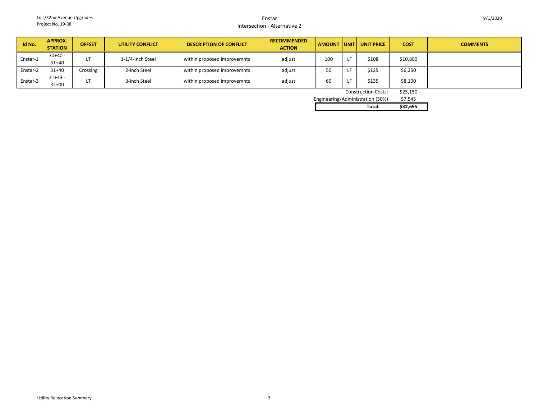#### EnstarIntersection - Alternative 2

| Id No.   | APPROX.<br><b>STATION</b> | <b>OFFSET</b> | <b>UTILITY CONFLICT</b> | <b>DESCRIPTION OF CONFLICT</b> | <b>RECOMMENDED</b><br><b>ACTION</b> | <b>AMOUNT</b> | <b>UNIT</b> | <b>UNIT PRICE</b> | <b>COST</b> | <b>COMMENTS</b> |
|----------|---------------------------|---------------|-------------------------|--------------------------------|-------------------------------------|---------------|-------------|-------------------|-------------|-----------------|
| Enstar-1 | $30+40 -$<br>$31+40$      |               | 1-1/4-Inch Steel        | within proposed improvemnts    | adjust                              | 100           |             | \$108             | \$10,800    |                 |
| Enstar-2 | $31 + 40$                 | Crossing      | 2-Inch Steel            | within proposed improvemnts    | adjust                              | 50            |             | \$125             | \$6,250     |                 |
| Enstar-3 | $31+43 -$<br>$32 + 00$    |               | 3-Inch Steel            | within proposed improvemnts    | adjust                              | 60            |             | \$135             | \$8,100     |                 |

Construction Costs: \$25,150

\$7.545 Engineering/Administration (30%)

|        | <b>7.10.00</b> |
|--------|----------------|
| Total: | \$32.695       |
|        |                |

9/1/2020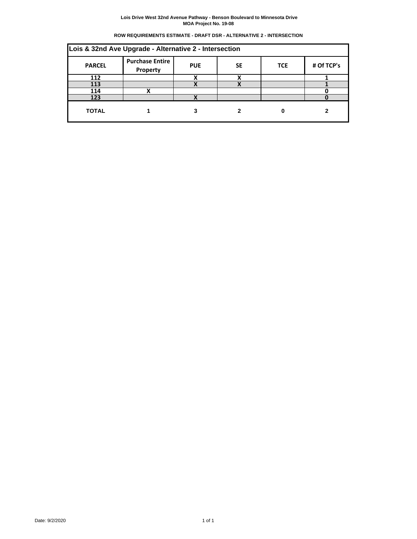|  | ROW REQUIREMENTS ESTIMATE - DRAFT DSR - ALTERNATIVE 2 - INTERSECTION |
|--|----------------------------------------------------------------------|
|  |                                                                      |

| Lois & 32nd Ave Upgrade - Alternative 2 - Intersection |                                    |            |           |            |            |  |  |  |  |
|--------------------------------------------------------|------------------------------------|------------|-----------|------------|------------|--|--|--|--|
| <b>PARCEL</b>                                          | <b>Purchase Entire</b><br>Property | <b>PUE</b> | <b>SE</b> | <b>TCE</b> | # Of TCP's |  |  |  |  |
| 112                                                    |                                    |            |           |            |            |  |  |  |  |
| 113                                                    |                                    |            |           |            |            |  |  |  |  |
| 114                                                    | v                                  |            |           |            |            |  |  |  |  |
| 123                                                    |                                    | v          |           |            |            |  |  |  |  |
| <b>TOTAL</b>                                           |                                    |            |           |            |            |  |  |  |  |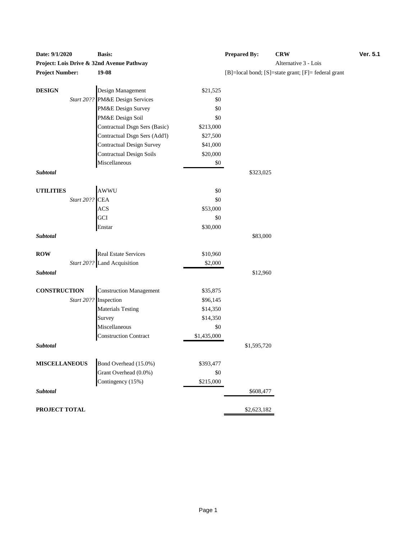| Date: 9/1/2020                            | Dasis:                                              |             | rrepared by:             | ĆВ  |
|-------------------------------------------|-----------------------------------------------------|-------------|--------------------------|-----|
| Project: Lois Drive & 32nd Avenue Pathway |                                                     |             |                          | Alt |
| <b>Project Number:</b>                    | 19-08                                               |             | [B]=local bond; [S]=stat |     |
| <b>DESIGN</b>                             | Design Management                                   | \$21,525    |                          |     |
|                                           | Start 20?? PM&E Design Services                     | \$0         |                          |     |
|                                           | PM&E Design Survey                                  | \$0         |                          |     |
|                                           | PM&E Design Soil                                    | \$0         |                          |     |
|                                           | Contractual Dsgn Sers (Basic)                       | \$213,000   |                          |     |
|                                           | Contractual Dsgn Sers (Add'l)                       | \$27,500    |                          |     |
|                                           | <b>Contractual Design Survey</b>                    | \$41,000    |                          |     |
|                                           | <b>Contractual Design Soils</b>                     | \$20,000    |                          |     |
|                                           | Miscellaneous                                       | \$0         |                          |     |
| Subtotal                                  |                                                     |             | \$323,025                |     |
| <b>UTILITIES</b>                          |                                                     | \$0         |                          |     |
| AWWU<br>Start 20?? CEA<br>ACS<br>GCI      |                                                     | \$0         |                          |     |
|                                           |                                                     | \$53,000    |                          |     |
|                                           |                                                     | \$0         |                          |     |
|                                           | Enstar                                              | \$30,000    |                          |     |
| Subtotal                                  |                                                     |             | \$83,000                 |     |
| <b>ROW</b>                                |                                                     | \$10,960    |                          |     |
|                                           | Real Estate Services<br>Start 20?? Land Acquisition | \$2,000     |                          |     |
| Subtotal                                  |                                                     |             | \$12,960                 |     |
| <b>CONSTRUCTION</b>                       | <b>Construction Management</b>                      | \$35,875    |                          |     |
|                                           | Start 20?? Inspection                               | \$96,145    |                          |     |
|                                           | <b>Materials Testing</b>                            | \$14,350    |                          |     |
|                                           | Survey                                              | \$14,350    |                          |     |
|                                           | Miscellaneous                                       | \$0         |                          |     |
|                                           | <b>Construction Contract</b>                        | \$1,435,000 |                          |     |
| Subtotal                                  |                                                     |             | \$1,595,720              |     |
| <b>MISCELLANEOUS</b>                      | Bond Overhead (15.0%)                               | \$393,477   |                          |     |
|                                           | Grant Overhead (0.0%)                               | \$0         |                          |     |
|                                           | Contingency (15%)                                   | \$215,000   |                          |     |
| Subtotal                                  |                                                     |             | \$608,477                |     |
| PROJECT TOTAL                             |                                                     |             | \$2,623,182              |     |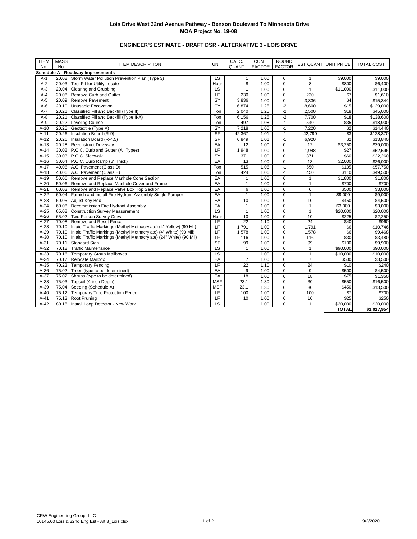# **ENGINEER'S ESTIMATE - DRAFT DSR - ALTERNATIVE 3 - LOIS DRIVE**

| <b>ITEM</b><br>No. | <b>MASS</b><br>No. | <b>ITEM DESCRIPTION</b>                                                    | <b>UNIT</b>              | CALC.<br>QUANT  | CONT.<br><b>FACTOR</b> | <b>ROUND</b><br><b>FACTOR</b> |                 | <b>EST QUANT UNIT PRICE</b> | <b>TOTAL COST</b>   |
|--------------------|--------------------|----------------------------------------------------------------------------|--------------------------|-----------------|------------------------|-------------------------------|-----------------|-----------------------------|---------------------|
|                    |                    | Schedule A - Roadway Improvements                                          |                          |                 |                        |                               |                 |                             |                     |
| $A-1$              |                    | 20.02 Storm Water Pollution Prevention Plan (Type 3)                       | LS                       | $\mathbf{1}$    | 1.00                   | $\mathbf 0$                   | $\mathbf{1}$    | \$9,000                     | \$9,000             |
| $A-2$              | 20.03              | <b>Test Pit for Utility Locate</b>                                         | Hour                     | 8               | 1.00                   | $\mathbf 0$                   | 8               | \$800                       | \$6,400             |
| $A-3$              | 20.04              | Clearing and Grubbing                                                      | $\overline{\mathsf{LS}}$ | $\mathbf{1}$    | 1.00                   | $\mathbf 0$                   | $\mathbf{1}$    | \$11,000                    | \$11,000            |
| $A-4$              | 20.08              | Remove Curb and Gutter                                                     | LF                       | 230             | 1.00                   | $\Omega$                      | 230             | $\sqrt{57}$                 | \$1,610             |
| $A-5$              | 20.09              | Remove Pavement                                                            | SY                       | 3,836           | 1.00                   | $\pmb{0}$                     | 3,836           | \$4                         | \$15,344            |
| $A-6$              | 20.10              | Unusable Excavation                                                        | CY                       | 6.874           | 1.25                   | $-2$                          | 8,600           | \$15                        | \$129,000           |
| $A-7$              | 20.21              | Classified Fill and Backfill (Type II)                                     | Ton                      | 2,040           | 1.25                   | $-2$                          | 2,500           | \$18                        | \$45,000            |
| $A-8$              | 20.21              | Classified Fill and Backfill (Type II-A)                                   | Ton                      | 6,156           | 1.25                   | $-2$                          | 7,700           | \$18                        | \$138,600           |
| $A-9$              | 20.22              | Leveling Course                                                            | Ton                      | 497             | 1.08                   | $-1$                          | 540             | \$35                        | \$18,900            |
| $A-10$             | 20.25              | Geotextile (Type A)                                                        | $\overline{SY}$          | 7,218           | 1.00                   | $-1$                          | 7,220           | \$2                         | \$14,440            |
| $A-11$             | 20.26              | Insulation Board (R-9)                                                     | S <sub>F</sub>           | 42,367          | 1.01                   | $-1$                          | 42.790          | \$3                         | \$128.370           |
| $A-12$             | 20.26              | Insulation Board (R-4.5)                                                   | SF                       | 6,849           | 1.01                   | $-1$                          | 6,920           | $\overline{32}$             | \$13,840            |
| $A-13$             | 20.28              | <b>Reconstruct Driveway</b>                                                | EA                       | 12              | 1.00                   | $\mathbf 0$                   | 12              | \$3,250                     | \$39,000            |
| $A-14$             | 30.02              | P.C.C. Curb and Gutter (All Types)                                         | LF                       | 1.948           | 1.00                   | $\mathbf 0$                   | 1,948           | \$27                        | \$52,596            |
| $A-15$             |                    | 30.03 P.C.C. Sidewalk                                                      | $\overline{SY}$          | 371             | 1.00                   | $\mathbf 0$                   | 371             | \$60                        | \$22,260            |
| $A-16$             |                    | 30.04 P.C.C. Curb Ramp (6" Thick)                                          | EA                       | 13              | 1.00                   | $\mathbf 0$                   | 13              | \$2,000                     | \$26,000            |
| $A-17$             | 40.06              | A.C. Pavement (Class D)                                                    | Ton                      | 515             | 1.06                   | $-1$                          | 550             | \$105                       | \$57,750            |
| $A-18$             | 40.06              | A.C. Pavement (Class E)                                                    | Ton                      | 424             | 1.06                   | $-1$                          | 450             | \$110                       | \$49,500            |
| $A-19$             | 50.06              | Remove and Replace Manhole Cone Section                                    | EA                       | $\mathbf{1}$    | 1.00                   | $\mathbf 0$                   | $\mathbf{1}$    | \$1,800                     | \$1,800             |
| $A-20$             | 50.06              | Remove and Replace Manhole Cover and Frame                                 | EA                       | $\mathbf{1}$    | 1.00                   | $\mathbf 0$                   | $\mathbf{1}$    | \$700                       | \$700               |
| $A-21$             |                    | 60.03 Remove and Replace Valve Box Top Section                             | EA                       | 6               | 1.00                   | $\overline{0}$                | 6               | \$500                       | \$3,000             |
| $A-22$             | 60.04              | Furnish and Install Fire Hydrant Assembly Single Pumper                    | EA                       | $\mathbf{1}$    | 1.00                   | $\overline{0}$                | $\mathbf{1}$    | $\overline{$}9,000$         | \$9.000             |
| $A-23$             |                    | 60.05 Adjust Key Box                                                       | EA                       | 10              | 1.00                   | $\overline{0}$                | 10              | \$450                       | \$4,500             |
| $A-24$             | 60.08              | Decommission Fire Hydrant Assembly                                         | EA                       | $\mathbf{1}$    | 1.00                   | $\mathbf 0$                   | $\mathbf{1}$    | \$3,000                     | \$3,000             |
| $A-25$             | 65.02              | Construction Survey Measurement                                            | $\overline{\mathsf{LS}}$ | $\mathbf{1}$    | 1.00                   | $\Omega$                      | $\mathbf{1}$    | \$20,000                    | \$20,000            |
| $A-26$             | 65.02              | Two-Person Survey Crew                                                     | Hour                     | 10              | 1.00                   | $\Omega$                      | 10              | \$225                       | \$2,250             |
| $A-27$             | 70.08              | Remove and Reset Fence                                                     | LF                       | 22              | 1.10                   | $\overline{0}$                | $\overline{24}$ | \$40                        | \$960               |
| $A-28$             |                    | 70.10 Inlaid Traffic Markings (Methyl Methacrylate) (4" Yellow) (90 Mil)   | LF                       | 1,791           | 1.00                   | $\mathbf 0$                   | 1,791           | \$6                         | \$10,746            |
| $A-29$             | 70.10              | Inlaid Traffic Markings (Methyl Methacrylate) (4" White) (90 Mil)          | LF                       | 1,578           | 1.00                   | $\mathbf 0$                   | 1,578           | \$6                         | $\overline{$9,468}$ |
| $A-30$             |                    | 70.10   Inlaid Traffic Markings (Methyl Methacrylate) (24" White) (90 Mil) | LF                       | 116             | 1.00                   | $\mathbf 0$                   | 116             | \$30                        | \$3,480             |
| $A-31$             | 70.11              | <b>Standard Sign</b>                                                       | <b>SF</b>                | 99              | 1.00                   | $\mathbf 0$                   | 99              | \$100                       | \$9,900             |
| $A-32$             | 70.12              | <b>Traffic Maintenance</b>                                                 | LS                       | $\mathbf{1}$    | 1.00                   | $\mathbf 0$                   | $\mathbf{1}$    | \$90,000                    | \$90,000            |
| $A-33$             | 70.16              | <b>Temporary Group Mailboxes</b>                                           | <b>LS</b>                | $\overline{1}$  | 1.00                   | $\mathbf 0$                   | $\mathbf{1}$    | \$10,000                    | \$10,000            |
| $A-34$             | 70.17              | Relocate Mailbox                                                           | EA                       | $\overline{7}$  | 1.00                   | $\mathbf 0$                   | $\overline{7}$  | \$500                       | \$3,500             |
| $A-35$             | 70.23              | <b>Temporary Fencing</b>                                                   | LF                       | $\overline{22}$ | 1.10                   | $\mathbf 0$                   | 24              | \$10                        | \$240               |
| $A-36$             | 75.02              | Trees (type to be determined)                                              | EA                       | $\overline{9}$  | 1.00                   | $\mathbf 0$                   | 9               | \$500                       | \$4,500             |
| $A-37$             | 75.02              | Shrubs (type to be determined)                                             | EA                       | 18              | 1.00                   | $\mathbf 0$                   | 18              | $\overline{$75}$            | \$1,350             |
| $A-38$             | 75.03              | Topsoil (4-inch Depth)                                                     | <b>MSF</b>               | 23.1            | 1.30                   | $\overline{0}$                | 30              | \$550                       | \$16,500            |
| $A-39$             | 75.04              | Seeding (Schedule A)                                                       | <b>MSF</b>               | 23.1            | 1.30                   | $\mathbf 0$                   | 30              | \$450                       | \$13,500            |
| $A-40$             | 75.12              | <b>Temporary Tree Protection Fence</b>                                     | LF                       | 100             | 1.00                   | $\Omega$                      | 100             | \$7                         | \$700               |
| $A-41$             | 75.13              | Root Pruning                                                               | LF                       | 10              | 1.00                   | $\pmb{0}$                     | 10              | \$25                        | \$250               |
| $A-42$             | 80.18              | Install Loop Detector - New Work                                           | $\overline{\mathsf{LS}}$ | $\mathbf{1}$    | 1.00                   | $\Omega$                      | $\mathbf{1}$    | \$20.000                    | \$20,000            |
|                    |                    |                                                                            |                          |                 |                        |                               |                 | <b>TOTAL</b>                | \$1,017,954         |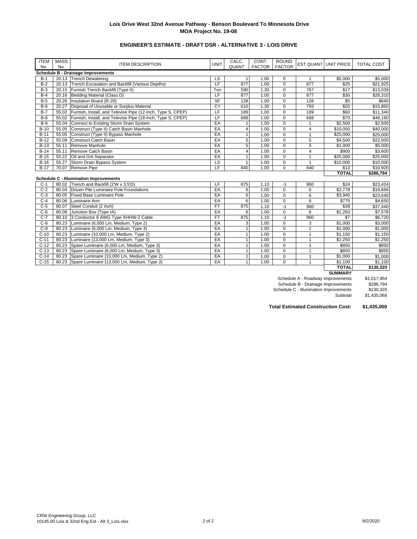# **ENGINEER'S ESTIMATE - DRAFT DSR - ALTERNATIVE 3 - LOIS DRIVE**

| <b>ITEM</b> | <b>MASS</b> |                                                             | <b>UNIT</b>              | CALC.          | CONT.         | <b>ROUND</b>   |                | <b>EST QUANT UNIT PRICE</b> | <b>TOTAL COST</b> |
|-------------|-------------|-------------------------------------------------------------|--------------------------|----------------|---------------|----------------|----------------|-----------------------------|-------------------|
| No.         | No.         | <b>ITEM DESCRIPTION</b>                                     |                          | QUANT          | <b>FACTOR</b> | <b>FACTOR</b>  |                |                             |                   |
|             |             | <b>Schedule B - Drainage Improvements</b>                   |                          |                |               |                |                |                             |                   |
| $B-1$       |             | 20.13 Trench Dewatering                                     | LS                       |                | 1.00          | 0              | $\overline{1}$ | \$5,000                     | \$5,000           |
| $B-2$       | 20.13       | Trench Excavation and Backfill (Various Depths)             | LF                       | 877            | 1.00          | $\mathbf 0$    | 877            | \$25                        | \$21,925          |
| $B-3$       | 20.15       | Furnish Trench Backfill (Type II)                           | Ton                      | 590            | 1.30          | $\Omega$       | 767            | \$17                        | \$13,039          |
| $B-4$       | 20.16       | Bedding Material (Class D)                                  | LF                       | 877            | 1.00          | $\mathbf 0$    | 877            | \$30                        | \$26,310          |
| $B-5$       | 20.26       | Insulation Board (R-20)                                     | <b>SF</b>                | 128            | 1.00          | $\mathbf 0$    | 128            | \$5                         | \$640             |
| $B-6$       | 20.27       | Disposal of Unusable or Surplus Material                    | CY                       | 610            | 1.30          | $\mathbf 0$    | 793            | \$20                        | \$15,860          |
| $B-7$       | 55.02       | Furnish, Install, and Televise Pipe (12-Inch, Type S, CPEP) | LF                       | 189            | 1.00          | $\mathbf 0$    | 189            | \$60                        | \$11,340          |
| $B-8$       | 55.02       | Furnish, Install, and Televise Pipe (18-Inch, Type S, CPEP) | LF                       | 688            | 1.00          | $\mathbf 0$    | 688            | \$70                        | \$48,160          |
| $B-9$       | 55.04       | Connect to Existing Storm Drain System                      | EA                       |                | 1.00          | $\mathbf 0$    | 1              | \$2,500                     | \$2,500           |
| $B-10$      | 55.05       | Construct (Type II) Catch Basin Manhole                     | EA                       | $\overline{4}$ | 1.00          | $\mathbf 0$    | 4              | \$10,000                    | \$40,000          |
| $B-11$      | 55.05       | Construct (Type II) Bypass Manhole                          | EA                       | 1              | 1.00          | $\mathbf 0$    | $\mathbf{1}$   | \$25,000                    | \$25,000          |
| $B-12$      | 55.09       | Construct Catch Basin                                       | EA                       | 5              | 1.00          | $\mathbf 0$    | 5              | \$4,500                     | \$22,500          |
| $B-13$      | 55.11       | Remove Manhole                                              | EA                       | $\overline{5}$ | 1.00          | $\mathbf 0$    | $\overline{5}$ | \$1.000                     | \$5,000           |
| $B-14$      | 55.11       | Remove Catch Basin                                          | EA                       | $\overline{4}$ | 1.00          | $\mathbf 0$    | 4              | \$900                       | \$3,600           |
| $B-15$      | 55.22       | Oil and Grit Separator                                      | EA                       | $\mathbf{1}$   | 1.00          | $\mathbf 0$    | $\mathbf{1}$   | \$25,000                    | \$25,000          |
| $B-16$      | 55.27       | Storm Drain Bypass System                                   | $\overline{\mathsf{LS}}$ | $\mathbf{1}$   | 1.00          | $\mathbf 0$    | $\mathbf{1}$   | \$10,000                    | \$10,000          |
| $B-17$      |             | 70.07 Remove Pipe                                           | LF                       | 840            | 1.00          | $\Omega$       | 840            | \$13                        | \$10,920          |
|             |             |                                                             |                          |                |               |                |                | <b>TOTAL</b>                | \$286,794         |
|             |             | <b>Schedule C - Illumination Improvements</b>               |                          |                |               |                |                |                             |                   |
| $C-1$       |             | 80.02 Trench and Backfill (2'W x 3.5'D)                     | LF                       | 875            | 1.10          | $-1$           | 960            | \$24                        | \$23,424          |
| $C-2$       | 80.04       | Driven Pile Luminaire Pole Foundations                      | EA                       | 6              | 1.00          | $\mathbf 0$    | 6              | \$2,778                     | \$16,668          |
| $C-3$       | 80.05       | <b>Fixed Base Luminaire Pole</b>                            | EA                       | 6              | 1.00          | $\mathbf 0$    | 6              | \$3,940                     | \$23,640          |
| $C-4$       | 80.06       | Luminaire Arm                                               | EA                       | 6              | 1.00          | $\mathbf 0$    | 6              | \$775                       | \$4,650           |
| $C-5$       | 80.07       | Steel Conduit (2 inch)                                      | <b>FT</b>                | 875            | 1.10          | $-1$           | 960            | \$39                        | \$37,440          |
| $C-6$       | 80.08       | Junction Box (Type IA)                                      | EA                       | 6              | 1.00          | $\mathbf 0$    | 6              | \$1,263                     | \$7,578           |
| $C-7$       | 80.10       | 3 Conductor 8 AWG Type XHHW-2 Cable                         | <b>FT</b>                | 875            | 1.10          | $-1$           | 960            | \$7                         | \$6,720           |
| $C-8$       | 80.23       | Luminaire (6,000 Lm, Medium, Type 2)                        | EA                       | 3              | 1.00          | $\mathbf 0$    | 3              | \$1,000                     | \$3,000           |
| $C-9$       | 80.23       | Luminaire (6,000 Lm, Medium, Type 3)                        | EA                       | 1              | 1.00          | $\mathbf 0$    | 1              | \$1,000                     | \$1,000           |
| $C-10$      | 80.23       | Luminaire (10,000 Lm, Medium, Type 2)                       | EA                       | 1              | 1.00          | $\mathbf 0$    | 1              | \$1,150                     | \$1,150           |
| $C-11$      | 80.23       | Luminaire (13,000 Lm, Medium, Type 3)                       | EA                       |                | 1.00          | $\mathbf 0$    | 1              | \$1,250                     | \$1,250           |
| $C-12$      | 80.23       | Spare Luminaire (6,000 Lm, Medium, Type 3)                  | EA                       |                | 1.00          | $\mathbf 0$    |                | \$850                       | \$850             |
| $C-13$      | 80.23       | Spare Luminaire (6,000 Lm, Medium, Type 3)                  | EA                       | 1              | 1.00          | $\overline{0}$ | 1              | \$850                       | \$850             |
| $C-14$      | 80.23       | Spare Luminaire (10,000 Lm, Medium, Type 2)                 | EA                       |                | 1.00          | $\overline{0}$ | 1              | \$1,000                     | \$1,000           |
| $C-15$      | 80.23       | Spare Luminaire (13,000 Lm, Medium, Type 3)                 | EA                       | $\overline{1}$ | 1.00          | $\Omega$       | $\mathbf{1}$   | \$1,100                     | \$1,100           |
|             |             |                                                             |                          |                |               |                |                | <b>TOTAL</b>                | \$130,320         |

**SUMMARY**

Schedule A - Roadway Improvements \$1,017,954<br>Schedule B - Drainage Improvements \$286,794 Schedule B - Drainage Improvements Schedule C - Illumination Improvements<br>Subtotal  $$130,320$ <br> $$1,435,068$ 

**Total Estimated Construction Cost: \$1,435,000**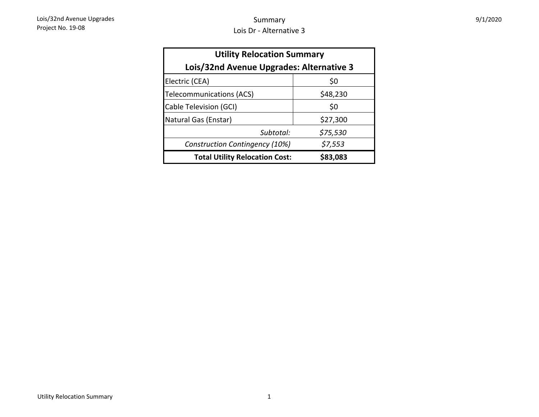| 9/1/2020 |  |
|----------|--|
|----------|--|

| <b>Utility Relocation Summary</b>        |          |  |  |  |  |  |  |  |
|------------------------------------------|----------|--|--|--|--|--|--|--|
| Lois/32nd Avenue Upgrades: Alternative 3 |          |  |  |  |  |  |  |  |
| Electric (CEA)                           | \$0      |  |  |  |  |  |  |  |
| <b>Telecommunications (ACS)</b>          | \$48,230 |  |  |  |  |  |  |  |
| Cable Television (GCI)                   | \$0      |  |  |  |  |  |  |  |
| Natural Gas (Enstar)                     | \$27,300 |  |  |  |  |  |  |  |
| Subtotal:                                | \$75,530 |  |  |  |  |  |  |  |
| Construction Contingency (10%)           | \$7,553  |  |  |  |  |  |  |  |
| <b>Total Utility Relocation Cost:</b>    | \$83,083 |  |  |  |  |  |  |  |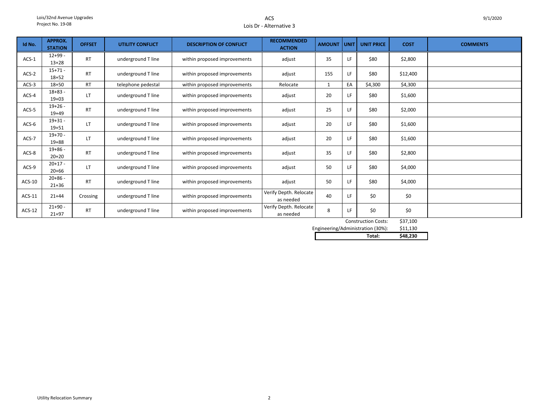#### ACSLois Dr - Alternative 3

| Id No.   | <b>APPROX.</b><br><b>STATION</b> | <b>OFFSET</b> | <b>UTILITY CONFLICT</b> | <b>DESCRIPTION OF CONFLICT</b> | <b>RECOMMENDED</b><br><b>ACTION</b> | <b>AMOUNT</b> | UNIT <sub>I</sub> | <b>UNIT PRICE</b> | <b>COST</b> | <b>COMMENTS</b> |
|----------|----------------------------------|---------------|-------------------------|--------------------------------|-------------------------------------|---------------|-------------------|-------------------|-------------|-----------------|
| $ACS-1$  | $12+99-$<br>$13 + 28$            | <b>RT</b>     | underground T line      | within proposed improvements   | adjust                              | 35            | LF.               | \$80              | \$2,800     |                 |
| $ACS-2$  | $15+71 -$<br>$18 + 52$           | <b>RT</b>     | underground T line      | within proposed improvements   | adjust                              | 155           | LF.               | \$80              | \$12,400    |                 |
| $ACS-3$  | $18 + 50$                        | <b>RT</b>     | telephone pedestal      | within proposed improvements   | Relocate                            | $\mathbf{1}$  | EA                | \$4,300           | \$4,300     |                 |
| ACS-4    | $18 + 83 -$<br>$19+03$           | <b>LT</b>     | underground T line      | within proposed improvements   | adjust                              | 20            | LF                | \$80              | \$1,600     |                 |
| $ACS-5$  | $19+26 -$<br>$19+49$             | <b>RT</b>     | underground T line      | within proposed improvements   | adjust                              | 25            | LF                | \$80              | \$2,000     |                 |
| ACS-6    | $19 + 31 -$<br>$19 + 51$         | LT            | underground T line      | within proposed improvements   | adjust                              | 20            | LF.               | \$80              | \$1,600     |                 |
| ACS-7    | $19+70 -$<br>$19 + 88$           | LT            | underground T line      | within proposed improvements   | adjust                              | 20            | LF.               | \$80              | \$1,600     |                 |
| ACS-8    | $19+86 -$<br>$20+20$             | <b>RT</b>     | underground T line      | within proposed improvements   | adjust                              | 35            | LF                | \$80              | \$2,800     |                 |
| ACS-9    | $20+17 -$<br>$20 + 66$           | LT            | underground T line      | within proposed improvements   | adjust                              | 50            | LF                | \$80              | \$4,000     |                 |
| $ACS-10$ | $20+86 -$<br>$21 + 36$           | <b>RT</b>     | underground T line      | within proposed improvements   | adjust                              | 50            | LF.               | \$80              | \$4,000     |                 |
| ACS-11   | $21 + 44$                        | Crossing      | underground T line      | within proposed improvements   | Verify Depth. Relocate<br>as needed | 40            | LF.               | \$0               | \$0         |                 |
| $ACS-12$ | $21 + 90 -$<br>$21+97$           | <b>RT</b>     | underground T line      | within proposed improvements   | Verify Depth. Relocate<br>as needed | 8             | LF.               | \$0               | \$0         |                 |

Construction Costs: \$37,100

\$11,130 Engineering/Administration (30%):

**Total: \$48,230**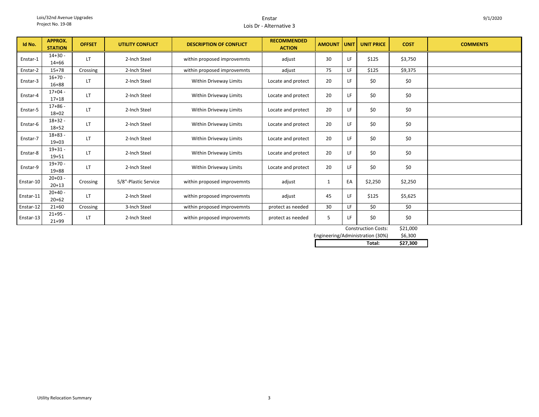#### EnstarLois Dr - Alternative 3

| Id No.    | <b>APPROX.</b><br><b>STATION</b> | <b>OFFSET</b> | <b>UTILITY CONFLICT</b> | <b>DESCRIPTION OF CONFLICT</b> | <b>RECOMMENDED</b><br><b>ACTION</b> | <b>AMOUNT</b> | <b>UNIT</b> | <b>UNIT PRICE</b>         | <b>COST</b>    | <b>COMMENTS</b> |
|-----------|----------------------------------|---------------|-------------------------|--------------------------------|-------------------------------------|---------------|-------------|---------------------------|----------------|-----------------|
| Enstar-1  | $14 + 30 -$<br>$14 + 66$         | LT            | 2-Inch Steel            | within proposed improvemnts    | adjust                              | 30            | LF          | \$125                     | \$3,750        |                 |
| Enstar-2  | $15+78$                          | Crossing      | 2-Inch Steel            | within proposed improvemnts    | adjust                              | 75            | LF          | \$125                     | \$9,375        |                 |
| Enstar-3  | $16+70 -$<br>$16 + 88$           | LT            | 2-Inch Steel            | Within Driveway Limits         | Locate and protect                  | 20            | LF          | \$0                       | \$0            |                 |
| Enstar-4  | $17+04 -$<br>$17 + 18$           | LT            | 2-Inch Steel            | Within Driveway Limits         | Locate and protect                  | 20            | LF          | \$0                       | \$0            |                 |
| Enstar-5  | $17 + 86 -$<br>$18 + 02$         | LT            | 2-Inch Steel            | Within Driveway Limits         | Locate and protect                  | 20            | LF          | \$0                       | \$0            |                 |
| Enstar-6  | $18 + 32 -$<br>$18 + 52$         | LT            | 2-Inch Steel            | Within Driveway Limits         | Locate and protect                  | 20            | LF.         | \$0                       | \$0            |                 |
| Enstar-7  | $18 + 83 -$<br>$19+03$           | LT            | 2-Inch Steel            | Within Driveway Limits         | Locate and protect                  | 20            | LF          | \$0                       | \$0            |                 |
| Enstar-8  | $19 + 31 -$<br>$19 + 51$         | LT            | 2-Inch Steel            | Within Driveway Limits         | Locate and protect                  | 20            | LF          | \$0                       | \$0            |                 |
| Enstar-9  | $19+70 -$<br>$19 + 88$           | LT            | 2-Inch Steel            | Within Driveway Limits         | Locate and protect                  | 20            | LF          | \$0                       | \$0            |                 |
| Enstar-10 | $20+03 -$<br>$20 + 13$           | Crossing      | 5/8"-Plastic Service    | within proposed improvemnts    | adjust                              | 1             | EA          | \$2,250                   | \$2,250        |                 |
| Enstar-11 | $20+40 -$<br>$20+62$             | <b>LT</b>     | 2-Inch Steel            | within proposed improvemnts    | adjust                              | 45            | LF          | \$125                     | \$5,625        |                 |
| Enstar-12 | $21+60$                          | Crossing      | 3-Inch Steel            | within proposed improvemnts    | protect as needed                   | 30            | LF.         | \$0                       | \$0            |                 |
| Enstar-13 | $21+95 -$<br>$21 + 99$           | ЦT            | 2-Inch Steel            | within proposed improvemnts    | protect as needed                   | 5             | LF          | \$0<br>Construction Costs | \$0<br>621.000 |                 |

Construction Costs: \$21,000\$6,300 Engineering/Administration (30%) **Total: \$27,300**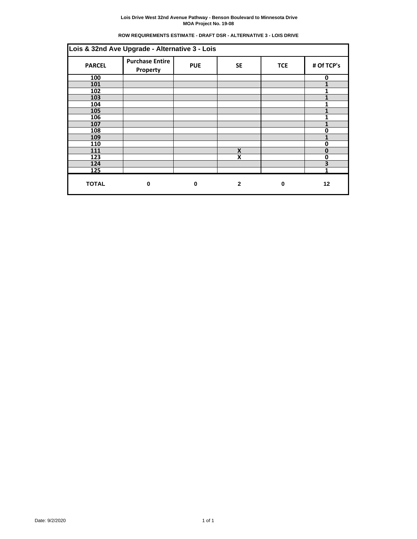# **ROW REQUIREMENTS ESTIMATE - DRAFT DSR - ALTERNATIVE 3 - LOIS DRIVE**

| Lois & 32nd Ave Upgrade - Alternative 3 - Lois |                                    |            |              |            |                         |  |  |  |
|------------------------------------------------|------------------------------------|------------|--------------|------------|-------------------------|--|--|--|
| <b>PARCEL</b>                                  | <b>Purchase Entire</b><br>Property | <b>PUE</b> | <b>SE</b>    | <b>TCE</b> | # Of TCP's              |  |  |  |
| 100                                            |                                    |            |              |            | 0                       |  |  |  |
| 101                                            |                                    |            |              |            |                         |  |  |  |
| 102                                            |                                    |            |              |            | 1                       |  |  |  |
| 103                                            |                                    |            |              |            | 1                       |  |  |  |
| 104                                            |                                    |            |              |            |                         |  |  |  |
| 105                                            |                                    |            |              |            |                         |  |  |  |
| 106                                            |                                    |            |              |            |                         |  |  |  |
| 107                                            |                                    |            |              |            |                         |  |  |  |
| 108                                            |                                    |            |              |            | 0                       |  |  |  |
| 109                                            |                                    |            |              |            |                         |  |  |  |
| 110                                            |                                    |            |              |            | $\mathbf 0$             |  |  |  |
| 111                                            |                                    |            | X            |            | $\bf{0}$                |  |  |  |
| 123                                            |                                    |            | X            |            | 0                       |  |  |  |
| 124                                            |                                    |            |              |            | $\overline{\mathbf{3}}$ |  |  |  |
| 125                                            |                                    |            |              |            |                         |  |  |  |
| <b>TOTAL</b>                                   | $\bf{0}$                           | 0          | $\mathbf{2}$ | 0          | 12                      |  |  |  |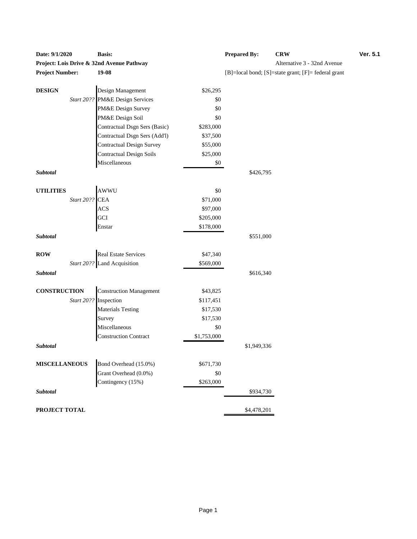| Daw. 3/1/2020          |            | рамм.                                                |             | 1 repared by. | <b>UNIV</b>                                         |  |
|------------------------|------------|------------------------------------------------------|-------------|---------------|-----------------------------------------------------|--|
|                        |            | Project: Lois Drive & 32nd Avenue Pathway            |             |               | Alternative 3 - 32nd Avenue                         |  |
| <b>Project Number:</b> |            | 19-08                                                |             |               | [B]=local bond; [S]=state grant; [F]= federal grant |  |
|                        |            |                                                      |             |               |                                                     |  |
| <b>DESIGN</b>          |            | Design Management<br>Start 20?? PM&E Design Services | \$26,295    |               |                                                     |  |
|                        |            |                                                      | \$0         |               |                                                     |  |
|                        |            | PM&E Design Survey                                   | \$0         |               |                                                     |  |
|                        |            | PM&E Design Soil                                     | \$0         |               |                                                     |  |
|                        |            | Contractual Dsgn Sers (Basic)                        | \$283,000   |               |                                                     |  |
|                        |            | Contractual Dsgn Sers (Add'l)                        | \$37,500    |               |                                                     |  |
|                        |            | Contractual Design Survey                            | \$55,000    |               |                                                     |  |
|                        |            | <b>Contractual Design Soils</b>                      | \$25,000    |               |                                                     |  |
|                        |            | Miscellaneous                                        | \$0         |               |                                                     |  |
| Subtotal               |            |                                                      |             | \$426,795     |                                                     |  |
| <b>UTILITIES</b>       |            | AWWU                                                 | \$0         |               |                                                     |  |
|                        | Start 20?? | <b>CEA</b>                                           | \$71,000    |               |                                                     |  |
|                        |            | <b>ACS</b>                                           | \$97,000    |               |                                                     |  |
|                        |            | GCI                                                  | \$205,000   |               |                                                     |  |
|                        |            | Enstar                                               | \$178,000   |               |                                                     |  |
| Subtotal               |            |                                                      |             | \$551,000     |                                                     |  |
| <b>ROW</b>             |            | <b>Real Estate Services</b>                          | \$47,340    |               |                                                     |  |
|                        |            | Start 20?? Land Acquisition                          | \$569,000   |               |                                                     |  |
| Subtotal               |            |                                                      |             | \$616,340     |                                                     |  |
|                        |            |                                                      |             |               |                                                     |  |
| <b>CONSTRUCTION</b>    |            | <b>Construction Management</b>                       | \$43,825    |               |                                                     |  |
|                        | Start 20?? | Inspection                                           | \$117,451   |               |                                                     |  |
|                        |            | <b>Materials Testing</b>                             | \$17,530    |               |                                                     |  |
|                        |            | Survey                                               | \$17,530    |               |                                                     |  |
|                        |            | Miscellaneous                                        | \$0         |               |                                                     |  |
|                        |            | <b>Construction Contract</b>                         | \$1,753,000 |               |                                                     |  |
| Subtotal               |            |                                                      |             | \$1,949,336   |                                                     |  |
| <b>MISCELLANEOUS</b>   |            | Bond Overhead (15.0%)                                | \$671,730   |               |                                                     |  |
|                        |            | Grant Overhead (0.0%)                                | \$0         |               |                                                     |  |
|                        |            | Contingency (15%)                                    | \$263,000   |               |                                                     |  |
| Subtotal               |            |                                                      |             | \$934,730     |                                                     |  |
|                        |            |                                                      |             |               |                                                     |  |
| PROJECT TOTAL          |            |                                                      |             | \$4,478,201   |                                                     |  |

| <b>Date: 9/1/2020</b>  | <b>Basis:</b>                             | <b>Prepared By:</b>                                              | <b>CRW</b> | <b>Ver. 5.1</b> |  |  |  |
|------------------------|-------------------------------------------|------------------------------------------------------------------|------------|-----------------|--|--|--|
|                        | Project: Lois Drive & 32nd Avenue Pathway | Alternative 3 - 32nd Avenue                                      |            |                 |  |  |  |
| <b>Project Number:</b> | 19-08                                     | $[B] = local bond$ ; $[S] = state grant$ ; $[F] = federal grant$ |            |                 |  |  |  |
|                        |                                           |                                                                  |            |                 |  |  |  |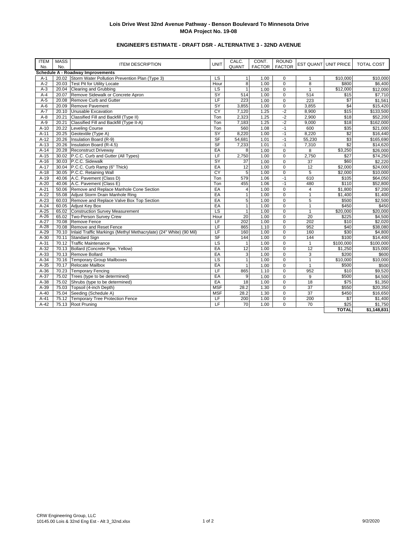# **ENGINEER'S ESTIMATE - DRAFT DSR - ALTERNATIVE 3 - 32ND AVENUE**

| <b>ITEM</b><br>No. | <b>MASS</b><br>No. | <b>ITEM DESCRIPTION</b>                                            | <b>UNIT</b>              | CALC.<br>QUANT  | CONT.<br><b>FACTOR</b> | <b>ROUND</b><br><b>FACTOR</b> |                 | EST QUANT UNIT PRICE | <b>TOTAL COST</b>   |
|--------------------|--------------------|--------------------------------------------------------------------|--------------------------|-----------------|------------------------|-------------------------------|-----------------|----------------------|---------------------|
|                    |                    | Schedule A - Roadway Improvements                                  |                          |                 |                        |                               |                 |                      |                     |
| $A-1$              |                    | 20.02 Storm Water Pollution Prevention Plan (Type 3)               | <b>LS</b>                | $\mathbf{1}$    | 1.00                   | $\mathbf 0$                   | $\mathbf{1}$    | \$10,000             | \$10,000            |
| $A-2$              |                    | 20.03 Test Pit for Utility Locate                                  | Hour                     | $\overline{8}$  | 1.00                   | $\mathbf 0$                   | 8               | \$800                | \$6,400             |
| $A-3$              |                    | 20.04 Clearing and Grubbing                                        | $\overline{\mathsf{LS}}$ | $\overline{1}$  | 1.00                   | $\mathbf 0$                   | $\mathbf{1}$    | \$12,000             | \$12,000            |
| $A-4$              |                    | 20.07 Remove Sidewalk or Concrete Apron                            | SY                       | 514             | 1.00                   | $\pmb{0}$                     | 514             | \$15                 | \$7,710             |
| $A-5$              | 20.08              | Remove Curb and Gutter                                             | LF                       | 223             | 1.00                   | $\mathbf 0$                   | 223             | \$7                  | \$1,561             |
| $A-6$              | 20.09              | Remove Pavement                                                    | SY                       | 3.855           | 1.00                   | $\mathbf 0$                   | 3,855           | \$4                  | \$15,420            |
| $A-7$              |                    | 20.10 Unusable Excavation                                          | CY                       | 7,120           | 1.25                   | $-2$                          | 8,900           | \$15                 | \$133,500           |
| $A-8$              | 20.21              | Classified Fill and Backfill (Type II)                             | Ton                      | 2,323           | 1.25                   | $-2$                          | 2,900           | \$18                 | \$52,200            |
| $A-9$              |                    | 20.21 Classified Fill and Backfill (Type II-A)                     | Ton                      | 7,183           | 1.25                   | $-2$                          | 9,000           | \$18                 | \$162,000           |
| $A-10$             | 20.22              | Leveling Course                                                    | Ton                      | 560             | 1.08                   | $-1$                          | 600             | \$35                 | \$21,000            |
| $A-11$             | 20.25              | Geotextile (Type A)                                                | SY                       | 8,220           | 1.00                   | $-1$                          | 8,220           | \$2                  | \$16,440            |
| $A-12$             | 20.26              | Insulation Board (R-9)                                             | S <sub>F</sub>           | 54,681          | 1.01                   | $-1$                          | 55,230          | \$3                  | \$165,690           |
| $A-13$             | 20.26              | Insulation Board (R-4.5)                                           | SF                       | 7,233           | 1.01                   | $-1$                          | 7,310           | \$2                  | \$14,620            |
| $A-14$             | 20.28              | <b>Reconstruct Driveway</b>                                        | EA                       | 8               | 1.00                   | $\Omega$                      | 8               | $\overline{$3,250}$  | \$26,000            |
| $A-15$             |                    | 30.02 P.C.C. Curb and Gutter (All Types)                           | LF                       | 2,750           | 1.00                   | $\pmb{0}$                     | 2,750           | \$27                 | \$74,250            |
| $A-16$             |                    | 30.03 P.C.C. Sidewalk                                              | SY                       | $\overline{37}$ | 1.00                   | $\mathbf 0$                   | $\overline{37}$ | \$60                 | \$2,220             |
| $A-17$             |                    | 30.04 P.C.C. Curb Ramp (6" Thick)                                  | EA                       | 12              | 1.00                   | $\mathbf 0$                   | 12              | \$2,000              | \$24,000            |
| $A-18$             |                    | 30.05 P.C.C. Retaining Wall                                        | $\overline{CY}$          | $\overline{5}$  | 1.00                   | $\mathbf 0$                   | $\overline{5}$  | \$2,000              | \$10,000            |
| $A-19$             |                    | 40.06 A.C. Pavement (Class D)                                      | Ton                      | 579             | 1.06                   | $-1$                          | 610             | \$105                | \$64,050            |
| $A-20$             |                    | 40.06 A.C. Pavement (Class E)                                      | Ton                      | 455             | 1.06                   | $-1$                          | 480             | \$110                | \$52,800            |
| $A-21$             |                    | 50.06 Remove and Replace Manhole Cone Section                      | EA                       | $\overline{4}$  | 1.00                   | $\overline{0}$                | $\overline{4}$  | \$1,800              | \$7,200             |
| $A-22$             | 55.08              | Adjust Storm Drain Manhole Ring                                    | EA                       | $\mathbf{1}$    | 1.00                   | $\mathbf 0$                   | $\mathbf{1}$    | \$1,400              | \$1,400             |
| $A-23$             |                    | 60.03 Remove and Replace Valve Box Top Section                     | EA                       | $\overline{5}$  | 1.00                   | $\pmb{0}$                     | 5               | \$500                | \$2,500             |
| $A-24$             |                    | 60.05 Adjust Key Box                                               | EA                       | $\overline{1}$  | 1.00                   | $\mathbf 0$                   | $\mathbf{1}$    | \$450                | \$450               |
| $A-25$             |                    | 65.02 Construction Survey Measurement                              | <b>LS</b>                | $\mathbf{1}$    | 1.00                   | $\overline{0}$                | $\mathbf{1}$    | \$20,000             | \$20,000            |
| $A-26$             |                    | 65.02 Two-Person Survey Crew                                       | Hour                     | 20              | 1.00                   | $\mathbf 0$                   | $\overline{20}$ | \$225                | \$4,500             |
| $A-27$             |                    | 70.08 Remove Fence                                                 | LF                       | 202             | 1.00                   | $\overline{0}$                | 202             | \$10                 | \$2,020             |
| $A-28$             |                    | 70.08 Remove and Reset Fence                                       | LF                       | 865             | 1.10                   | $\overline{0}$                | 952             | \$40                 | \$38,080            |
| $A-29$             | 70.10              | Inlaid Traffic Markings (Methyl Methacrylate) (24" White) (90 Mil) | LF                       | 160             | 1.00                   | $\overline{0}$                | 160             | \$30                 | \$4,800             |
| $A-30$             | 70.11              | <b>Standard Sign</b>                                               | <b>SF</b>                | 144             | 1.00                   | $\mathbf 0$                   | 144             | \$100                | \$14,400            |
| $A-31$             | 70.12              | <b>Traffic Maintenance</b>                                         | LS                       | $\mathbf{1}$    | 1.00                   | $\overline{0}$                | $\overline{1}$  | \$100,000            | \$100,000           |
| $A-32$             |                    | 70.13 Bollard (Concrete Pipe, Yellow)                              | EA                       | 12              | 1.00                   | $\mathbf 0$                   | 12              | \$1,250              | \$15,000            |
| $A-33$             |                    | 70.13 Remove Bollard                                               | EA                       | 3               | 1.00                   | $\mathbf 0$                   | 3               | \$200                | \$600               |
| $A-34$             | 70.16              | <b>Temporary Group Mailboxes</b>                                   | $\overline{\mathsf{LS}}$ | $\overline{1}$  | 1.00                   | $\mathbf 0$                   | $\overline{1}$  | $\overline{$10,000}$ | \$10,000            |
| $A-35$             |                    | 70.17 Relocate Mailbox                                             | EA                       | $\mathbf{1}$    | 1.00                   | $\pmb{0}$                     | $\mathbf{1}$    | \$500                | \$500               |
| $A-36$             | 70.23              | <b>Temporary Fencing</b>                                           | LF                       | 865             | 1.10                   | $\overline{0}$                | 952             | \$10                 | \$9,520             |
| $A-37$             |                    | 75.02 Trees (type to be determined)                                | EA                       | 9               | 1.00                   | $\mathbf 0$                   | 9               | \$500                | \$4,500             |
| $A-38$             |                    | 75.02 Shrubs (type to be determined)                               | EA                       | 18              | 1.00                   | $\mathbf 0$                   | 18              | \$75                 | \$1,350             |
| $A-39$             |                    | 75.03 Topsoil (4-inch Depth)                                       | <b>MSF</b>               | 28.2            | 1.30                   | $\mathbf 0$                   | 37              | \$550                | \$20,350            |
| $A-40$             |                    | 75.04 Seeding (Schedule A)                                         | <b>MSF</b>               | 28.2            | 1.30                   | $\overline{0}$                | $\overline{37}$ | \$450                | \$16,650            |
| $A-41$             |                    | 75.12 Temporary Tree Protection Fence                              | LF                       | 200             | 1.00                   | $\pmb{0}$                     | 200             | $\overline{\$7}$     | \$1,400             |
| $A-42$             |                    | 75.13 Root Pruning                                                 | LF                       | 70              | 1.00                   | $\Omega$                      | 70              | \$25                 | $\overline{$1,750}$ |
|                    |                    |                                                                    |                          |                 |                        |                               |                 | <b>TOTAL</b>         | \$1,148,831         |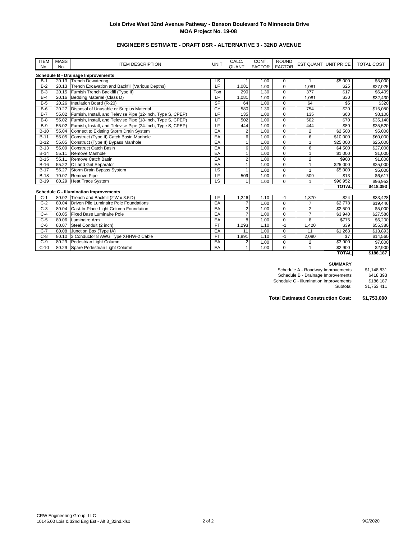# **ENGINEER'S ESTIMATE - DRAFT DSR - ALTERNATIVE 3 - 32ND AVENUE**

| <b>ITEM</b> | <b>MASS</b> | <b>ITEM DESCRIPTION</b>                                           | UNIT      | CALC.          | CONT.         | <b>ROUND</b>  | <b>EST QUANT UNIT PRICE</b> |              | <b>TOTAL COST</b> |
|-------------|-------------|-------------------------------------------------------------------|-----------|----------------|---------------|---------------|-----------------------------|--------------|-------------------|
| No.         | No.         |                                                                   |           | <b>QUANT</b>   | <b>FACTOR</b> | <b>FACTOR</b> |                             |              |                   |
|             |             | <b>Schedule B - Drainage Improvements</b>                         |           |                |               |               |                             |              |                   |
| $B-1$       |             | 20.13 Trench Dewatering                                           | LS        |                | 1.00          | $\mathbf 0$   |                             | \$5,000      | \$5,000           |
| $B-2$       |             | 20.13 Trench Excavation and Backfill (Various Depths)             | LF        | 1.081          | 1.00          | $\mathbf 0$   | 1,081                       | \$25         | \$27,025          |
| $B-3$       |             | 20.15 Furnish Trench Backfill (Type II)                           | Ton       | 290            | 1.30          | $\mathbf 0$   | 377                         | \$17         | \$6,409           |
| $B-4$       |             | 20.16 Bedding Material (Class D)                                  | LF        | 1.081          | 1.00          | $\mathbf 0$   | 1,081                       | \$30         | \$32,430          |
| $B-5$       | 20.26       | Insulation Board (R-20)                                           | <b>SF</b> | 64             | 1.00          | $\mathbf 0$   | 64                          | \$5          | \$320             |
| $B-6$       | 20.27       | Disposal of Unusable or Surplus Material                          | CY        | 580            | 1.30          | $\mathbf 0$   | 754                         | \$20         | \$15,080          |
| $B-7$       |             | 55.02 Furnish, Install, and Televise Pipe (12-Inch, Type S, CPEP) | LF        | 135            | 1.00          | $\mathbf 0$   | 135                         | \$60         | \$8,100           |
| $B-8$       |             | 55.02 Furnish, Install, and Televise Pipe (18-Inch, Type S, CPEP) | LF        | 502            | 1.00          | $\mathbf 0$   | 502                         | \$70         | \$35,140          |
| $B-9$       | 55.02       | Furnish, Install, and Televise Pipe (24-Inch, Type S, CPEP)       | LF        | 444            | 1.00          | $\mathbf 0$   | 444                         | \$80         | \$35,520          |
| $B-10$      |             | 55.04 Connect to Existing Storm Drain System                      | EA        | $\overline{2}$ | 1.00          | $\mathbf 0$   | 2                           | \$2,500      | \$5,000           |
| $B-11$      | 55.05       | Construct (Type II) Catch Basin Manhole                           | EA        | 6              | 1.00          | $\mathbf 0$   | 6                           | \$10,000     | \$60,000          |
| $B-12$      | 55.05       | Construct (Type II) Bypass Manhole                                | EA        | 1              | 1.00          | $\mathbf 0$   |                             | \$25,000     | \$25,000          |
| $B-13$      | 55.09       | Construct Catch Basin                                             | EA        | 6              | 1.00          | $\mathbf 0$   | 6                           | \$4,500      | \$27,000          |
| $B-14$      | 55.11       | Remove Manhole                                                    | EA        | 1              | 1.00          | $\mathbf 0$   |                             | \$1,000      | \$1,000           |
| $B-15$      | 55.11       | Remove Catch Basin                                                | EA        | $\overline{2}$ | 1.00          | $\mathbf 0$   | $\overline{2}$              | \$900        | \$1,800           |
| $B-16$      | 55.22       | Oil and Grit Separator                                            | EA        | 1              | 1.00          | $\mathbf 0$   | $\overline{1}$              | \$25,000     | \$25,000          |
| $B-17$      | 55.27       | Storm Drain Bypass System                                         | LS        | 1              | 1.00          | $\mathbf 0$   | $\overline{1}$              | \$5.000      | \$5,000           |
| $B-18$      | 70.07       | Remove Pipe                                                       | LF        | 509            | 1.00          | $\mathbf 0$   | 509                         | \$13         | \$6,617           |
| $B-19$      | 80.29       | <b>Heat Trace System</b>                                          | LS        |                | 1.00          | $\mathbf 0$   |                             | \$96,952     | \$96,952          |
|             |             |                                                                   |           |                |               |               |                             | <b>TOTAL</b> | \$418,393         |
|             |             | <b>Schedule C - Illumination Improvements</b>                     |           |                |               |               |                             |              |                   |
| $C-1$       | 80.02       | Trench and Backfill (2'W x 3.5'D)                                 | LF        | .246           | 1.10          | $-1$          | 1,370                       | \$24         | \$33,428          |
| $C-2$       | 80.04       | Driven Pile Luminaire Pole Foundations                            | EA        | $\overline{7}$ | 1.00          | $\mathbf 0$   |                             | \$2,778      | \$19,446          |
| $C-3$       |             | 80.04 Cast-In-Place Light Column Foundation                       | EA        | $\overline{2}$ | 1.00          | $\pmb{0}$     | $\overline{2}$              | \$2,500      | \$5,000           |
| $C-4$       | 80.05       | Fixed Base Luminaire Pole                                         | EA        | $\overline{7}$ | 1.00          | $\mathbf 0$   | $\overline{7}$              | \$3,940      | \$27,580          |
| $C-5$       | 80.06       | Luminaire Arm                                                     | EA        | 8              | 1.00          | $\mathbf 0$   | 8                           | \$775        | \$6,200           |
| $C-6$       | 80.07       | Steel Conduit (2 inch)                                            | FT        | 1,293          | 1.10          | $-1$          | 1,420                       | \$39         | \$55,380          |
| $C-7$       | 80.08       | Junction Box (Type IA)                                            | EA        | 11             | 1.00          | $\mathbf 0$   | 11                          | \$1,263      | \$13,893          |
| $C-8$       |             | 80.10 3 Conductor 8 AWG Type XHHW-2 Cable                         | <b>FT</b> | 1.891          | 1.10          | $-1$          | 2.080                       | \$7          | \$14,560          |

C-9 80.29 Pedestrian Light Column EA 2 1.00 0 2 \$3,900 \$7,800<br>
C-10 80.29 Spare Pedestrian Light Column EA 1 1.00 0 1 \$2,900 \$2,900

#### **SUMMARY**

Schedule A - Roadway Improvements \$1,148,831<br>Schedule B - Drainage Improvements \$418,393<br>Chedule C - Illumination Improvements \$186,187 Schedule B - Drainage Improvements \$418,393 Schedule C - Illumination Improvements \$186,187

Subtotal \$1,753,411

**TOTAL \$186,187**

**Total Estimated Construction Cost: \$1,753,000**

Spare Pedestrian Light Column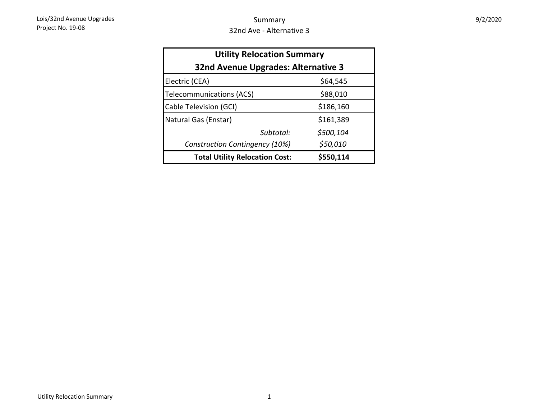| <b>Utility Relocation Summary</b>     |           |  |  |  |  |  |  |  |
|---------------------------------------|-----------|--|--|--|--|--|--|--|
| 32nd Avenue Upgrades: Alternative 3   |           |  |  |  |  |  |  |  |
| Electric (CEA)                        | \$64,545  |  |  |  |  |  |  |  |
| <b>Telecommunications (ACS)</b>       | \$88,010  |  |  |  |  |  |  |  |
| Cable Television (GCI)                | \$186,160 |  |  |  |  |  |  |  |
| Natural Gas (Enstar)                  | \$161,389 |  |  |  |  |  |  |  |
| Subtotal:                             | \$500,104 |  |  |  |  |  |  |  |
| Construction Contingency (10%)        | \$50,010  |  |  |  |  |  |  |  |
| <b>Total Utility Relocation Cost:</b> | \$550,114 |  |  |  |  |  |  |  |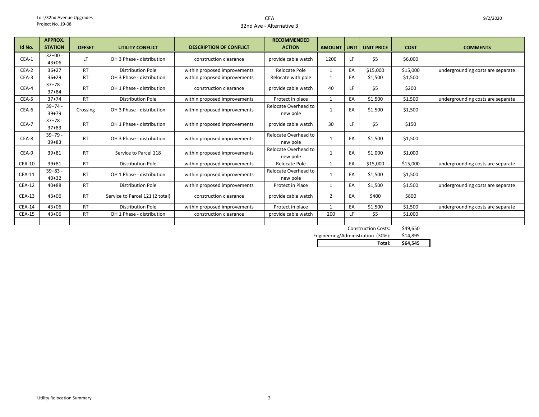## CEA32nd Ave - Alternative 3

|               | <b>APPROX.</b>           |               |                                 |                                | <b>RECOMMENDED</b>               |                |    |                            |             |                                   |
|---------------|--------------------------|---------------|---------------------------------|--------------------------------|----------------------------------|----------------|----|----------------------------|-------------|-----------------------------------|
| Id No.        | <b>STATION</b>           | <b>OFFSET</b> | UTILITY CONFLICT                | <b>DESCRIPTION OF CONFLICT</b> | <b>ACTION</b>                    |                |    | AMOUNT UNIT UNIT PRICE     | <b>COST</b> | <b>COMMENTS</b>                   |
| CEA-1         | $32+00 -$<br>$43 + 06$   | LT.           | OH 3 Phase - distribution       | construction clearance         | provide cable watch              | 1200           | LF | \$5                        | \$6,000     |                                   |
| CEA-2         | $36+27$                  | <b>RT</b>     | <b>Distribution Pole</b>        | within proposed improvements   | <b>Relocate Pole</b>             | $\mathbf{1}$   | EA | \$15,000                   | \$15,000    | undergrounding costs are separate |
| CEA-3         | $36+29$                  | <b>RT</b>     | OH 3 Phase - distribution       | within proposed improvements   | Relocate with pole               | $\overline{1}$ | EA | \$1,500                    | \$1,500     |                                   |
| CEA-4         | $37+78 -$<br>$37 + 84$   | <b>RT</b>     | OH 1 Phase - distribution       | construction clearance         | provide cable watch              | 40             | LF | \$5                        | \$200       |                                   |
| CEA-5         | $37 + 74$                | <b>RT</b>     | <b>Distribution Pole</b>        | within proposed improvements   | Protect in place                 | $\overline{1}$ | EA | \$1,500                    | \$1,500     | undergrounding costs are separate |
| CEA-6         | $39+74 -$<br>$39 + 79$   | Crossing      | OH 3 Phase - distribution       | within proposed improvements   | Relocate Overhead to<br>new pole |                | EA | \$1,500                    | \$1,500     |                                   |
| CEA-7         | $37+78 -$<br>$37 + 83$   | <b>RT</b>     | OH 1 Phase - distribution       | within proposed improvements   | provide cable watch              | 30             | LF | \$5                        | \$150       |                                   |
| CEA-8         | $39+79 -$<br>$39 + 83$   | <b>RT</b>     | OH 3 Phase - distribution       | within proposed improvements   | Relocate Overhead to<br>new pole | 1              | EA | \$1,500                    | \$1,500     |                                   |
| CEA-9         | $39 + 81$                | <b>RT</b>     | Service to Parcel 118           | within proposed improvements   | Relocate Overhead to<br>new pole |                | EA | \$1,000                    | \$1,000     |                                   |
| <b>CEA-10</b> | $39 + 81$                | <b>RT</b>     | Distribution Pole               | within proposed improvements   | Relocate Pole                    |                | EA | \$15,000                   | \$15,000    | undergrounding costs are separate |
| <b>CEA-11</b> | $39 + 83 -$<br>$40 + 32$ | <b>RT</b>     | OH 1 Phase - distribution       | within proposed improvements   | Relocate Overhead to<br>new pole |                | EA | \$1,500                    | \$1,500     |                                   |
| <b>CEA-12</b> | $40 + 88$                | <b>RT</b>     | <b>Distribution Pole</b>        | within proposed improvements   | Protect in Place                 | $\mathbf{1}$   | EA | \$1,500                    | \$1,500     | undergrounding costs are separate |
| $CEA-13$      | $43 + 06$                | <b>RT</b>     | Service to Parcel 121 (2 total) | construction clearance         | provide cable watch              | $\overline{2}$ | EA | \$400                      | \$800       |                                   |
| <b>CEA-14</b> | $43 + 06$                | <b>RT</b>     | <b>Distribution Pole</b>        | within proposed improvements   | Protect in place                 | $\mathbf{1}$   | EA | \$1,500                    | \$1,500     | undergrounding costs are separate |
| <b>CEA-15</b> | $43 + 06$                | <b>RT</b>     | OH 1 Phase - distribution       | construction clearance         | provide cable watch              | 200            | LF | \$5                        | \$1,000     |                                   |
|               |                          |               |                                 |                                |                                  |                |    | <b>Construction Costs:</b> | \$49,650    |                                   |

יכס, 149 \$14,895 Engineering/Administration (30%):<br>Total: **Total: \$64,545**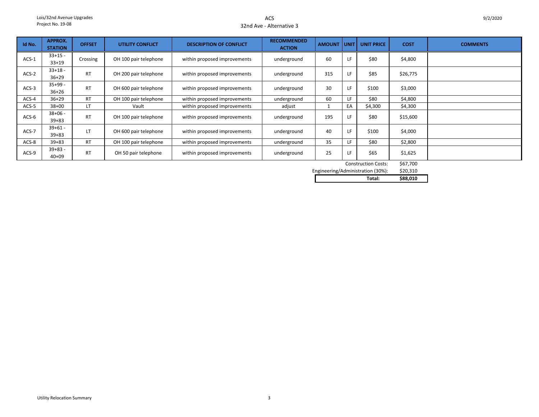## ACS32nd Ave - Alternative 3

| Id No.  | <b>APPROX.</b><br><b>STATION</b> | <b>OFFSET</b> | UTILITY CONFLICT      | <b>DESCRIPTION OF CONFLICT</b> | <b>RECOMMENDED</b><br><b>ACTION</b> | <b>AMOUNT</b> | UNIT I | <b>UNIT PRICE</b>   | <b>COST</b> | <b>COMMENTS</b> |
|---------|----------------------------------|---------------|-----------------------|--------------------------------|-------------------------------------|---------------|--------|---------------------|-------------|-----------------|
|         |                                  |               |                       |                                |                                     |               |        |                     |             |                 |
| $ACS-1$ | $33+15 -$                        | Crossing      | OH 100 pair telephone | within proposed improvements   | underground                         | 60            | LF     | \$80                | \$4,800     |                 |
|         | $33+19$                          |               |                       |                                |                                     |               |        |                     |             |                 |
|         | $33+18$ -                        |               |                       |                                |                                     |               |        |                     |             |                 |
| $ACS-2$ | $36+29$                          | <b>RT</b>     | OH 200 pair telephone | within proposed improvements   | underground                         | 315           | LF     | \$85                | \$26,775    |                 |
|         | $35+99-$                         |               |                       |                                |                                     |               |        |                     |             |                 |
| $ACS-3$ | $36 + 26$                        | <b>RT</b>     | OH 600 pair telephone | within proposed improvements   | underground                         | 30            | LF     | \$100               | \$3,000     |                 |
| ACS-4   | $36 + 29$                        | <b>RT</b>     | OH 100 pair telephone | within proposed improvements   | underground                         | 60            | LF.    | \$80                | \$4,800     |                 |
| ACS-5   | $38 + 00$                        | LT.           | Vault                 | within proposed improvements   | adjust                              | 1             | EA     | \$4,300             | \$4,300     |                 |
|         | $38 + 06 -$                      |               |                       |                                |                                     |               |        |                     |             |                 |
| $ACS-6$ | $39 + 83$                        | <b>RT</b>     | OH 100 pair telephone | within proposed improvements   | underground                         | 195           | LF     | \$80                | \$15,600    |                 |
|         | $39 + 61 -$                      |               |                       |                                |                                     |               |        |                     |             |                 |
| ACS-7   | $39 + 83$                        | LT            | OH 600 pair telephone | within proposed improvements   | underground                         | 40            | LF     | \$100               | \$4,000     |                 |
| ACS-8   | $39 + 83$                        | <b>RT</b>     | OH 100 pair telephone | within proposed improvements   | underground                         | 35            | LF.    | \$80                | \$2,800     |                 |
|         | $39 + 83 -$                      |               |                       |                                |                                     |               |        |                     |             |                 |
| ACS-9   | $40 + 09$                        | <b>RT</b>     | OH 50 pair telephone  | within proposed improvements   | underground                         | 25            | LF     | \$65                | \$1,625     |                 |
|         |                                  |               |                       |                                |                                     |               |        | Construction Costs: | \$67,700    |                 |

 $567,700$ \$20,310 Engineering/Administration (30%):

| ۰tal:<br>. | 3.010<br>588 |  |
|------------|--------------|--|
|            |              |  |
|            |              |  |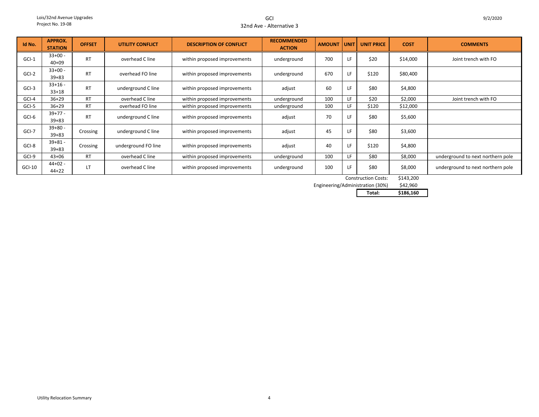GCI32nd Ave - Alternative 3

| Id No.   | <b>APPROX.</b><br><b>STATION</b> | <b>OFFSET</b> | <b>UTILITY CONFLICT</b> | <b>DESCRIPTION OF CONFLICT</b> | <b>RECOMMENDED</b><br><b>ACTION</b> | <b>AMOUNT</b> | <b>UNIT</b> | <b>UNIT PRICE</b> | <b>COST</b> | <b>COMMENTS</b>                   |
|----------|----------------------------------|---------------|-------------------------|--------------------------------|-------------------------------------|---------------|-------------|-------------------|-------------|-----------------------------------|
| $GCI-1$  | $33+00 -$<br>$40 + 09$           | <b>RT</b>     | overhead C line         | within proposed improvements   | underground                         | 700           | I F         | \$20              | \$14,000    | Joint trench with FO              |
| $GCI-2$  | $33+00 -$<br>$39 + 83$           | <b>RT</b>     | overhead FO line        | within proposed improvements   | underground                         | 670           | LF          | \$120             | \$80,400    |                                   |
| $GCI-3$  | $33+16 -$<br>$33+18$             | <b>RT</b>     | underground C line      | within proposed improvements   | adjust                              | 60            | LF          | \$80              | \$4,800     |                                   |
| GCI-4    | $36 + 29$                        | <b>RT</b>     | overhead C line         | within proposed improvements   | underground                         | 100           | LF.         | \$20              | \$2,000     | Joint trench with FO              |
| GCI-5    | $36+29$                          | <b>RT</b>     | overhead FO line        | within proposed improvements   | underground                         | 100           | LF          | \$120             | \$12,000    |                                   |
| GCI-6    | $39+77-$<br>$39 + 83$            | <b>RT</b>     | underground C line      | within proposed improvements   | adjust                              | 70            | LF          | \$80              | \$5,600     |                                   |
| GCI-7    | $39+80 -$<br>$39 + 83$           | Crossing      | underground C line      | within proposed improvements   | adjust                              | 45            | I F         | \$80              | \$3,600     |                                   |
| GCI-8    | $39 + 81 -$<br>$39 + 83$         | Crossing      | underground FO line     | within proposed improvements   | adjust                              | 40            | LF          | \$120             | \$4,800     |                                   |
| GCI-9    | 43+06                            | <b>RT</b>     | overhead C line         | within proposed improvements   | underground                         | 100           | LF          | \$80              | \$8,000     | underground to next northern pole |
| $GCI-10$ | $44+02 -$<br>$44 + 22$           | LT            | overhead C line         | within proposed improvements   | underground                         | 100           | I F         | \$80              | \$8,000     | underground to next northern pole |

Construction Costs: \$143,200

\$42,960 Engineering/Administration (30%)

**Total: \$186,160**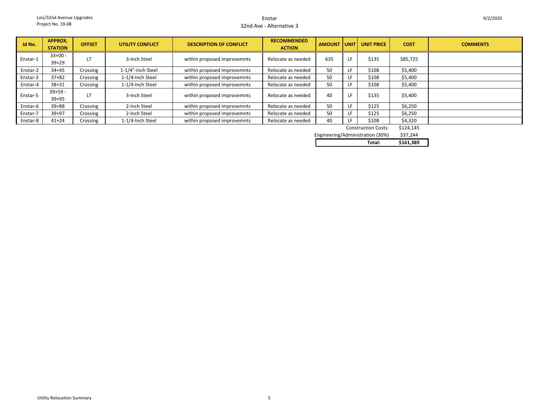#### Enstar32nd Ave - Alternative 3

| Id No.   | <b>APPROX.</b><br><b>STATION</b> | <b>OFFSET</b> | <b>UTILITY CONFLICT</b> | <b>DESCRIPTION OF CONFLICT</b> | <b>RECOMMENDED</b><br><b>ACTION</b> |     |     | AMOUNT UNIT UNIT PRICE | <b>COST</b> | <b>COMMENTS</b> |
|----------|----------------------------------|---------------|-------------------------|--------------------------------|-------------------------------------|-----|-----|------------------------|-------------|-----------------|
| Enstar-1 | $33+00 -$<br>$39 + 29$           | LT            | 3-Inch Steel            | within proposed improvemnts    | Relocate as needed                  | 635 | LF  | \$135                  | \$85,725    |                 |
| Enstar-2 | $34 + 45$                        | Crossing      | 1-1/4"-Inch Steel       | within proposed improvemnts    | Relocate as needed                  | 50  | ίF. | \$108                  | \$5,400     |                 |
| Enstar-3 | $37 + 82$                        | Crossing      | 1-1/4-Inch Steel        | within proposed improvemnts    | Relocate as needed                  | 50  | LF  | \$108                  | \$5,400     |                 |
| Enstar-4 | $38 + 31$                        | Crossing      | 1-1/4-Inch Steel        | within proposed improvemnts    | Relocate as needed                  | 50  | ΙF  | \$108                  | \$5,400     |                 |
| Enstar-5 | $39+59 -$<br>$39 + 95$           | LT            | 3-Inch Steel            | within proposed improvemnts    | Relocate as needed                  | 40  | LF. | \$135                  | \$5,400     |                 |
| Enstar-6 | $39 + 88$                        | Crossing      | 2-Inch Steel            | within proposed improvemnts    | Relocate as needed                  | 50  | LF  | \$125                  | \$6,250     |                 |
| Enstar-7 | $39 + 97$                        | Crossing      | 2-Inch Steel            | within proposed improvemnts    | Relocate as needed                  | 50  | ίF. | \$125                  | \$6,250     |                 |
| Enstar-8 | $41 + 24$                        | Crossing      | 1-1/4-Inch Steel        | within proposed improvemnts    | Relocate as needed                  | 40  |     | \$108                  | \$4,320     |                 |

\$124,145 Construction Costs:

\$37,244 Engineering/Administration (30%)

|  | n,<br>___ |
|--|-----------|
|  |           |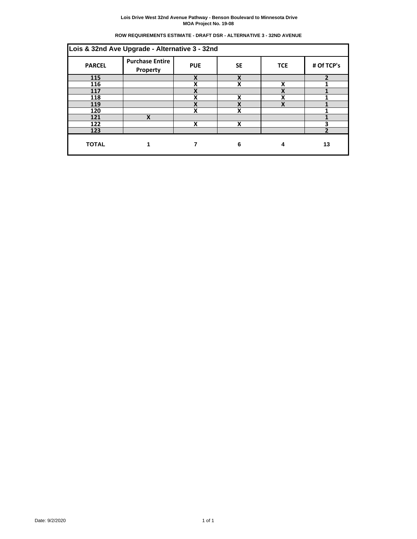| ROW REQUIREMENTS ESTIMATE - DRAFT DSR - ALTERNATIVE 3 - 32ND AVENUE |  |  |
|---------------------------------------------------------------------|--|--|
|                                                                     |  |  |

| <b>PARCEL</b> | Lois & 32nd Ave Upgrade - Alternative 3 - 32nd<br><b>Purchase Entire</b><br>Property | <b>PUE</b> | <b>SE</b> | <b>TCE</b> | # Of TCP's               |
|---------------|--------------------------------------------------------------------------------------|------------|-----------|------------|--------------------------|
| 115           |                                                                                      | X          | X         |            | $\overline{\phantom{a}}$ |
| 116           |                                                                                      | X          | X         | v          |                          |
| 117           |                                                                                      | X          |           | v          |                          |
| 118           |                                                                                      | Χ          | χ         | v          |                          |
| 119           |                                                                                      | X          | v         | v          |                          |
| 120           |                                                                                      | X          | X         |            |                          |
| 121           | χ                                                                                    |            |           |            |                          |
| 122           |                                                                                      | X          | X         |            | 3                        |
| 123           |                                                                                      |            |           |            | ำ                        |
| <b>TOTAL</b>  |                                                                                      |            | 6         | 4          | 13                       |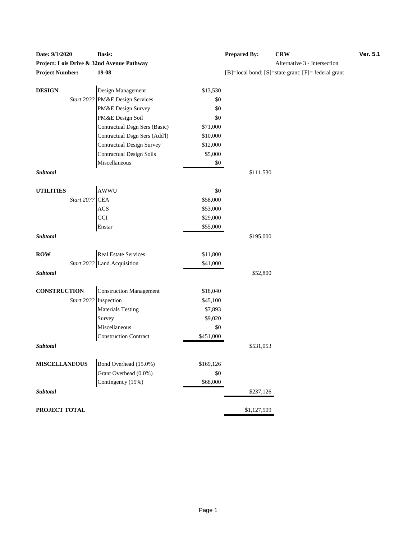| Date: $9/1/2020$       |                | Dasis.                                         |                 | r repared by: | <b>UR</b> W                                         |
|------------------------|----------------|------------------------------------------------|-----------------|---------------|-----------------------------------------------------|
|                        |                | Project: Lois Drive & 32nd Avenue Pathway      |                 |               | Alternative 3 - Intersection                        |
| <b>Project Number:</b> |                | 19-08                                          |                 |               | [B]=local bond; [S]=state grant; [F]= federal grant |
|                        |                | Design Management                              |                 |               |                                                     |
| <b>DESIGN</b>          |                | Start 20?? PM&E Design Services                | \$13,530<br>\$0 |               |                                                     |
|                        |                | PM&E Design Survey                             | \$0             |               |                                                     |
|                        |                | PM&E Design Soil                               | \$0             |               |                                                     |
|                        |                |                                                |                 |               |                                                     |
|                        |                | Contractual Dsgn Sers (Basic)                  | \$71,000        |               |                                                     |
|                        |                | Contractual Dsgn Sers (Add'l)                  | \$10,000        |               |                                                     |
|                        |                | Contractual Design Survey                      | \$12,000        |               |                                                     |
|                        |                | <b>Contractual Design Soils</b>                | \$5,000         |               |                                                     |
|                        |                | Miscellaneous                                  | \$0             |               |                                                     |
| Subtotal               |                |                                                |                 | \$111,530     |                                                     |
| <b>UTILITIES</b>       |                | AWWU                                           | \$0             |               |                                                     |
|                        | Start 20?? CEA |                                                | \$58,000        |               |                                                     |
|                        |                | <b>ACS</b>                                     | \$53,000        |               |                                                     |
|                        |                | GCI                                            | \$29,000        |               |                                                     |
|                        |                | Enstar                                         | \$55,000        |               |                                                     |
| Subtotal               |                |                                                |                 | \$195,000     |                                                     |
| <b>ROW</b>             |                | Real Estate Services                           | \$11,800        |               |                                                     |
|                        |                | Start 20?? Land Acquisition                    | \$41,000        |               |                                                     |
| Subtotal               |                |                                                |                 | \$52,800      |                                                     |
|                        |                |                                                |                 |               |                                                     |
| <b>CONSTRUCTION</b>    |                | <b>Construction Management</b>                 | \$18,040        |               |                                                     |
|                        | Start 20??     | Inspection                                     | \$45,100        |               |                                                     |
|                        |                | <b>Materials Testing</b>                       | \$7,893         |               |                                                     |
|                        |                | Survey                                         | \$9,020         |               |                                                     |
|                        |                | Miscellaneous                                  | \$0             |               |                                                     |
|                        |                | <b>Construction Contract</b>                   | \$451,000       |               |                                                     |
| Subtotal               |                |                                                |                 | \$531,053     |                                                     |
| <b>MISCELLANEOUS</b>   |                |                                                | \$169,126       |               |                                                     |
|                        |                | Bond Overhead (15.0%)<br>Grant Overhead (0.0%) | \$0             |               |                                                     |
|                        |                |                                                | \$68,000        |               |                                                     |
|                        |                | Contingency (15%)                              |                 |               |                                                     |
| Subtotal               |                |                                                |                 | \$237,126     |                                                     |
| PROJECT TOTAL          |                |                                                |                 | \$1,127,509   |                                                     |

| Date: 9/1/2020         | <b>Basis:</b>                                                             | <b>Prepared By:</b> | <b>CRW</b>                   | <b>Ver. 5.1</b> |  |  |
|------------------------|---------------------------------------------------------------------------|---------------------|------------------------------|-----------------|--|--|
|                        | Project: Lois Drive & 32nd Avenue Pathway                                 |                     | Alternative 3 - Intersection |                 |  |  |
| <b>Project Number:</b> | 19-08<br>$[B] = local bond$ ; $[S] = state grant$ ; $[F] = federal grant$ |                     |                              |                 |  |  |
| DESIGN                 | Design Management                                                         | \$13,530            |                              |                 |  |  |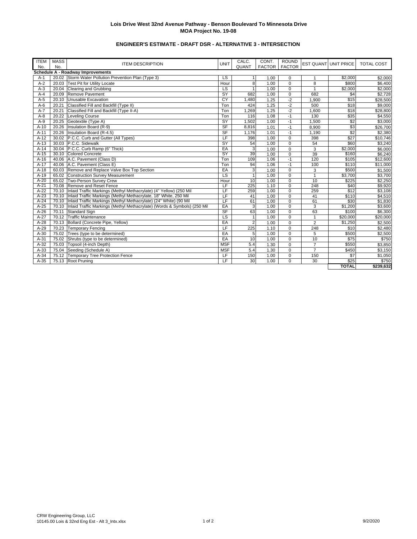# **ENGINEER'S ESTIMATE - DRAFT DSR - ALTERNATIVE 3 - INTERSECTION**

| <b>ITEM</b> | <b>MASS</b> |                                                                            |                          | CALC.          | CONT.         | <b>ROUND</b>   |                |                             |                   |
|-------------|-------------|----------------------------------------------------------------------------|--------------------------|----------------|---------------|----------------|----------------|-----------------------------|-------------------|
| No.         | No.         | <b>ITEM DESCRIPTION</b>                                                    | <b>UNIT</b>              | QUANT          | <b>FACTOR</b> | <b>FACTOR</b>  |                | <b>EST QUANT UNIT PRICE</b> | <b>TOTAL COST</b> |
|             |             | Schedule A - Roadway Improvements                                          |                          |                |               |                |                |                             |                   |
| $A-1$       |             | 20.02 Storm Water Pollution Prevention Plan (Type 3)                       | LS                       | 1              | 1.00          | $\Omega$       | $\mathbf{1}$   | \$2,000                     | \$2,000           |
| $A-2$       | 20.03       | <b>Test Pit for Utility Locate</b>                                         | Hour                     | 8              | 1.00          | $\mathbf 0$    | 8              | \$800                       | \$6,400           |
| $A-3$       | 20.04       | Clearing and Grubbing                                                      | LS                       |                | 1.00          | $\mathbf 0$    | $\overline{1}$ | \$2,000                     | \$2,000           |
| $A - 4$     | 20.09       | Remove Pavement                                                            | $\overline{\mathsf{SY}}$ | 682            | 1.00          | $\mathbf 0$    | 682            | \$4                         | \$2,728           |
| $A-5$       | 20.10       | Unusable Excavation                                                        | CY                       | 1,480          | 1.25          | $-2$           | 1,900          | \$15                        | \$28,500          |
| $A-6$       |             | 20.21 Classified Fill and Backfill (Type II)                               | Ton                      | 424            | 1.25          | $-2$           | 500            | \$18                        | \$9,000           |
| $A-7$       |             | 20.21 Classified Fill and Backfill (Type II-A)                             | Ton                      | ,269           | 1.25          | $-2$           | 1,600          | \$18                        | \$28,800          |
| $A - 8$     |             | 20.22 Leveling Course                                                      | Ton                      | 116            | 1.08          | $-1$           | 130            | \$35                        | \$4,550           |
| $A-9$       |             | 20.25 Geotextile (Type A)                                                  | $\overline{\mathsf{SY}}$ | 1,502          | 1.00          | $-1$           | 1.500          | \$2                         | \$3,000           |
| $A-10$      | 20.26       | Insulation Board (R-9)                                                     | SF                       | 8,816          | 1.01          | $-1$           | 8,900          | \$3                         | \$26,700          |
| $A-11$      | 20.26       | Insulation Board (R-4.5)                                                   | $S$ F                    | 1,176          | 1.01          | $-1$           | 1,190          | \$2                         | \$2,380           |
| $A-12$      |             | 30.02 P.C.C. Curb and Gutter (All Types)                                   | LF                       | 398            | 1.00          | $\mathbf 0$    | 398            | \$27                        | \$10,746          |
| $A-13$      |             | 30.03 P.C.C. Sidewalk                                                      | SY                       | 54             | 1.00          | 0              | 54             | \$60                        | \$3,240           |
| $A-14$      |             | 30.04 P.C.C. Curb Ramp (6" Thick)                                          | EA                       | 3              | 1.00          | 0              | 3              | \$2.000                     | \$6,000           |
| $A-15$      |             | 30.10 Colored Concrete                                                     | <b>SY</b>                | 39             | 1.00          | $\mathbf 0$    | 39             | \$160                       | \$6,240           |
| $A-16$      |             | 40.06 A.C. Pavement (Class D)                                              | Ton                      | 109            | 1.06          | $-1$           | 120            | \$105                       | \$12,600          |
| $A-17$      |             | 40.06 A.C. Pavement (Class E)                                              | Ton                      | 94             | 1.06          |                | 100            | \$110                       | \$11,000          |
| $A-18$      |             | 60.03 Remove and Replace Valve Box Top Section                             | EA                       | 3              | 1.00          |                | 3              | \$500                       | \$1,500           |
| $A-19$      |             | 65.02 Construction Survey Measurement                                      | LS                       | 1              | 1.00          | $\mathbf 0$    | $\mathbf{1}$   | \$3,700                     | \$3,700           |
| $A-20$      |             | 65.02 Two-Person Survey Crew                                               | Hour                     | 10             | 1.00          | $\overline{0}$ | 10             | \$225                       | \$2,250           |
| $A-21$      |             | 70.08 Remove and Reset Fence                                               | LF                       | 225            | 1.10          | $\mathbf 0$    | 248            | \$40                        | \$9,920           |
| $A-22$      |             | 70.10   Inlaid Traffic Markings (Methyl Methacrylate) (4" Yellow) (250 Mil | LF                       | 259            | 1.00          | $\mathbf 0$    | 259            | \$12                        | \$3,108           |
| $A-23$      |             | 70.10 Inlaid Traffic Markings (Methyl Methacrylate, 18" White, 250 Mil     | LF                       | 41             | 1.00          | $\mathbf 0$    | 41             | \$110                       | \$4,510           |
| $A-24$      |             | 70.10 Inlaid Traffic Markings (Methyl Methacrylate) (24" White) (90 Mil    | LF                       | 61             | 1.00          | $\mathbf 0$    | 61             | \$30                        | \$1,830           |
| $A-25$      | 70.10       | Inlaid Traffic Markings (Methyl Methacrylate) (Words & Symbols) (250 Mil   | EA                       | 3              | 1.00          | $\Omega$       | 3              | \$1,200                     | \$3,600           |
| $A-26$      | 70.11       | Standard Sign                                                              | <b>SF</b>                | 63             | 1.00          | $\Omega$       | 63             | \$100                       | \$6,300           |
| $A-27$      |             | 70.12 Traffic Maintenance                                                  | LS                       | $\mathbf{1}$   | 1.00          | $\mathbf 0$    | $\mathbf{1}$   | \$20,000                    | \$20,000          |
| $A-28$      | 70.13       | Bollard (Concrete Pipe, Yellow)                                            | EA                       | $\overline{2}$ | 1.00          | $\mathbf 0$    | $\overline{2}$ | \$1,250                     | \$2,500           |
| $A-29$      | 70.23       | <b>Temporary Fencing</b>                                                   | LF                       | 225            | 1.10          | $\mathbf 0$    | 248            | \$10                        | \$2,480           |
| $A-30$      | 75.02       | Trees (type to be determined)                                              | EA                       | 5              | 1.00          | $\Omega$       | 5              | \$500                       | \$2,500           |
| $A-31$      | 75.02       | Shrubs (type to be determined)                                             | EA                       | 1.00<br>10     |               | $\mathbf 0$    | 10             | \$75                        | \$750             |
| $A-32$      |             | 75.03 Topsoil (4-inch Depth)                                               | <b>MSF</b>               | 5.4            | 1.30          |                | $\overline{7}$ | \$550                       | \$3,850           |
| $A-33$      |             | 75.04 Seeding (Schedule A)                                                 | <b>MSF</b>               | 5.4            | 1.30          |                | $\overline{7}$ | \$450                       | \$3,150           |
| $A-34$      |             | 75.12 Temporary Tree Protection Fence                                      | LF                       | 150            | 1.00          | $\mathbf 0$    | 150            | \$7                         | \$1,050           |
| $A-35$      | 75.13       | Root Pruning                                                               | LF                       | 30             | 1.00          | $\Omega$       | 30             | \$25                        | \$750             |
|             |             |                                                                            |                          |                |               |                |                | <b>TOTAL</b>                | \$239,632         |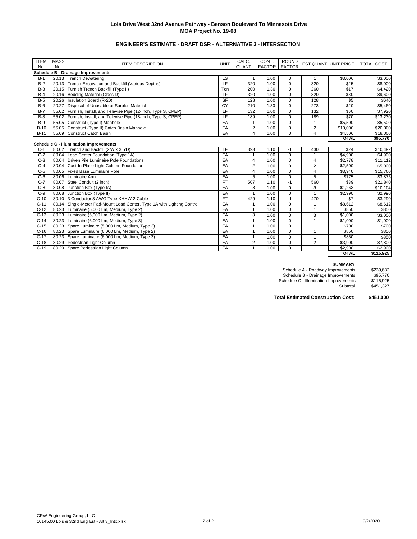# **ENGINEER'S ESTIMATE - DRAFT DSR - ALTERNATIVE 3 - INTERSECTION**

| <b>ITEM</b> | <b>MASS</b> | <b>ITEM DESCRIPTION</b>                                                 | <b>UNIT</b>    | CALC.          | CONT.         | <b>ROUND</b> |                | EST QUANT UNIT PRICE | <b>TOTAL COST</b> |
|-------------|-------------|-------------------------------------------------------------------------|----------------|----------------|---------------|--------------|----------------|----------------------|-------------------|
| No.         | No.         |                                                                         |                | QUANT          | FACTOR FACTOR |              |                |                      |                   |
|             |             | <b>Schedule B - Drainage Improvements</b>                               |                |                |               |              |                |                      |                   |
| $B-1$       |             | 20.13 Trench Dewatering                                                 | LS             |                | 1.00          | 0            | 1              | \$3,000              | \$3.000           |
| $B-2$       | 20.13       | Trench Excavation and Backfill (Various Depths)                         | $\overline{F}$ | 320            | 1.00          | $\Omega$     | 320            | \$25                 | \$8,000           |
| $B-3$       | 20.15       | Furnish Trench Backfill (Type II)                                       | Ton            | 200            | 1.30          | $\Omega$     | 260            | \$17                 | \$4,420           |
| $B-4$       |             | 20.16 Bedding Material (Class D)                                        | LF             | 320            | 1.00          | $\mathbf 0$  | 320            | \$30                 | \$9,600           |
| $B-5$       | 20.26       | Insulation Board (R-20)                                                 | <b>SF</b>      | 128            | 1.00          | $\Omega$     | 128            | \$5                  | \$640             |
| $B-6$       | 20.27       | Disposal of Unusable or Surplus Material                                | CY             | 210            | 1.30          | $\Omega$     | 273            | \$20                 | \$5,460           |
| $B-7$       |             | 55.02 Furnish, Install, and Televise Pipe (12-Inch, Type S, CPEP)       | LF             | 132            | 1.00          | $\Omega$     | 132            | \$60                 | \$7,920           |
| $B-8$       |             | 55.02 Furnish, Install, and Televise Pipe (18-Inch, Type S, CPEP)       | LF             | 189            | 1.00          | $\mathbf 0$  | 189            | \$70                 | \$13,230          |
| $B-9$       | 55.05       | Construct (Type I) Manhole                                              | EA             |                | 1.00          | $\Omega$     | 1              | \$5,500              | \$5,500           |
| $B-10$      |             | 55.05 Construct (Type II) Catch Basin Manhole                           | EA             | $\overline{2}$ | 1.00          | $\mathbf 0$  | $\overline{2}$ | \$10,000             | \$20,000          |
| $B-11$      |             | 55.09 Construct Catch Basin                                             | EA             | $\overline{4}$ | 1.00          | $\Omega$     | 4              | \$4,500              | \$18,000          |
|             |             |                                                                         |                |                |               |              |                | <b>TOTAL</b>         | \$95,770          |
|             |             | <b>Schedule C - Illumination Improvements</b>                           |                |                |               |              |                |                      |                   |
| $C-1$       |             | 80.02 Trench and Backfill (2'W x 3.5'D)                                 | LF             | 393            | 1.10          | $-1$         | 430            | \$24                 | \$10,492          |
| $C-2$       |             | 80.04 Load Center Foundation (Type 1A)                                  | EA             |                | 1.00          | $\Omega$     |                | \$4,900              | \$4,900           |
| $C-3$       |             | 80.04 Driven Pile Luminaire Pole Foundations                            | EA             | $\overline{4}$ | 1.00          | $\mathbf 0$  | 4              | \$2,778              | \$11,112          |
| $C-4$       |             | 80.04 Cast-In-Place Light Column Foundation                             | EA             | $\overline{2}$ | 1.00          | $\mathbf 0$  | $\overline{2}$ | \$2.500              | \$5,000           |
| $C-5$       |             | 80.05 Fixed Base Luminaire Pole                                         | EA             | $\overline{4}$ | 1.00          | $\mathbf 0$  | 4              | \$3,940              | \$15,760          |
| $C-6$       | 80.06       | Luminaire Arm                                                           | EA             | 5              | 1.00          | $\mathbf 0$  | 5              | \$775                | \$3.875           |
| $C-7$       | 80.07       | Steel Conduit (2 inch)                                                  | <b>FT</b>      | 507            | 1.10          | $-1$         | 560            | \$39                 | \$21,840          |
| $C-8$       | 80.08       | Junction Box (Type IA)                                                  | EA             | 8              | 1.00          | $\Omega$     | 8              | \$1.263              | \$10,104          |
| $C-9$       |             | 80.08 Junction Box (Type II)                                            | EA             | $\mathbf{1}$   | 1.00          | $\Omega$     | 1              | \$2.990              | \$2,990           |
| $C-10$      |             | 80.10 3 Conductor 8 AWG Type XHHW-2 Cable                               | <b>FT</b>      | 429            | 1.10          | $-1$         | 470            | \$7                  | \$3,290           |
| $C-11$      |             | 80.14 Single-Meter Pad-Mount Load Center, Type 1A with Lighting Control | EA             |                | 1.00          | $\Omega$     | 1              | \$8,612              | \$8,612           |
| $C-12$      |             | 80.23 Luminaire (5,000 Lm, Medium, Type 2)                              | EA             |                | 1.00          | $\mathbf 0$  | 1              | \$850                | \$850             |
| $C-13$      |             | 80.23 Luminaire (6,000 Lm, Medium, Type 2)                              | EA             | $\overline{3}$ | 1.00          | $\Omega$     | 3              | \$1,000              | \$3,000           |
| $C-14$      |             | 80.23 Luminaire (6,000 Lm, Medium, Type 3)                              | EA             |                | 1.00          | $\mathbf 0$  | $\overline{1}$ | \$1,000              | \$1,000           |
| $C-15$      | 80.23       | Spare Luminaire (5,000 Lm, Medium, Type 2)                              | EA             |                | 1.00          | $\Omega$     | 1              | \$700                | \$700             |
| $C-16$      | 80.23       | Spare Luminaire (6,000 Lm, Medium, Type 2)                              | EA             |                | 1.00          | $\mathbf 0$  | 1              | \$850                | \$850             |
| $C-17$      |             | 80.23 Spare Luminaire (6,000 Lm, Medium, Type 3)                        | EA             |                | 1.00          | $\mathbf 0$  | 1              | \$850                | \$850             |
| $C-18$      |             | 80.29 Pedestrian Light Column                                           | EA             | $\overline{2}$ | 1.00          | $\mathbf 0$  | $\overline{2}$ | \$3,900              | \$7,800           |
| $C-19$      | 80.29       | Spare Pedestrian Light Column                                           | EA             | $\mathbf{1}$   | 1.00          | $\Omega$     | 1              | \$2.900              | \$2.900           |
|             |             |                                                                         |                |                |               |              |                | <b>TOTAL</b>         | \$115,925         |

#### **SUMMARY**

Schedule A - Roadway Improvements \$239,632 Schedule B - Drainage Improvements \$95,770 Schedule C - Illumination Improvements \$115,925

Subtotal \$451,327

**Total Estimated Construction Cost: \$451,000**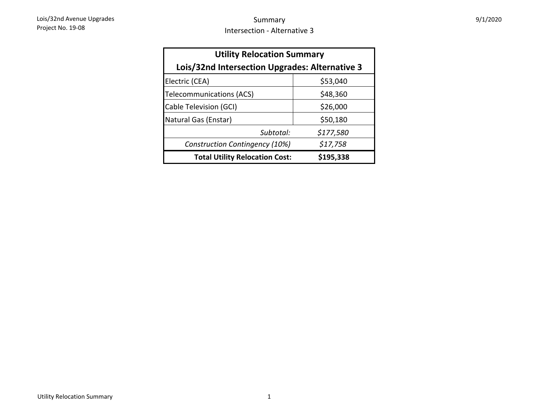| <b>Utility Relocation Summary</b>              |           |  |  |  |  |  |  |
|------------------------------------------------|-----------|--|--|--|--|--|--|
| Lois/32nd Intersection Upgrades: Alternative 3 |           |  |  |  |  |  |  |
| Electric (CEA)                                 | \$53,040  |  |  |  |  |  |  |
| Telecommunications (ACS)                       | \$48,360  |  |  |  |  |  |  |
| Cable Television (GCI)                         | \$26,000  |  |  |  |  |  |  |
| Natural Gas (Enstar)                           | \$50,180  |  |  |  |  |  |  |
| Subtotal:                                      | \$177,580 |  |  |  |  |  |  |
| Construction Contingency (10%)                 | \$17,758  |  |  |  |  |  |  |
| <b>Total Utility Relocation Cost:</b>          | \$195,338 |  |  |  |  |  |  |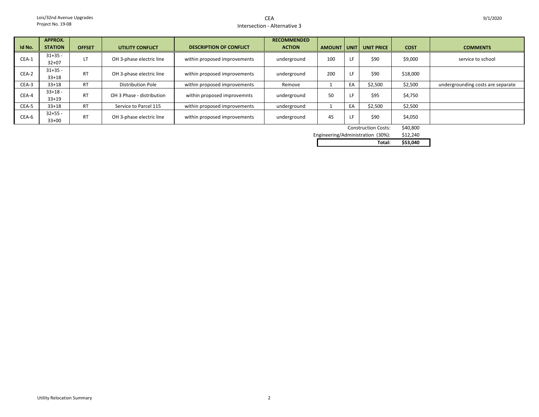## CEAIntersection - Alternative 3

|        | APPROX.                |               |                           |                                | <b>RECOMMENDED</b> |               |             |                   |             |                                   |
|--------|------------------------|---------------|---------------------------|--------------------------------|--------------------|---------------|-------------|-------------------|-------------|-----------------------------------|
| Id No. | <b>STATION</b>         | <b>OFFSET</b> | <b>UTILITY CONFLICT</b>   | <b>DESCRIPTION OF CONFLICT</b> | <b>ACTION</b>      | <b>AMOUNT</b> | <b>UNIT</b> | <b>UNIT PRICE</b> | <b>COST</b> | <b>COMMENTS</b>                   |
| CEA-1  | $31+35 -$<br>$32+07$   |               | OH 3-phase electric line  | within proposed improvements   | underground        | 100           |             | \$90              | \$9,000     | service to school                 |
| CEA-2  | $31+35 -$<br>$33+18$   | <b>RT</b>     | OH 3-phase electric line  | within proposed improvements   | underground        | 200           |             | \$90              | \$18,000    |                                   |
| CEA-3  | $33+18$                | <b>RT</b>     | <b>Distribution Pole</b>  | within proposed improvements   | Remove             |               | EA          | \$2,500           | \$2,500     | undergrounding costs are separate |
| CEA-4  | $33+18 -$<br>$33+19$   | <b>RT</b>     | OH 3 Phase - distribution | within proposed improvemnts    | underground        | 50            |             | \$95              | \$4,750     |                                   |
| CEA-5  | $33+18$                | <b>RT</b>     | Service to Parcel 115     | within proposed improvements   | underground        |               | EA          | \$2,500           | \$2,500     |                                   |
| CEA-6  | $32 + 55 -$<br>$33+00$ | <b>RT</b>     | OH 3-phase electric line  | within proposed improvements   | underground        | 45            |             | \$90              | \$4,050     |                                   |

Construction Costs: \$40,800

\$12,240

Engineering/Administration (30%):<br> **12,2400 Total: Total: \$53,040**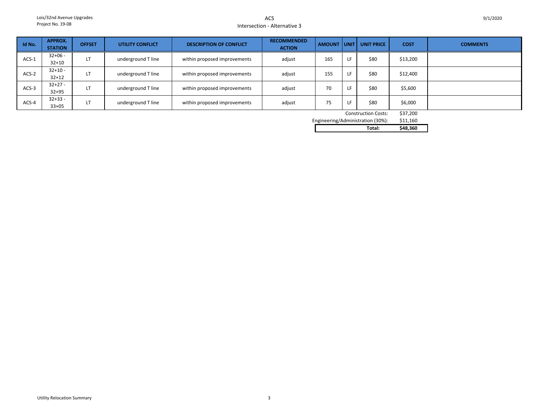## ACSIntersection - Alternative 3

| Id No.  | APPROX.<br><b>STATION</b> | <b>OFFSET</b>     | UTILITY CONFLICT   | <b>DESCRIPTION OF CONFLICT</b> | <b>RECOMMENDED</b><br><b>ACTION</b> | <b>AMOUNT</b> |     | UNIT   UNIT PRICE | <b>COST</b> | <b>COMMENTS</b> |
|---------|---------------------------|-------------------|--------------------|--------------------------------|-------------------------------------|---------------|-----|-------------------|-------------|-----------------|
| $ACS-1$ | $32+06 -$<br>$32 + 10$    | LT                | underground T line | within proposed improvements   | adjust                              | 165           | LF  | \$80              | \$13,200    |                 |
| ACS-2   | $32+10-$<br>$32 + 12$     | LT                | underground T line | within proposed improvements   | adjust                              | 155           | LF. | \$80              | \$12,400    |                 |
| $ACS-3$ | $32+27 -$<br>$32 + 95$    | LT                | underground T line | within proposed improvements   | adjust                              | 70            | LF. | \$80              | \$5,600     |                 |
| ACS-4   | $32+33-$<br>$33+05$       | $\mathbf{r}$<br>Ш | underground T line | within proposed improvements   | adjust                              | 75            | LF. | \$80              | \$6,000     |                 |

Construction Costs: \$37,200

\$11,160 Engineering/Administration (30%): **Total: \$48,360**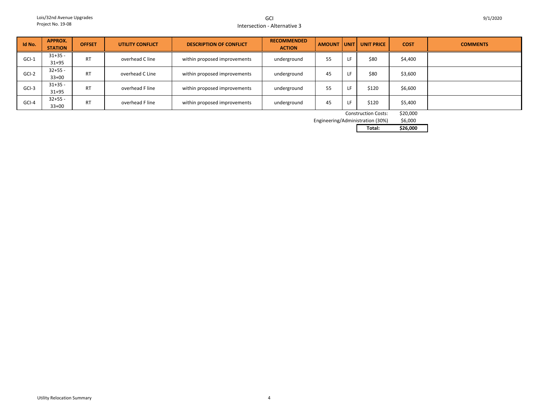GCIIntersection - Alternative 3

| Id No.  | APPROX.<br><b>STATION</b> | <b>OFFSET</b> | UTILITY CONFLICT | <b>DESCRIPTION OF CONFLICT</b> | <b>RECOMMENDED</b><br><b>ACTION</b> | <b>AMOUNT</b> | l unit l | <b>UNIT PRICE</b> | <b>COST</b> | <b>COMMENTS</b> |
|---------|---------------------------|---------------|------------------|--------------------------------|-------------------------------------|---------------|----------|-------------------|-------------|-----------------|
| $GCI-1$ | $31+35 -$<br>$31 + 95$    | <b>RT</b>     | overhead C line  | within proposed improvements   | underground                         | 55            |          | \$80              | \$4,400     |                 |
| $GCI-2$ | $32+55 -$<br>$33+00$      | <b>RT</b>     | overhead C Line  | within proposed improvements   | underground                         | 45            | ΙF       | \$80              | \$3,600     |                 |
| $GCI-3$ | $31+35 -$<br>$31 + 95$    | <b>RT</b>     | overhead F line  | within proposed improvements   | underground                         | 55            | ١F       | \$120             | \$6,600     |                 |
| GCI-4   | $32+55 -$<br>$33+00$      | <b>RT</b>     | overhead F line  | within proposed improvements   | underground                         | 45            |          | \$120             | \$5,400     |                 |

Construction Costs: \$20,000

\$6,000 Engineering/Administration (30%)

**Total: \$26,000**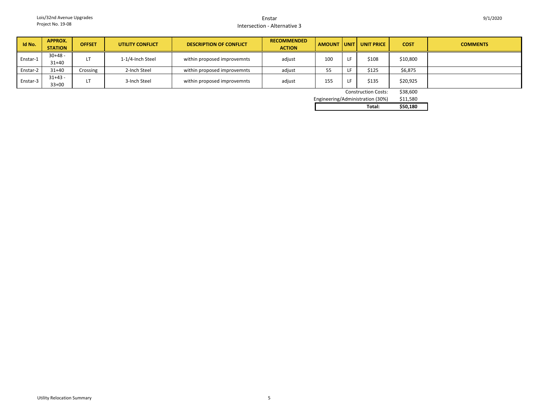#### EnstarIntersection - Alternative 3

| Id No.   | APPROX.<br><b>STATION</b> | <b>OFFSET</b> | <b>UTILITY CONFLICT</b> | <b>DESCRIPTION OF CONFLICT</b> | <b>RECOMMENDED</b><br><b>ACTION</b> |                 | AMOUNT UNIT UNIT PRICE | <b>COST</b> | <b>COMMENTS</b> |
|----------|---------------------------|---------------|-------------------------|--------------------------------|-------------------------------------|-----------------|------------------------|-------------|-----------------|
| Enstar-1 | $30+48 -$<br>$31+40$      |               | 1-1/4-Inch Steel        | within proposed improvemnts    | adjust                              | 10 <sub>C</sub> | \$108                  | \$10,800    |                 |
| Enstar-2 | $31 + 40$                 | Crossing      | 2-Inch Steel            | within proposed improvemnts    | adjust                              | 55              | \$125                  | \$6,875     |                 |
| Enstar-3 | $31+43 -$<br>$33+00$      |               | 3-Inch Steel            | within proposed improvemnts    | adjust                              | 155             | \$135                  | \$20,925    |                 |

Construction Costs: \$38,600

Engineering/Administration (30

| Total:                 | \$50.180 |
|------------------------|----------|
| g/Administration (30%) | \$11.580 |
|                        | -------  |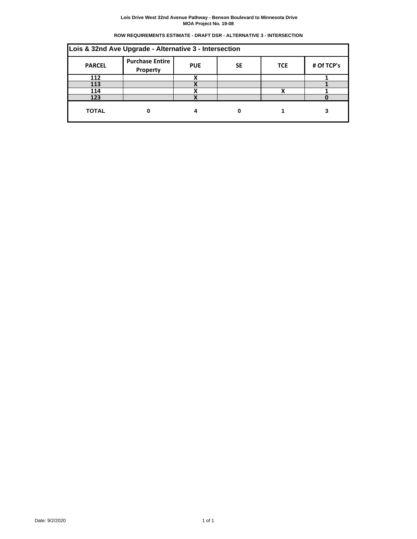#### **Lois Drive West 32nd Avenue Pathway - Benson Boulevard to Minnesota Drive MOA Project No. 19-08**

# **ROW REQUIREMENTS ESTIMATE - DRAFT DSR - ALTERNATIVE 3 - INTERSECTION**

| Lois & 32nd Ave Upgrade - Alternative 3 - Intersection |                                    |            |           |            |            |  |  |  |
|--------------------------------------------------------|------------------------------------|------------|-----------|------------|------------|--|--|--|
| <b>PARCEL</b>                                          | <b>Purchase Entire</b><br>Property | <b>PUE</b> | <b>SE</b> | <b>TCE</b> | # Of TCP's |  |  |  |
| 112                                                    |                                    |            |           |            |            |  |  |  |
| 113                                                    |                                    |            |           |            |            |  |  |  |
| 114                                                    |                                    | v          |           | x          |            |  |  |  |
| 123                                                    |                                    |            |           |            |            |  |  |  |
| <b>TOTAL</b>                                           |                                    |            |           |            |            |  |  |  |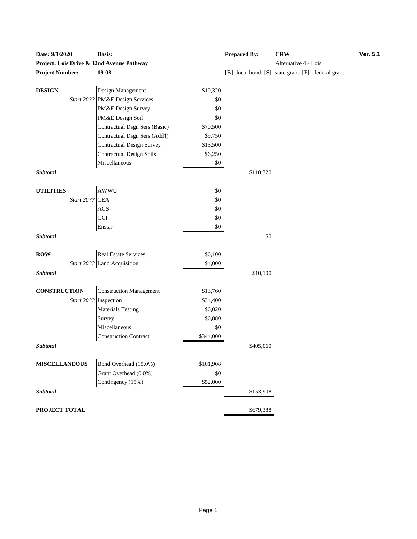| Date: 9/1/2020                            | <b>Basis:</b>                                       |           | Prepared By:                   | ÇК |
|-------------------------------------------|-----------------------------------------------------|-----------|--------------------------------|----|
| Project: Lois Drive & 32nd Avenue Pathway |                                                     | Alt       |                                |    |
| <b>Project Number:</b>                    | 19-08                                               |           | $[B] = local bond; [S] = stat$ |    |
| <b>DESIGN</b>                             | Design Management                                   | \$10,320  |                                |    |
|                                           | Start 20?? PM&E Design Services                     | \$0       |                                |    |
|                                           | PM&E Design Survey                                  | \$0       |                                |    |
|                                           | PM&E Design Soil                                    | \$0       |                                |    |
|                                           | Contractual Dsgn Sers (Basic)                       | \$70,500  |                                |    |
|                                           | Contractual Dsgn Sers (Add'l)                       | \$9,750   |                                |    |
|                                           | <b>Contractual Design Survey</b>                    | \$13,500  |                                |    |
|                                           | <b>Contractual Design Soils</b>                     | \$6,250   |                                |    |
|                                           | Miscellaneous                                       | \$0       |                                |    |
| <b>Subtotal</b>                           |                                                     |           | \$110,320                      |    |
| <b>UTILITIES</b>                          | AWWU<br>Start 20??<br>CEA<br>ACS<br>GCI             | \$0       |                                |    |
|                                           |                                                     | \$0       |                                |    |
|                                           |                                                     | \$0       |                                |    |
|                                           |                                                     | \$0       |                                |    |
|                                           | Enstar                                              | \$0       |                                |    |
| Subtotal                                  |                                                     |           | \$0                            |    |
| <b>ROW</b>                                |                                                     | \$6,100   |                                |    |
|                                           | Real Estate Services<br>Start 20?? Land Acquisition | \$4,000   |                                |    |
| <b>Subtotal</b>                           |                                                     |           | \$10,100                       |    |
| <b>CONSTRUCTION</b>                       | <b>Construction Management</b>                      | \$13,760  |                                |    |
|                                           | Start 20?? Inspection                               | \$34,400  |                                |    |
|                                           | <b>Materials Testing</b>                            | \$6,020   |                                |    |
|                                           | Survey                                              | \$6,880   |                                |    |
|                                           | Miscellaneous                                       | \$0       |                                |    |
|                                           | <b>Construction Contract</b>                        | \$344,000 |                                |    |
| <b>Subtotal</b>                           |                                                     |           | \$405,060                      |    |
| <b>MISCELLANEOUS</b>                      | Bond Overhead (15.0%)                               | \$101,908 |                                |    |
|                                           | Grant Overhead (0.0%)                               | \$0       |                                |    |
|                                           | Contingency (15%)                                   | \$52,000  |                                |    |
| Subtotal                                  |                                                     |           | \$153,908                      |    |
| PROJECT TOTAL                             |                                                     |           | \$679,388                      |    |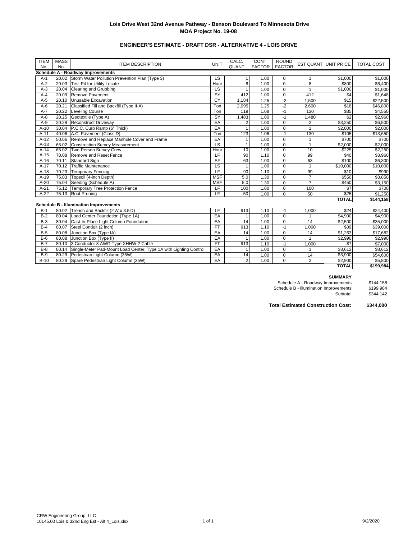## **Lois Drive West 32nd Avenue Pathway - Benson Boulevard To Minnesota Drive MOA Project No. 19-08**

# **ENGINEER'S ESTIMATE - DRAFT DSR - ALTERNATIVE 4 - LOIS DRIVE**

| <b>ITEM</b> | <b>MASS</b>                              | <b>ITEM DESCRIPTION</b>                                                 | <b>UNIT</b>              | CALC.          | CONT.         | <b>ROUND</b>   |                | <b>EST QUANT UNIT PRICE</b> | <b>TOTAL COST</b>   |  |
|-------------|------------------------------------------|-------------------------------------------------------------------------|--------------------------|----------------|---------------|----------------|----------------|-----------------------------|---------------------|--|
| No.         | No.                                      |                                                                         |                          | QUANT          | <b>FACTOR</b> | <b>FACTOR</b>  |                |                             |                     |  |
|             | <b>Schedule A - Roadway Improvements</b> |                                                                         |                          |                |               |                |                |                             |                     |  |
| $A-1$       |                                          | 20.02 Storm Water Pollution Prevention Plan (Type 3)                    | LS                       | $\mathbf{1}$   | 1.00          | $\mathbf 0$    | $\mathbf{1}$   | \$1,000                     | \$1,000             |  |
| $A-2$       | 20.03                                    | <b>Test Pit for Utility Locate</b>                                      | Hour                     | 8              | 1.00          | $\mathbf 0$    | 8              | \$800                       | \$6,400             |  |
| $A-3$       | 20.04                                    | Clearing and Grubbing                                                   | $\overline{\mathsf{LS}}$ | $\mathbf{1}$   | 1.00          | $\mathbf 0$    | $\mathbf{1}$   | \$1,000                     | \$1,000             |  |
| $A - 4$     | 20.09                                    | Remove Pavement                                                         | <b>SY</b>                | 412            | 1.00          | $\mathbf 0$    | 412            | \$4                         | $\overline{$1,648}$ |  |
| $A-5$       | 20.10                                    | Unusable Excavation                                                     | CY                       | 1,184          | 1.25          | $-2$           | 1,500          | \$15                        | \$22,500            |  |
| $A-6$       | 20.21                                    | Classified Fill and Backfill (Type II-A)                                | Ton                      | 2,095          | 1.25          | $-2$           | 2,600          | \$18                        | \$46,800            |  |
| $A-7$       | 20.22                                    | Leveling Course                                                         | Ton                      | 119            | 1.08          | $-1$           | 130            | \$35                        | \$4,550             |  |
| $A-8$       | 20.25                                    | Geotextile (Type A)                                                     | <b>SY</b>                | 1,483          | 1.00          | $-1$           | 1,480          | \$2                         | \$2,960             |  |
| $A-9$       | 20.28                                    | <b>Reconstruct Driveway</b>                                             | EA                       | $\overline{2}$ | 1.00          | $\mathbf 0$    | $\overline{2}$ | \$3,250                     | \$6,500             |  |
| $A-10$      |                                          | 30.04 P.C.C. Curb Ramp (6" Thick)                                       | EA                       | $\overline{1}$ | 1.00          | $\mathbf 0$    | $\mathbf{1}$   | \$2,000                     | \$2,000             |  |
| $A-11$      |                                          | 40.06 A.C. Pavement (Class D)                                           | Ton                      | 123            | 1.06          | $-1$           | 130            | \$105                       | \$13,650            |  |
| $A-12$      | 50.06                                    | Remove and Replace Manhole Cover and Frame                              | EA                       | $\mathbf{1}$   | 1.00          | $\mathbf 0$    | $\mathbf{1}$   | \$700                       | \$700               |  |
| $A-13$      | 65.02                                    | <b>Construction Survey Measurement</b>                                  | $\overline{\mathsf{LS}}$ | $\mathbf{1}$   | 1.00          | $\mathbf 0$    | $\mathbf{1}$   | \$2,000                     | \$2,000             |  |
| $A-14$      |                                          | 65.02 Two-Person Survey Crew                                            | Hour                     | 10             | 1.00          | $\pmb{0}$      | 10             | \$225                       | \$2,250             |  |
| $A-15$      | 70.08                                    | Remove and Reset Fence                                                  | LF                       | 90             | 1.10          | $\mathbf 0$    | 99             | \$40                        | \$3,960             |  |
| $A-16$      | 70.11                                    | Standard Sign                                                           | $S$ F                    | 63             | 1.00          | $\pmb{0}$      | 63             | \$100                       | \$6,300             |  |
| $A-17$      |                                          | 70.12 Traffic Maintenance                                               | $\overline{\mathsf{LS}}$ | $\mathbf{1}$   | 1.00          | $\mathbf 0$    | $\mathbf{1}$   | $\overline{$10,000}$        | \$10,000            |  |
| $A-18$      | 70.23                                    | <b>Temporary Fencing</b>                                                | LF                       | 90             | 1.10          | $\mathbf 0$    | 99             | \$10                        | \$990               |  |
| $A-19$      | 75.03                                    | Topsoil (4-inch Depth)                                                  | <b>MSF</b>               | 5.0            | 1.30          | $\mathbf 0$    | $\overline{7}$ | \$550                       | \$3,850             |  |
| $A-20$      | 75.04                                    | Seeding (Schedule A)                                                    | <b>MSF</b>               | 5.0            | 1.30          | $\mathbf 0$    | $\overline{7}$ | \$450                       | \$3,150             |  |
| $A-21$      | 75.12                                    | <b>Temporary Tree Protection Fence</b>                                  | LF                       | 100            | 1.00          | $\overline{0}$ | 100            | $\overline{\$7}$            | \$700               |  |
| $A-22$      |                                          | 75.13 Root Pruning                                                      | LF                       | 50             | 1.00          | $\mathbf 0$    | 50             | \$25                        | \$1,250             |  |
|             |                                          |                                                                         |                          |                |               |                |                | <b>TOTAL</b>                | \$144,158           |  |
|             |                                          | <b>Schedule B - Illumination Improvements</b>                           |                          |                |               |                |                |                             |                     |  |
| $B-1$       |                                          | 80.02 Trench and Backfill (2'W x 3.5'D)                                 | LF                       | 913            | 1.10          | $-1$           | 1,000          | \$24                        | \$24,400            |  |
| $B-2$       |                                          | 80.04   Load Center Foundation (Type 1A)                                | EA                       | $\mathbf{1}$   | 1.00          | $\mathbf 0$    |                | \$4,900                     | \$4,900             |  |
| $B-3$       | 80.04                                    | Cast-In-Place Light Column Foundation                                   | EA                       | 14             | 1.00          | $\mathbf 0$    | 14             | \$2,500                     | \$35,000            |  |
| $B-4$       | 80.07                                    | Steel Conduit (2 inch)                                                  | FT                       | 913            | 1.10          | $-1$           | 1,000          | \$39                        | \$39,000            |  |
| $B-5$       | 80.08                                    | Junction Box (Type IA)                                                  | EA                       | 14             | 1.00          | $\mathbf 0$    | 14             | \$1,263                     | \$17,682            |  |
| $B-6$       | 80.08                                    | Junction Box (Type II)                                                  | EA                       | $\overline{1}$ | 1.00          | $\mathbf 0$    |                | \$2,990                     | \$2,990             |  |
| $B-7$       | 80.10                                    | 3 Conductor 8 AWG Type XHHW-2 Cable                                     | <b>FT</b>                | 913            | 1.10          | $-1$           | 1,000          | \$7                         | \$7,000             |  |
| $B-8$       |                                          | 80.14 Single-Meter Pad-Mount Load Center, Type 1A with Lighting Control | EA                       | $\mathbf{1}$   | 1.00          | $\mathbf 0$    | 1              | \$8,612                     | \$8,612             |  |
| $B-9$       | 80.29                                    | Pedestrian Light Column (35W)                                           | EA                       | 14             | 1.00          | $\mathbf 0$    | 14             | \$3,900                     | \$54,600            |  |
| $B-10$      | 80.29                                    | Spare Pedestrian Light Column (35W)                                     | EA                       | $\overline{2}$ | 1.00          | $\Omega$       | 2              | \$2,900                     | \$5,800             |  |
|             |                                          |                                                                         |                          |                |               |                |                | <b>TOTAL</b>                | \$199,984           |  |

### **SUMMARY**

Schedule A - Roadway Improvements \$144,158 Schedule B - Illumination Improvements \$199,984 \$144,158<br>\$199,984<br>\$344,142

**Total Estimated Construction Cost: \$344,000**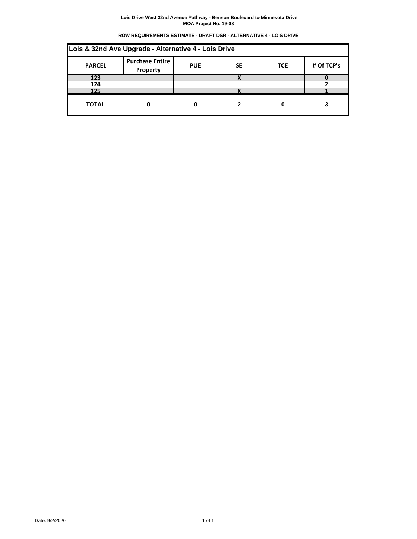#### **Lois Drive West 32nd Avenue Pathway - Benson Boulevard to Minnesota Drive MOA Project No. 19-08**

| ROW REQUIREMENTS ESTIMATE - DRAFT DSR - ALTERNATIVE 4 - LOIS DRIVE |  |  |
|--------------------------------------------------------------------|--|--|
|                                                                    |  |  |

| Lois & 32nd Ave Upgrade - Alternative 4 - Lois Drive                                                       |  |  |              |  |  |  |  |  |
|------------------------------------------------------------------------------------------------------------|--|--|--------------|--|--|--|--|--|
| <b>Purchase Entire</b><br># Of TCP's<br><b>SE</b><br><b>PARCEL</b><br><b>PUE</b><br><b>TCE</b><br>Property |  |  |              |  |  |  |  |  |
| 123                                                                                                        |  |  | $\mathbf{v}$ |  |  |  |  |  |
| 124                                                                                                        |  |  |              |  |  |  |  |  |
| 125                                                                                                        |  |  |              |  |  |  |  |  |
| <b>TOTAL</b>                                                                                               |  |  |              |  |  |  |  |  |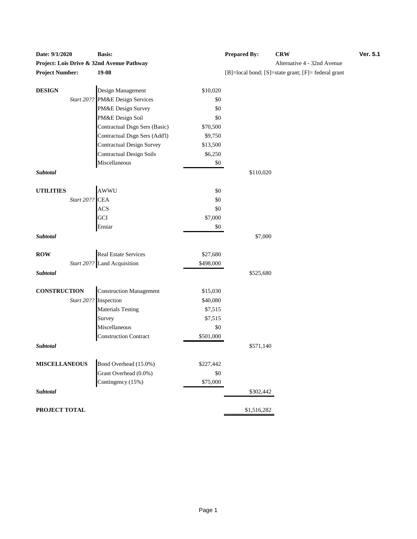| Date: $9/1/2020$       |                | Dasis.                                               |                       | r repared by: | <b>UR</b> W                                         |
|------------------------|----------------|------------------------------------------------------|-----------------------|---------------|-----------------------------------------------------|
|                        |                | Project: Lois Drive & 32nd Avenue Pathway            |                       |               | Alternative 4 - 32nd Avenue                         |
| <b>Project Number:</b> |                | 19-08                                                |                       |               | [B]=local bond; [S]=state grant; [F]= federal grant |
|                        |                |                                                      |                       |               |                                                     |
| <b>DESIGN</b>          |                | Design Management<br>Start 20?? PM&E Design Services | \$10,020              |               |                                                     |
|                        |                |                                                      | \$0                   |               |                                                     |
|                        |                | PM&E Design Survey<br>PM&E Design Soil               | \$0                   |               |                                                     |
|                        |                |                                                      | \$0                   |               |                                                     |
|                        |                | Contractual Dsgn Sers (Basic)                        | \$70,500              |               |                                                     |
|                        |                | Contractual Dsgn Sers (Add'l)                        | \$9,750               |               |                                                     |
|                        |                | <b>Contractual Design Survey</b>                     | \$13,500              |               |                                                     |
|                        |                | <b>Contractual Design Soils</b>                      | \$6,250               |               |                                                     |
|                        |                | Miscellaneous                                        | \$0                   |               |                                                     |
| Subtotal               |                |                                                      |                       | \$110,020     |                                                     |
| <b>UTILITIES</b>       |                | AWWU                                                 | \$0                   |               |                                                     |
|                        | Start 20?? CEA |                                                      | \$0                   |               |                                                     |
|                        |                | <b>ACS</b>                                           | \$0                   |               |                                                     |
|                        |                | GCI                                                  | \$7,000               |               |                                                     |
|                        |                | Enstar                                               | $\$0$                 |               |                                                     |
| Subtotal               |                |                                                      |                       | \$7,000       |                                                     |
|                        |                | <b>Real Estate Services</b>                          |                       |               |                                                     |
| <b>ROW</b>             |                | Start 20?? Land Acquisition                          | \$27,680<br>\$498,000 |               |                                                     |
|                        |                |                                                      |                       |               |                                                     |
| Subtotal               |                |                                                      |                       | \$525,680     |                                                     |
| <b>CONSTRUCTION</b>    |                | <b>Construction Management</b>                       | \$15,030              |               |                                                     |
|                        |                | Start 20?? Inspection                                | \$40,080              |               |                                                     |
|                        |                | <b>Materials Testing</b>                             | \$7,515               |               |                                                     |
|                        |                | Survey                                               | \$7,515               |               |                                                     |
|                        |                | Miscellaneous                                        | \$0                   |               |                                                     |
|                        |                | <b>Construction Contract</b>                         | \$501,000             |               |                                                     |
| Subtotal               |                |                                                      |                       | \$571,140     |                                                     |
| <b>MISCELLANEOUS</b>   |                | Bond Overhead (15.0%)                                |                       |               |                                                     |
|                        |                | Grant Overhead (0.0%)                                | \$227,442<br>\$0      |               |                                                     |
|                        |                | Contingency (15%)                                    | \$75,000              |               |                                                     |
| Subtotal               |                |                                                      |                       |               |                                                     |
|                        |                |                                                      |                       | \$302,442     |                                                     |
| PROJECT TOTAL          |                |                                                      |                       | \$1,516,282   |                                                     |

| <b>Date: 9/1/2020</b>                     | <b>Basis:</b> | <b>Prepared By:</b>                                              | <b>CRW</b> | <b>Ver. 5.1</b> |  |  |
|-------------------------------------------|---------------|------------------------------------------------------------------|------------|-----------------|--|--|
| Project: Lois Drive & 32nd Avenue Pathwav |               | Alternative 4 - 32nd Avenue                                      |            |                 |  |  |
| <b>Project Number:</b>                    | 19-08         | $[B] = local bond$ ; $[S] = state grant$ ; $[F] = federal grant$ |            |                 |  |  |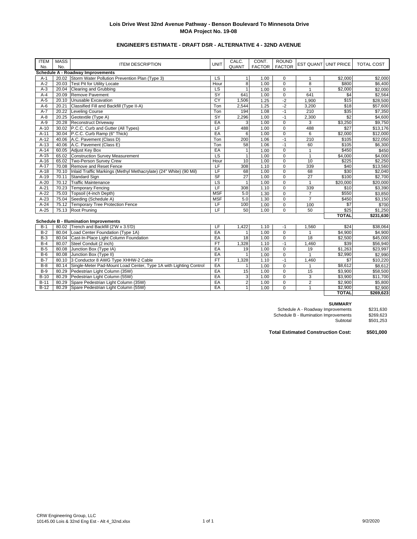## **Lois Drive West 32nd Avenue Pathway - Benson Boulevard To Minnesota Drive MOA Project No. 19-08**

# **ENGINEER'S ESTIMATE - DRAFT DSR - ALTERNATIVE 4 - 32ND AVENUE**

| <b>ITEM</b>                              | <b>MASS</b> |                                                                    | <b>UNIT</b>              | CALC.          | CONT.         | <b>ROUND</b>   |                |                             |                     |
|------------------------------------------|-------------|--------------------------------------------------------------------|--------------------------|----------------|---------------|----------------|----------------|-----------------------------|---------------------|
| No.                                      | No.         | <b>ITEM DESCRIPTION</b>                                            |                          | QUANT          | <b>FACTOR</b> | <b>FACTOR</b>  |                | <b>EST QUANT UNIT PRICE</b> | <b>TOTAL COST</b>   |
| <b>Schedule A - Roadway Improvements</b> |             |                                                                    |                          |                |               |                |                |                             |                     |
| $A-1$                                    |             | 20.02 Storm Water Pollution Prevention Plan (Type 3)               | LS                       | 1              | 1.00          | $\mathbf 0$    | $\mathbf{1}$   | \$2,000                     | \$2,000             |
| $A-2$                                    | 20.03       | <b>Test Pit for Utility Locate</b>                                 | Hour                     | 8              | 1.00          | $\mathbf 0$    | 8              | \$800                       | \$6,400             |
| $A-3$                                    | 20.04       | <b>Clearing and Grubbing</b>                                       | $\overline{\mathsf{LS}}$ | $\overline{1}$ | 1.00          | $\mathbf 0$    | $\mathbf{1}$   | \$2,000                     | \$2,000             |
| $A-4$                                    | 20.09       | Remove Pavement                                                    | $\overline{\mathsf{SY}}$ | 641            | 1.00          | $\overline{0}$ | 641            | \$4                         | \$2,564             |
| $A-5$                                    | 20.10       | Unusable Excavation                                                | CY                       | 1,506          | 1.25          | $-2$           | 1,900          | \$15                        | \$28,500            |
| $A-6$                                    | 20.21       | Classified Fill and Backfill (Type II-A)                           | Ton                      | 2,544          | 1.25          | $-2$           | 3,200          | \$18                        | \$57,600            |
| $A-7$                                    | 20.22       | <b>Leveling Course</b>                                             | Ton                      | 194            | 1.08          | $-1$           | 210            | \$35                        | \$7,350             |
| $A-8$                                    | 20.25       | Geotextile (Type A)                                                | SY                       | 2,296          | 1.00          | $-1$           | 2,300          | \$2                         | \$4,600             |
| $A-9$                                    | 20.28       | <b>Reconstruct Driveway</b>                                        | EA                       | 3              | 1.00          | $\mathbf 0$    | 3              | \$3,250                     | \$9,750             |
| $A-10$                                   | 30.02       | P.C.C. Curb and Gutter (All Types)                                 | LF                       | 488            | 1.00          | $\mathbf 0$    | 488            | \$27                        | \$13,176            |
| $A-11$                                   |             | 30.04 P.C.C. Curb Ramp (6" Thick)                                  | EA                       | 6              | 1.00          | $\mathbf 0$    | 6              | $\overline{$2,000}$         | \$12,000            |
| $A-12$                                   |             | 40.06 A.C. Pavement (Class D)                                      | Ton                      | 200            | 1.06          | $-1$           | 210            | \$105                       | \$22,050            |
| $A-13$                                   | 40.06       | A.C. Pavement (Class E)                                            | Ton                      | 58             | 1.06          | $-1$           | 60             | \$105                       | \$6,300             |
| $A-14$                                   | 60.05       | <b>Adjust Key Box</b>                                              | EA                       | $\mathbf{1}$   | 1.00          | $\Omega$       | $\mathbf{1}$   | \$450                       | \$450               |
| $A-15$                                   |             | 65.02 Construction Survey Measurement                              | $\overline{\mathsf{LS}}$ | $\mathbf{1}$   | 1.00          | $\mathbf 0$    | $\mathbf{1}$   | \$4,000                     | \$4,000             |
| $A-16$                                   | 65.02       | Two-Person Survey Crew                                             | Hour                     | 10             | 1.00          | $\overline{0}$ | 10             | \$225                       | \$2,250             |
| $A-17$                                   | 70.08       | Remove and Reset Fence                                             | LF                       | 308            | 1.10          | $\mathbf 0$    | 339            | \$40                        | \$13,560            |
| $A-18$                                   | 70.10       | Inlaid Traffic Markings (Methyl Methacrylate) (24" White) (90 Mil) | LF                       | 68             | 1.00          | $\mathbf 0$    | 68             | \$30                        | \$2,040             |
| $A-19$                                   | 70.11       | <b>Standard Sign</b>                                               | S <sub>F</sub>           | 27             | 1.00          | $\mathbf 0$    | 27             | \$100                       | \$2,700             |
| $A-20$                                   | 70.12       | <b>Traffic Maintenance</b>                                         | LS                       | $\mathbf{1}$   | 1.00          | $\pmb{0}$      | $\mathbf{1}$   | \$20,000                    | \$20,000            |
| $A-21$                                   | 70.23       | <b>Temporary Fencing</b>                                           | LF                       | 308            | 1.10          | $\mathbf 0$    | 339            | \$10                        | $\overline{$}3,390$ |
| $A-22$                                   | 75.03       | Topsoil (4-inch Depth)                                             | <b>MSF</b>               | 5.0            | 1.30          | $\mathbf 0$    | $\overline{7}$ | \$550                       | \$3,850             |
| $A-23$                                   | 75.04       | Seeding (Schedule A)                                               | <b>MSF</b>               | 5.0            | 1.30          | $\mathbf 0$    | $\overline{7}$ | \$450                       | \$3,150             |
| $A-24$                                   |             | 75.12 Temporary Tree Protection Fence                              | LF                       | 100            | 1.00          | $\pmb{0}$      | 100            | $\sqrt{57}$                 | \$700               |
| $A-25$                                   |             | 75.13 Root Pruning                                                 | LF                       | 50             | 1.00          | $\mathbf 0$    | 50             | $\overline{$25}$            | \$1,250             |
|                                          |             |                                                                    |                          |                |               |                |                | <b>TOTAL</b>                | \$231,630           |
|                                          |             | <b>Schedule B - Illumination Improvements</b>                      |                          |                |               |                |                |                             |                     |
| $B-1$                                    |             | 80.02 Trench and Backfill (2'W x 3.5'D)                            | LF                       | 1,422          | 1.10          | $-1$           | 1,560          | \$24                        | \$38,064            |
| $B-2$                                    |             | 80.04 Load Center Foundation (Type 1A)                             | EA                       | $\mathbf{1}$   | 1.00          | $\mathbf 0$    |                | \$4,900                     | \$4,900             |
| $B-3$                                    |             | 80.04 Cast-In-Place Light Column Foundation                        | EA                       | 18             | 1.00          | $\mathsf 0$    | 18             | \$2,500                     | \$45,000            |
| $B-4$                                    | 80.07       | Steel Conduit (2 inch)                                             | FT                       | 1,328          | 1.10          | $-1$           | 1,460          | \$39                        | \$56,940            |
| $B-5$                                    | 80.08       | Junction Box (Type IA)                                             | EA                       | 19             | 1.00          | $\mathbf 0$    | 19             | \$1,263                     | \$23,997            |
| $B-6$                                    | 80.08       | Junction Box (Type II)                                             | EA                       | $\mathbf{1}$   | 1.00          | $\mathbf 0$    | $\mathbf{1}$   | \$2,990                     | \$2,990             |
| $B-7$                                    | 80.10       | 3 Conductor 8 AWG Type XHHW-2 Cable                                | <b>FT</b>                | 1,328          | 1.10          | $-1$           | 1,460          | \$7                         | \$10,220            |
| $B-8$                                    | 80.14       | Single-Meter Pad-Mount Load Center, Type 1A with Lighting Control  | EA                       | $\mathbf{1}$   | 1.00          | $\mathbf 0$    | $\mathbf{1}$   | $\overline{$8,612}$         | \$8,612             |
| $B-9$                                    |             | 80.29 Pedestrian Light Column (35W)                                | EA                       | 15             | 1.00          | $\mathbf 0$    | 15             | \$3,900                     | \$58,500            |
| $B-10$                                   | 80.29       | Pedestrian Light Column (55W)                                      | EA                       | 3              | 1.00          | $\mathbf 0$    | 3              | \$3,900                     | \$11,700            |
| $B-11$                                   | 80.29       | Spare Pedestrian Light Column (35W)                                | EA                       | $\overline{2}$ | 1.00          | $\pmb{0}$      | $\overline{2}$ | \$2,900                     | \$5,800             |
| $B-12$                                   | 80.29       | Spare Pedestrian Light Column (55W)                                | EA                       | $\mathbf{1}$   | 1.00          | $\Omega$       | $\mathbf{1}$   | \$2,900                     | \$2,900             |
|                                          |             |                                                                    |                          |                |               |                |                | <b>TOTAL</b>                | \$269,623           |

### **SUMMARY**

| \$231,630 |
|-----------|
| \$269.623 |
| \$501,253 |
|           |

**Total Estimated Construction Cost: \$501,000**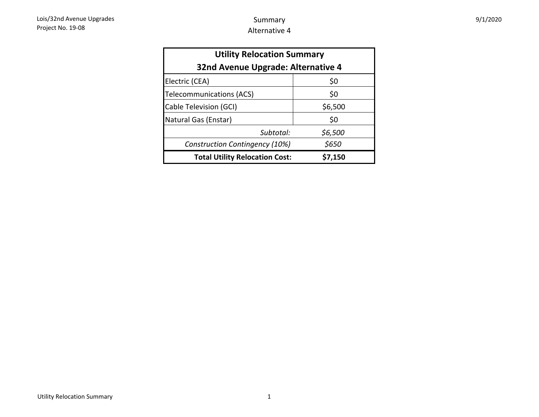| <b>Utility Relocation Summary</b><br>32nd Avenue Upgrade: Alternative 4 |         |  |  |  |  |  |
|-------------------------------------------------------------------------|---------|--|--|--|--|--|
| \$0<br>Electric (CEA)                                                   |         |  |  |  |  |  |
| <b>Telecommunications (ACS)</b>                                         | \$0     |  |  |  |  |  |
| Cable Television (GCI)                                                  | \$6,500 |  |  |  |  |  |
| Natural Gas (Enstar)                                                    | \$0     |  |  |  |  |  |
| Subtotal:                                                               | \$6,500 |  |  |  |  |  |
| Construction Contingency (10%)                                          | \$650   |  |  |  |  |  |
| <b>Total Utility Relocation Cost:</b>                                   | \$7,150 |  |  |  |  |  |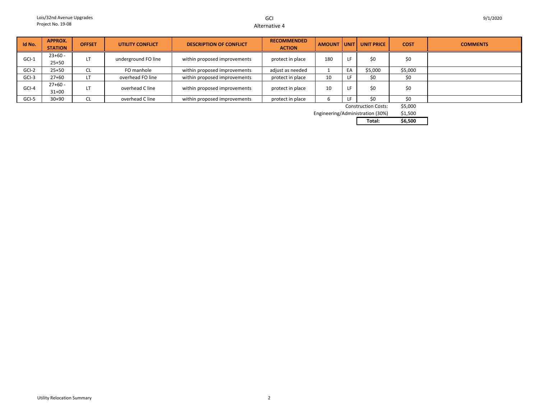## GCIAlternative 4

| Id No.  | APPROX.        | <b>OFFSET</b> | <b>UTILITY CONFLICT</b> | <b>DESCRIPTION OF CONFLICT</b> | <b>RECOMMENDED</b> | <b>AMOUNT</b> | UNIT | <b>UNIT PRICE</b>          | <b>COST</b> | <b>COMMENTS</b> |
|---------|----------------|---------------|-------------------------|--------------------------------|--------------------|---------------|------|----------------------------|-------------|-----------------|
|         | <b>STATION</b> |               |                         |                                | <b>ACTION</b>      |               |      |                            |             |                 |
| $GCI-1$ | $23+60 -$      |               |                         |                                |                    |               |      | \$0                        |             |                 |
|         | $25 + 50$      | LI.           | underground FO line     | within proposed improvements   | protect in place   | 180           |      |                            | \$0         |                 |
| GCI-2   | $25 + 50$      | ᄔ             | FO manhole              | within proposed improvements   | adjust as needed   |               | EA   | \$5,000                    | \$5,000     |                 |
| GCI-3   | $27+60$        | LT            | overhead FO line        | within proposed improvements   | protect in place   | 10            |      | \$0                        | \$0         |                 |
|         | $27+60 -$      |               |                         |                                |                    |               |      |                            |             |                 |
| GCI-4   | $31+00$        | LТ            | overhead C line         | within proposed improvements   | protect in place   | 10            |      | \$0                        | \$0         |                 |
| GCI-5   | $30+90$        | <b>CL</b>     | overhead C line         | within proposed improvements   | protect in place   | b             |      | \$0                        | \$0         |                 |
|         |                |               |                         |                                |                    |               |      | <b>Construction Costs:</b> | \$5,000     |                 |

Construction Costs:

\$1,500 Engineering/Administration (30%)

**Total: \$6,500**